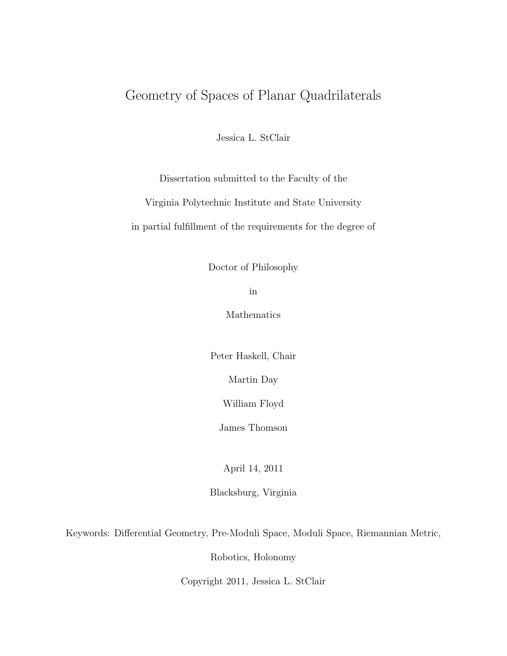## Geometry of Spaces of Planar Quadrilaterals

Jessica L. StClair

Dissertation submitted to the Faculty of the

Virginia Polytechnic Institute and State University

in partial fulfillment of the requirements for the degree of

Doctor of Philosophy

in

Mathematics

Peter Haskell, Chair

Martin Day

William Floyd

James Thomson

April 14, 2011

Blacksburg, Virginia

Keywords: Differential Geometry, Pre-Moduli Space, Moduli Space, Riemannian Metric,

Robotics, Holonomy

Copyright 2011, Jessica L. StClair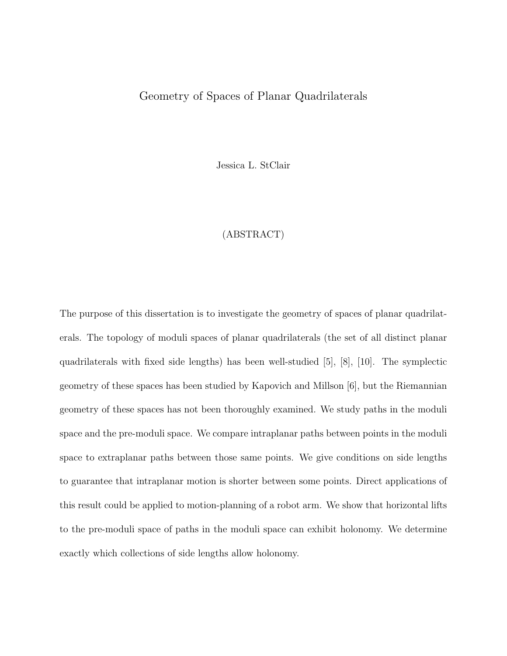#### Geometry of Spaces of Planar Quadrilaterals

Jessica L. StClair

#### (ABSTRACT)

The purpose of this dissertation is to investigate the geometry of spaces of planar quadrilaterals. The topology of moduli spaces of planar quadrilaterals (the set of all distinct planar quadrilaterals with fixed side lengths) has been well-studied [5], [8], [10]. The symplectic geometry of these spaces has been studied by Kapovich and Millson [6], but the Riemannian geometry of these spaces has not been thoroughly examined. We study paths in the moduli space and the pre-moduli space. We compare intraplanar paths between points in the moduli space to extraplanar paths between those same points. We give conditions on side lengths to guarantee that intraplanar motion is shorter between some points. Direct applications of this result could be applied to motion-planning of a robot arm. We show that horizontal lifts to the pre-moduli space of paths in the moduli space can exhibit holonomy. We determine exactly which collections of side lengths allow holonomy.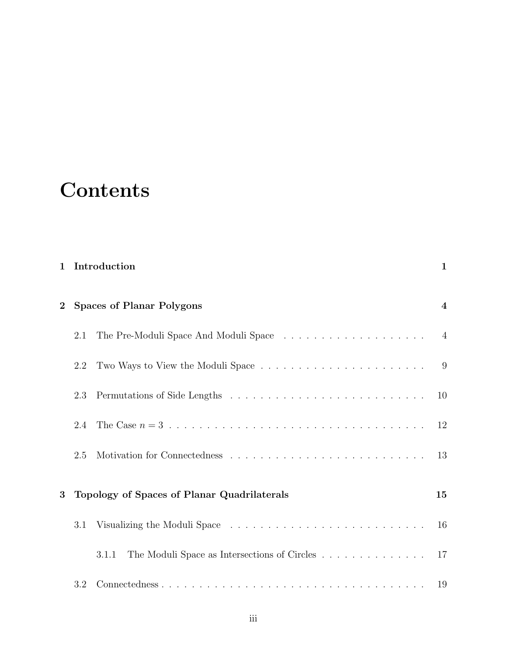# **Contents**

|                  |     | 1 Introduction                              | $\mathbf{1}$     |
|------------------|-----|---------------------------------------------|------------------|
| $\boldsymbol{2}$ |     | <b>Spaces of Planar Polygons</b>            | $\boldsymbol{4}$ |
|                  | 2.1 |                                             | $\overline{4}$   |
|                  | 2.2 |                                             | - 9              |
|                  | 2.3 |                                             | 10               |
|                  | 2.4 |                                             | 12               |
|                  | 2.5 |                                             | 13               |
| 3                |     | Topology of Spaces of Planar Quadrilaterals | 15               |
|                  | 3.1 |                                             | 16               |
|                  |     | 3.1.1                                       | 17               |
|                  | 3.2 |                                             | 19               |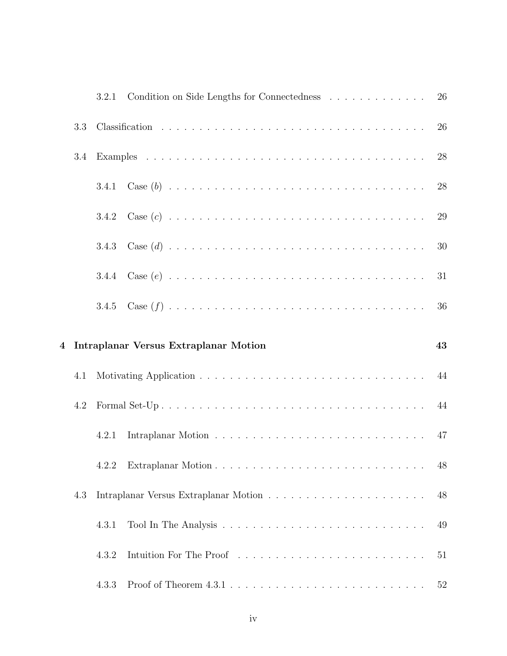|                         |     | 3.2.1 | Condition on Side Lengths for Connectedness | 26 |
|-------------------------|-----|-------|---------------------------------------------|----|
|                         | 3.3 |       |                                             | 26 |
|                         | 3.4 |       |                                             | 28 |
|                         |     |       |                                             | 28 |
|                         |     | 3.4.2 |                                             | 29 |
|                         |     | 3.4.3 |                                             | 30 |
|                         |     |       |                                             | 31 |
|                         |     |       |                                             | 36 |
|                         |     |       |                                             |    |
| $\overline{\mathbf{4}}$ |     |       | Intraplanar Versus Extraplanar Motion       | 43 |
|                         | 4.1 |       |                                             |    |
|                         | 4.2 |       |                                             | 44 |
|                         |     | 4.2.1 |                                             | 47 |
|                         |     |       |                                             | 48 |
|                         | 4.3 |       |                                             | 48 |
|                         |     | 4.3.1 |                                             | 49 |
|                         |     | 4.3.2 |                                             | 51 |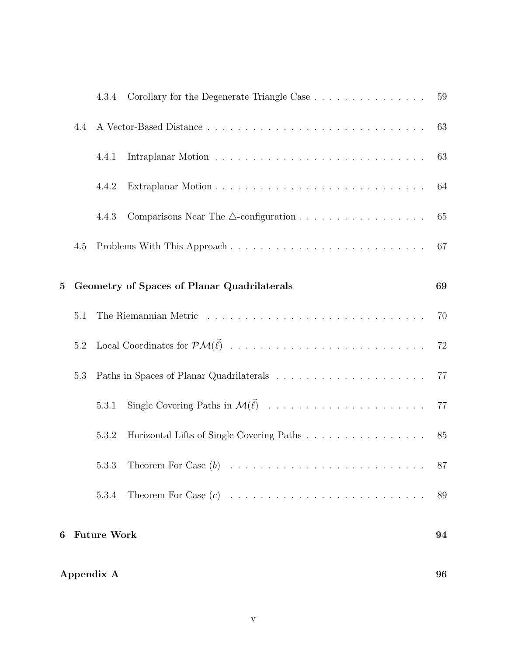|          |     | Appendix A         |                                                                                             | 96 |
|----------|-----|--------------------|---------------------------------------------------------------------------------------------|----|
| 6        |     | <b>Future Work</b> |                                                                                             | 94 |
|          |     | 5.3.4              |                                                                                             | 89 |
|          |     |                    |                                                                                             | 87 |
|          |     | 5.3.2              | Horizontal Lifts of Single Covering Paths                                                   | 85 |
|          |     | 5.3.1              |                                                                                             | 77 |
|          | 5.3 |                    | Paths in Spaces of Planar Quadrilaterals $\ldots \ldots \ldots \ldots \ldots \ldots \ldots$ | 77 |
|          | 5.2 |                    |                                                                                             | 72 |
|          | 5.1 |                    |                                                                                             | 70 |
| $\bf{5}$ |     |                    | Geometry of Spaces of Planar Quadrilaterals                                                 | 69 |
|          | 4.5 |                    |                                                                                             | 67 |
|          |     | 4.4.3              |                                                                                             | 65 |
|          |     | 4.4.2              |                                                                                             | 64 |
|          |     | 4.4.1              |                                                                                             | 63 |
|          | 4.4 |                    |                                                                                             | 63 |
|          |     |                    | 4.3.4 Corollary for the Degenerate Triangle Case                                            | 59 |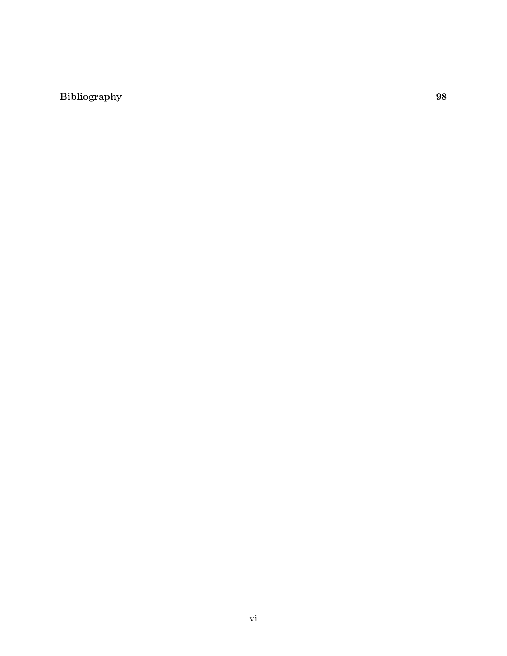## Bibliography 98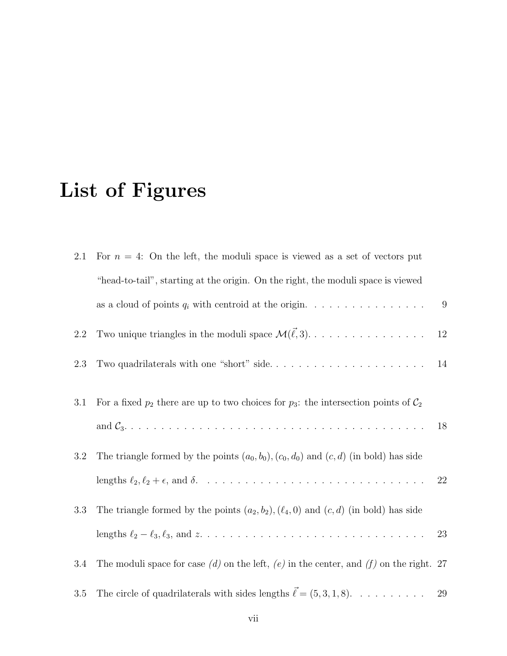# List of Figures

| 2.1     | For $n = 4$ : On the left, the moduli space is viewed as a set of vectors put                        |        |
|---------|------------------------------------------------------------------------------------------------------|--------|
|         | "head-to-tail", starting at the origin. On the right, the moduli space is viewed                     |        |
|         | as a cloud of points $q_i$ with centroid at the origin.                                              | 9      |
| 2.2     | Two unique triangles in the moduli space $\mathcal{M}(\vec{\ell},3)$                                 | 12     |
| 2.3     |                                                                                                      | 14     |
| 3.1     | For a fixed $p_2$ there are up to two choices for $p_3$ : the intersection points of $\mathcal{C}_2$ |        |
|         |                                                                                                      | 18     |
| $3.2\,$ | The triangle formed by the points $(a_0, b_0)$ , $(c_0, d_0)$ and $(c, d)$ (in bold) has side        |        |
|         |                                                                                                      | $22\,$ |
| 3.3     | The triangle formed by the points $(a_2, b_2)$ , $(\ell_4, 0)$ and $(c, d)$ (in bold) has side       |        |
|         |                                                                                                      | 23     |
| 3.4     | The moduli space for case $(d)$ on the left, $(e)$ in the center, and $(f)$ on the right. 27         |        |
| 3.5     | The circle of quadrilaterals with sides lengths $\vec{\ell} = (5, 3, 1, 8)$ .                        | $29\,$ |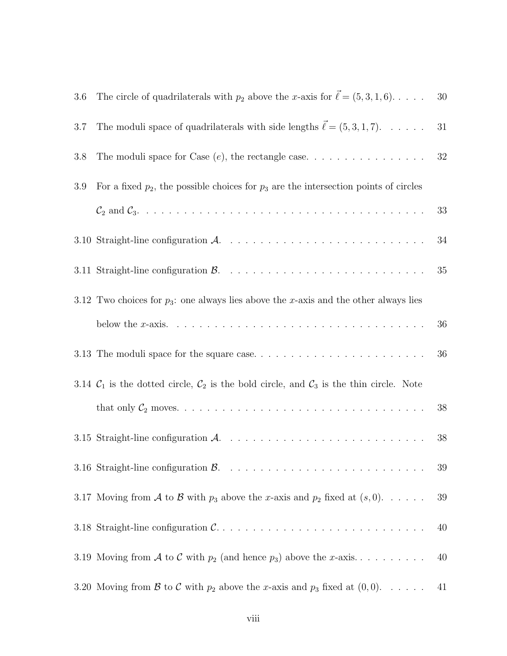| 3.6 | The circle of quadrilaterals with $p_2$ above the <i>x</i> -axis for $\vec{\ell} = (5,3,1,6)$                               | 30 |
|-----|-----------------------------------------------------------------------------------------------------------------------------|----|
| 3.7 | The moduli space of quadrilaterals with side lengths $\vec{\ell} = (5, 3, 1, 7)$ .                                          | 31 |
| 3.8 |                                                                                                                             | 32 |
| 3.9 | For a fixed $p_2$ , the possible choices for $p_3$ are the intersection points of circles                                   |    |
|     |                                                                                                                             | 33 |
|     |                                                                                                                             | 34 |
|     |                                                                                                                             | 35 |
|     | 3.12 Two choices for $p_3$ : one always lies above the x-axis and the other always lies                                     |    |
|     |                                                                                                                             | 36 |
|     |                                                                                                                             | 36 |
|     | 3.14 $\mathcal{C}_1$ is the dotted circle, $\mathcal{C}_2$ is the bold circle, and $\mathcal{C}_3$ is the thin circle. Note |    |
|     |                                                                                                                             | 38 |
|     | 3.15 Straight-line configuration $A. \dots \dots \dots \dots \dots \dots \dots \dots \dots \dots \dots$                     | 38 |
|     |                                                                                                                             | 39 |
|     | 3.17 Moving from A to B with $p_3$ above the x-axis and $p_2$ fixed at $(s,0)$                                              | 39 |
|     | 3.18 Straight-line configuration $C_1, \ldots, C_n, \ldots, C_n, \ldots, C_n$                                               | 40 |
|     | 3.19 Moving from A to C with $p_2$ (and hence $p_3$ ) above the x-axis                                                      | 40 |
|     | 3.20 Moving from $\mathcal B$ to $\mathcal C$ with $p_2$ above the x-axis and $p_3$ fixed at $(0,0)$ .                      | 41 |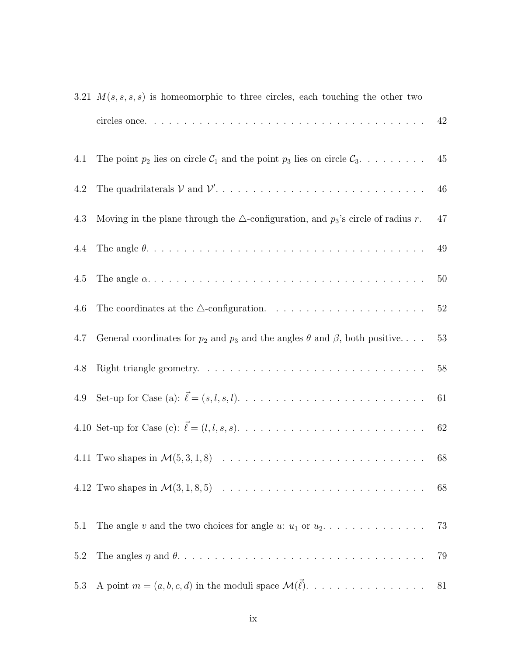|     | 3.21 $M(s, s, s, s)$ is homeomorphic to three circles, each touching the other two                          |        |
|-----|-------------------------------------------------------------------------------------------------------------|--------|
|     |                                                                                                             | 42     |
| 4.1 | The point $p_2$ lies on circle $C_1$ and the point $p_3$ lies on circle $C_3$                               | 45     |
| 4.2 |                                                                                                             | 46     |
| 4.3 | Moving in the plane through the $\triangle$ -configuration, and $p_3$ 's circle of radius r.                | 47     |
| 4.4 |                                                                                                             | 49     |
| 4.5 |                                                                                                             | 50     |
| 4.6 |                                                                                                             | $52\,$ |
| 4.7 | General coordinates for $p_2$ and $p_3$ and the angles $\theta$ and $\beta$ , both positive                 | 53     |
| 4.8 |                                                                                                             | 58     |
| 4.9 |                                                                                                             | 61     |
|     |                                                                                                             | 62     |
|     | 4.11 Two shapes in $\mathcal{M}(5,3,1,8) \dots \dots \dots \dots \dots \dots \dots \dots \dots \dots \dots$ | 68     |
|     |                                                                                                             | 68     |
| 5.1 | The angle v and the two choices for angle u: $u_1$ or $u_2$                                                 | 73     |
| 5.2 |                                                                                                             | 79     |
| 5.3 | A point $m = (a, b, c, d)$ in the moduli space $\mathcal{M}(\vec{\ell})$ .                                  | 81     |

#### ix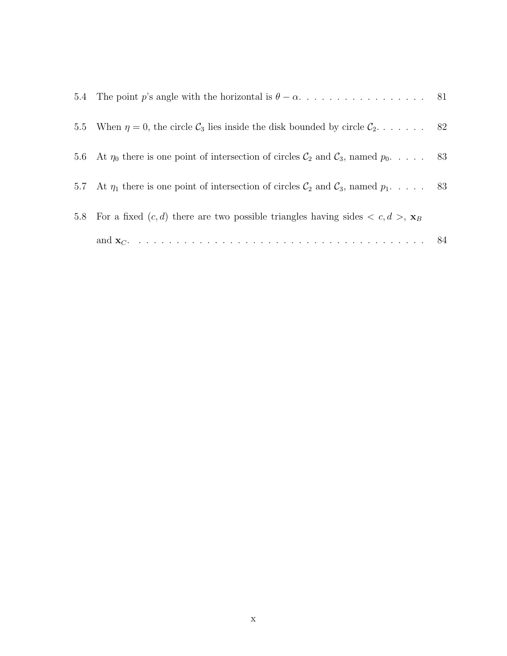| 5.5 | When $\eta = 0$ , the circle $\mathcal{C}_3$ lies inside the disk bounded by circle $\mathcal{C}_2$ 82         |  |
|-----|----------------------------------------------------------------------------------------------------------------|--|
| 5.6 | At $\eta_0$ there is one point of intersection of circles $\mathcal{C}_2$ and $\mathcal{C}_3$ , named $p_0$ 83 |  |
| 5.7 | At $\eta_1$ there is one point of intersection of circles $\mathcal{C}_2$ and $\mathcal{C}_3$ , named $p_1$ 83 |  |
| 5.8 | For a fixed $(c,d)$ there are two possible triangles having sides $\langle c,d \rangle$ , $\mathbf{x}_B$       |  |
|     |                                                                                                                |  |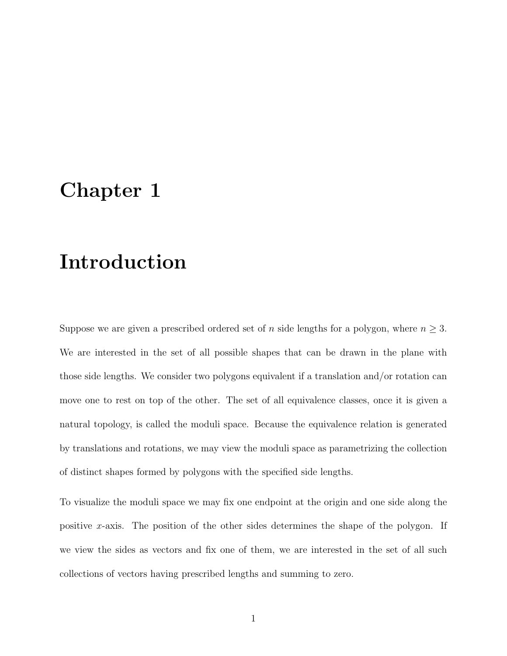# Chapter 1

# Introduction

Suppose we are given a prescribed ordered set of n side lengths for a polygon, where  $n \geq 3$ . We are interested in the set of all possible shapes that can be drawn in the plane with those side lengths. We consider two polygons equivalent if a translation and/or rotation can move one to rest on top of the other. The set of all equivalence classes, once it is given a natural topology, is called the moduli space. Because the equivalence relation is generated by translations and rotations, we may view the moduli space as parametrizing the collection of distinct shapes formed by polygons with the specified side lengths.

To visualize the moduli space we may fix one endpoint at the origin and one side along the positive x-axis. The position of the other sides determines the shape of the polygon. If we view the sides as vectors and fix one of them, we are interested in the set of all such collections of vectors having prescribed lengths and summing to zero.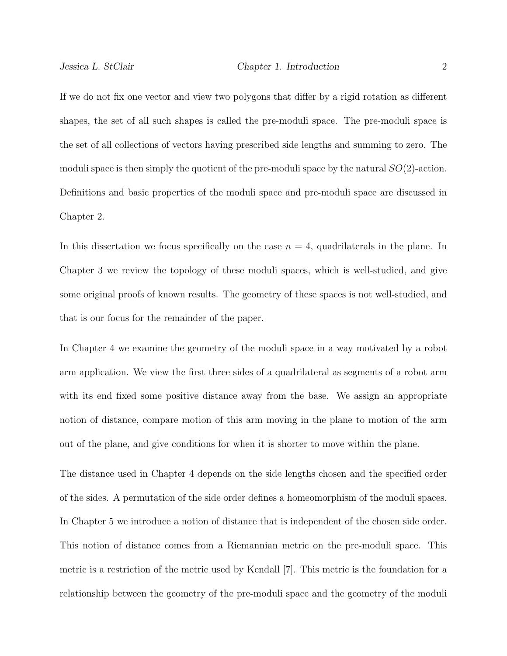If we do not fix one vector and view two polygons that differ by a rigid rotation as different shapes, the set of all such shapes is called the pre-moduli space. The pre-moduli space is the set of all collections of vectors having prescribed side lengths and summing to zero. The moduli space is then simply the quotient of the pre-moduli space by the natural  $SO(2)$ -action. Definitions and basic properties of the moduli space and pre-moduli space are discussed in Chapter 2.

In this dissertation we focus specifically on the case  $n = 4$ , quadrilaterals in the plane. In Chapter 3 we review the topology of these moduli spaces, which is well-studied, and give some original proofs of known results. The geometry of these spaces is not well-studied, and that is our focus for the remainder of the paper.

In Chapter 4 we examine the geometry of the moduli space in a way motivated by a robot arm application. We view the first three sides of a quadrilateral as segments of a robot arm with its end fixed some positive distance away from the base. We assign an appropriate notion of distance, compare motion of this arm moving in the plane to motion of the arm out of the plane, and give conditions for when it is shorter to move within the plane.

The distance used in Chapter 4 depends on the side lengths chosen and the specified order of the sides. A permutation of the side order defines a homeomorphism of the moduli spaces. In Chapter 5 we introduce a notion of distance that is independent of the chosen side order. This notion of distance comes from a Riemannian metric on the pre-moduli space. This metric is a restriction of the metric used by Kendall [7]. This metric is the foundation for a relationship between the geometry of the pre-moduli space and the geometry of the moduli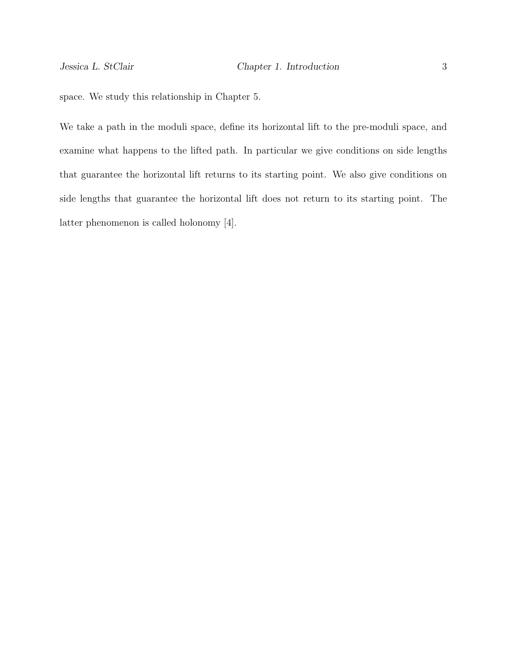space. We study this relationship in Chapter 5.

We take a path in the moduli space, define its horizontal lift to the pre-moduli space, and examine what happens to the lifted path. In particular we give conditions on side lengths that guarantee the horizontal lift returns to its starting point. We also give conditions on side lengths that guarantee the horizontal lift does not return to its starting point. The latter phenomenon is called holonomy [4].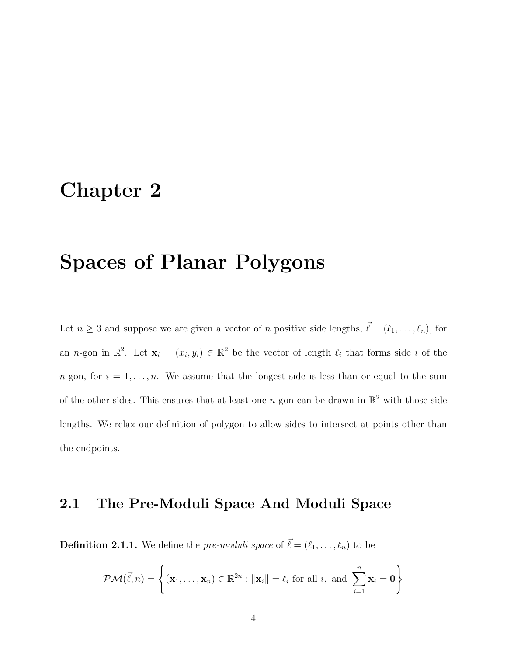## Chapter 2

# Spaces of Planar Polygons

Let  $n \geq 3$  and suppose we are given a vector of n positive side lengths,  $\vec{\ell} = (\ell_1, \ldots, \ell_n)$ , for an *n*-gon in  $\mathbb{R}^2$ . Let  $\mathbf{x}_i = (x_i, y_i) \in \mathbb{R}^2$  be the vector of length  $\ell_i$  that forms side i of the  $n$ -gon, for  $i = 1, \ldots, n$ . We assume that the longest side is less than or equal to the sum of the other sides. This ensures that at least one *n*-gon can be drawn in  $\mathbb{R}^2$  with those side lengths. We relax our definition of polygon to allow sides to intersect at points other than the endpoints.

## 2.1 The Pre-Moduli Space And Moduli Space

**Definition 2.1.1.** We define the *pre-moduli space* of  $\vec{\ell} = (\ell_1, \ldots, \ell_n)$  to be

$$
\mathcal{PM}(\vec{\ell},n) = \left\{ (\mathbf{x}_1,\ldots,\mathbf{x}_n) \in \mathbb{R}^{2n} : ||\mathbf{x}_i|| = \ell_i \text{ for all } i, \text{ and } \sum_{i=1}^n \mathbf{x}_i = \mathbf{0} \right\}
$$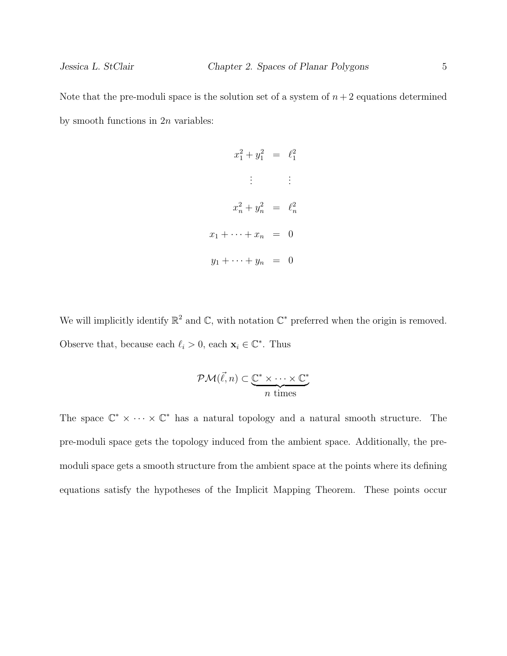Note that the pre-moduli space is the solution set of a system of  $n+2$  equations determined by smooth functions in  $2n$  variables:

$$
x_1^2 + y_1^2 = \ell_1^2
$$
  
\n
$$
\vdots \qquad \vdots
$$
  
\n
$$
x_n^2 + y_n^2 = \ell_n^2
$$
  
\n
$$
x_1 + \dots + x_n = 0
$$
  
\n
$$
y_1 + \dots + y_n = 0
$$

We will implicitly identify  $\mathbb{R}^2$  and  $\mathbb{C}$ , with notation  $\mathbb{C}^*$  preferred when the origin is removed. Observe that, because each  $\ell_i > 0$ , each  $\mathbf{x}_i \in \mathbb{C}^*$ . Thus

$$
\mathcal{PM}(\vec{\ell}, n) \subset \underbrace{\mathbb{C}^* \times \cdots \times \mathbb{C}^*}_{n \text{ times}}
$$

The space  $\mathbb{C}^* \times \cdots \times \mathbb{C}^*$  has a natural topology and a natural smooth structure. The pre-moduli space gets the topology induced from the ambient space. Additionally, the premoduli space gets a smooth structure from the ambient space at the points where its defining equations satisfy the hypotheses of the Implicit Mapping Theorem. These points occur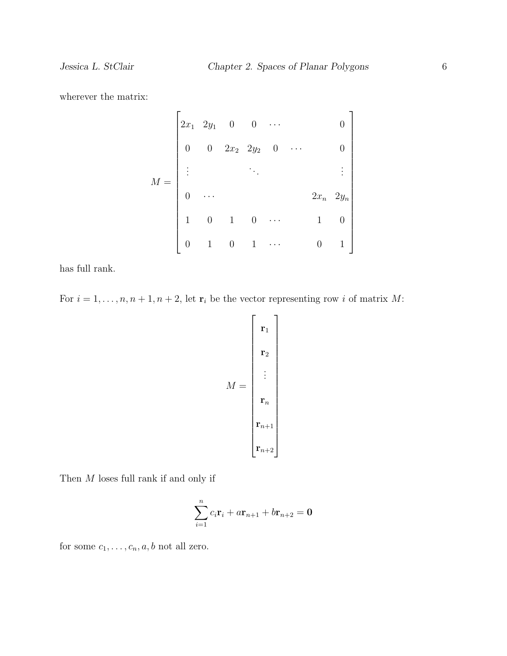wherever the matrix:

$$
M = \begin{bmatrix} 2x_1 & 2y_1 & 0 & 0 & \cdots & & & 0 \\ 0 & 0 & 2x_2 & 2y_2 & 0 & \cdots & & 0 \\ \vdots & & & \ddots & & & \vdots \\ 0 & \cdots & & & & 2x_n & 2y_n \\ 1 & 0 & 1 & 0 & \cdots & & 1 & 0 \\ 0 & 1 & 0 & 1 & \cdots & & 0 & 1 \end{bmatrix}
$$

has full rank.

For  $i = 1, \ldots, n, n + 1, n + 2$ , let  $\mathbf{r}_i$  be the vector representing row i of matrix M:

$$
M = \begin{bmatrix} \mathbf{r}_1 \\ \mathbf{r}_2 \\ \vdots \\ \mathbf{r}_n \\ \mathbf{r}_{n+1} \\ \mathbf{r}_{n+2} \end{bmatrix}
$$

Then  $M$  loses full rank if and only if

$$
\sum_{i=1}^{n} c_i \mathbf{r}_i + a \mathbf{r}_{n+1} + b \mathbf{r}_{n+2} = \mathbf{0}
$$

for some  $c_1, \ldots, c_n, a, b$  not all zero.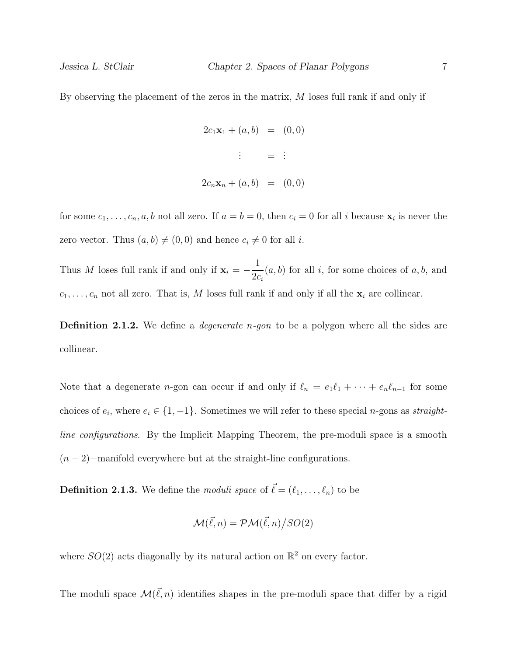By observing the placement of the zeros in the matrix, M loses full rank if and only if

$$
2c_1\mathbf{x}_1 + (a,b) = (0,0)
$$

$$
\vdots = \vdots
$$

$$
2c_n\mathbf{x}_n + (a,b) = (0,0)
$$

for some  $c_1, \ldots, c_n, a, b$  not all zero. If  $a = b = 0$ , then  $c_i = 0$  for all i because  $\mathbf{x}_i$  is never the zero vector. Thus  $(a, b) \neq (0, 0)$  and hence  $c_i \neq 0$  for all i.

Thus M loses full rank if and only if  $x_i = -\frac{1}{2i}$  $2c_i$  $(a, b)$  for all i, for some choices of  $a, b$ , and  $c_1, \ldots, c_n$  not all zero. That is, M loses full rank if and only if all the  $x_i$  are collinear.

**Definition 2.1.2.** We define a *degenerate n-gon* to be a polygon where all the sides are collinear.

Note that a degenerate n-gon can occur if and only if  $\ell_n = e_1\ell_1 + \cdots + e_n\ell_{n-1}$  for some choices of  $e_i$ , where  $e_i \in \{1, -1\}$ . Sometimes we will refer to these special *n*-gons as *straight*line configurations. By the Implicit Mapping Theorem, the pre-moduli space is a smooth  $(n-2)$ −manifold everywhere but at the straight-line configurations.

**Definition 2.1.3.** We define the *moduli space* of  $\vec{\ell} = (\ell_1, \ldots, \ell_n)$  to be

$$
\mathcal{M}(\vec{\ell}, n) = \mathcal{PM}(\vec{\ell}, n) / SO(2)
$$

where  $SO(2)$  acts diagonally by its natural action on  $\mathbb{R}^2$  on every factor.

The moduli space  $\mathcal{M}(\vec{\ell}, n)$  identifies shapes in the pre-moduli space that differ by a rigid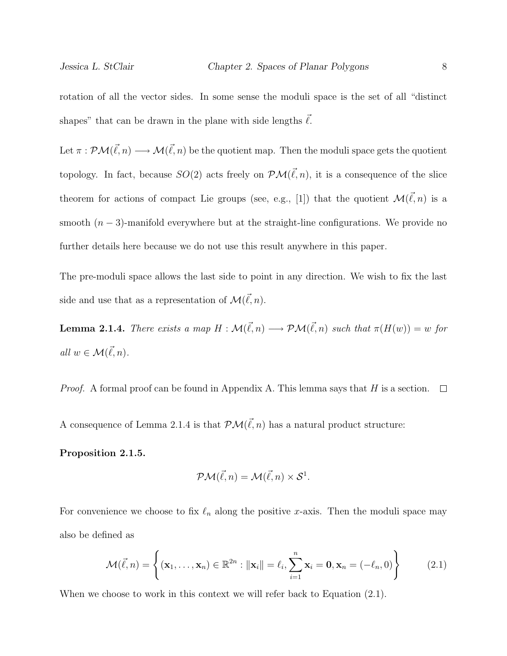rotation of all the vector sides. In some sense the moduli space is the set of all "distinct shapes" that can be drawn in the plane with side lengths  $\vec{l}$ .

Let  $\pi: \mathcal{PM}(\vec{\ell}, n) \longrightarrow \mathcal{M}(\vec{\ell}, n)$  be the quotient map. Then the moduli space gets the quotient topology. In fact, because  $SO(2)$  acts freely on  $\mathcal{PM}(\vec{\ell}, n)$ , it is a consequence of the slice theorem for actions of compact Lie groups (see, e.g., [1]) that the quotient  $\mathcal{M}(\vec{\ell},n)$  is a smooth  $(n-3)$ -manifold everywhere but at the straight-line configurations. We provide no further details here because we do not use this result anywhere in this paper.

The pre-moduli space allows the last side to point in any direction. We wish to fix the last side and use that as a representation of  $\mathcal{M}(\vec{\ell}, n)$ .

**Lemma 2.1.4.** There exists a map  $H : \mathcal{M}(\vec{\ell}, n) \longrightarrow \mathcal{PM}(\vec{\ell}, n)$  such that  $\pi(H(w)) = w$  for all  $w \in \mathcal{M}(\vec{\ell}, n)$ .

*Proof.* A formal proof can be found in Appendix A. This lemma says that H is a section.  $\Box$ 

A consequence of Lemma 2.1.4 is that  $\mathcal{PM}(\vec{\ell}, n)$  has a natural product structure:

#### Proposition 2.1.5.

$$
\mathcal{PM}(\vec{\ell}, n) = \mathcal{M}(\vec{\ell}, n) \times \mathcal{S}^1.
$$

For convenience we choose to fix  $\ell_n$  along the positive x-axis. Then the moduli space may also be defined as

$$
\mathcal{M}(\vec{\ell},n) = \left\{ (\mathbf{x}_1,\ldots,\mathbf{x}_n) \in \mathbb{R}^{2n} : ||\mathbf{x}_i|| = \ell_i, \sum_{i=1}^n \mathbf{x}_i = \mathbf{0}, \mathbf{x}_n = (-\ell_n, 0) \right\}
$$
(2.1)

When we choose to work in this context we will refer back to Equation (2.1).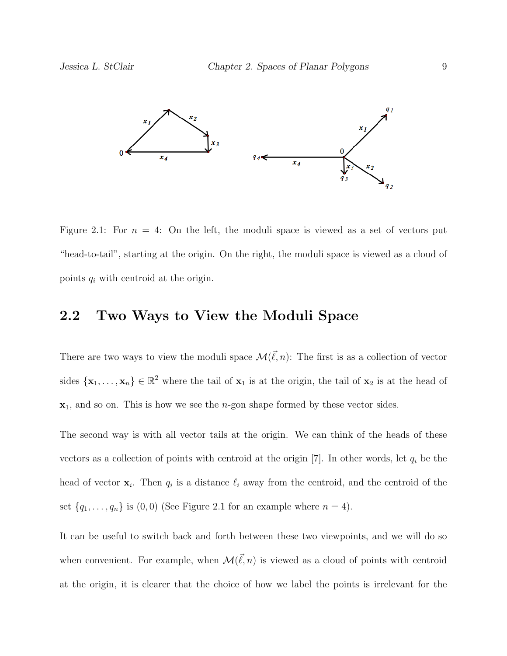

Figure 2.1: For  $n = 4$ : On the left, the moduli space is viewed as a set of vectors put "head-to-tail", starting at the origin. On the right, the moduli space is viewed as a cloud of points  $q_i$  with centroid at the origin.

### 2.2 Two Ways to View the Moduli Space

There are two ways to view the moduli space  $\mathcal{M}(\vec{\ell},n)$ : The first is as a collection of vector sides  $\{\mathbf x_1,\ldots,\mathbf x_n\}\in\mathbb{R}^2$  where the tail of  $\mathbf x_1$  is at the origin, the tail of  $\mathbf x_2$  is at the head of  $x_1$ , and so on. This is how we see the *n*-gon shape formed by these vector sides.

The second way is with all vector tails at the origin. We can think of the heads of these vectors as a collection of points with centroid at the origin  $[7]$ . In other words, let  $q_i$  be the head of vector  $\mathbf{x}_i$ . Then  $q_i$  is a distance  $\ell_i$  away from the centroid, and the centroid of the set  $\{q_1, \ldots, q_n\}$  is  $(0, 0)$  (See Figure 2.1 for an example where  $n = 4$ ).

It can be useful to switch back and forth between these two viewpoints, and we will do so when convenient. For example, when  $\mathcal{M}(\vec{\ell}, n)$  is viewed as a cloud of points with centroid at the origin, it is clearer that the choice of how we label the points is irrelevant for the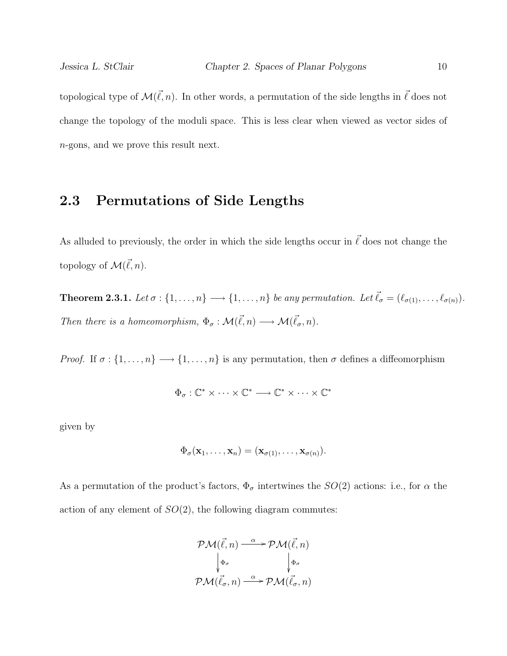topological type of  $\mathcal{M}(\vec{\ell}, n)$ . In other words, a permutation of the side lengths in  $\vec{\ell}$  does not change the topology of the moduli space. This is less clear when viewed as vector sides of n-gons, and we prove this result next.

## 2.3 Permutations of Side Lengths

As alluded to previously, the order in which the side lengths occur in  $\vec{\ell}$  does not change the topology of  $\mathcal{M}(\vec{\ell}, n)$ .

**Theorem 2.3.1.** Let  $\sigma : \{1, \ldots, n\} \longrightarrow \{1, \ldots, n\}$  be any permutation. Let  $\vec{\ell}_{\sigma} = (\ell_{\sigma(1)}, \ldots, \ell_{\sigma(n)})$ . Then there is a homeomorphism,  $\Phi_{\sigma} : \mathcal{M}(\vec{\ell}, n) \longrightarrow \mathcal{M}(\vec{\ell}_{\sigma}, n)$ .

*Proof.* If  $\sigma : \{1, \ldots, n\} \longrightarrow \{1, \ldots, n\}$  is any permutation, then  $\sigma$  defines a diffeomorphism

$$
\Phi_\sigma:\mathbb{C}^*\times\cdots\times\mathbb{C}^*\longrightarrow\mathbb{C}^*\times\cdots\times\mathbb{C}^*
$$

given by

$$
\Phi_{\sigma}(\mathbf{x}_1,\ldots,\mathbf{x}_n)=(\mathbf{x}_{\sigma(1)},\ldots,\mathbf{x}_{\sigma(n)}).
$$

As a permutation of the product's factors,  $\Phi_{\sigma}$  intertwines the  $SO(2)$  actions: i.e., for  $\alpha$  the action of any element of  $SO(2)$ , the following diagram commutes:

$$
\mathcal{PM}(\vec{\ell}, n) \xrightarrow{\alpha} \mathcal{PM}(\vec{\ell}, n)
$$

$$
\downarrow_{\Phi_{\sigma}} \qquad \qquad \downarrow_{\Phi_{\sigma}}
$$

$$
\mathcal{PM}(\vec{\ell}_{\sigma}, n) \xrightarrow{\alpha} \mathcal{PM}(\vec{\ell}_{\sigma}, n)
$$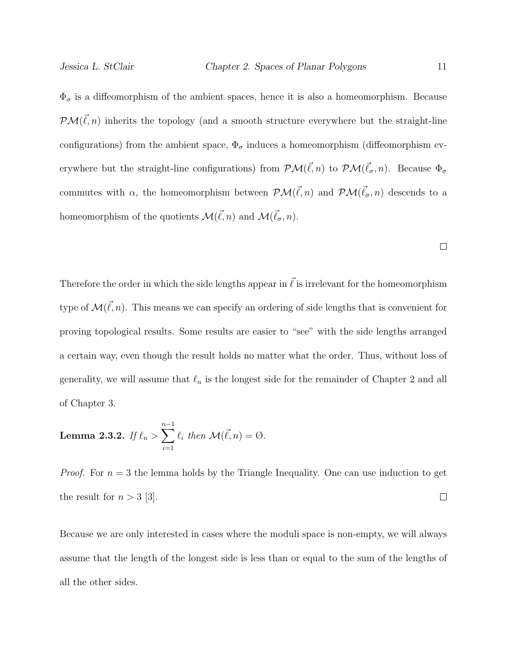$\Phi_{\sigma}$  is a diffeomorphism of the ambient spaces, hence it is also a homeomorphism. Because  $\mathcal{PM}(\vec{\ell}, n)$  inherits the topology (and a smooth structure everywhere but the straight-line configurations) from the ambient space,  $\Phi_{\sigma}$  induces a homeomorphism (diffeomorphism everywhere but the straight-line configurations) from  $\mathcal{PM}(\vec{\ell}, n)$  to  $\mathcal{PM}(\vec{\ell}_{\sigma}, n)$ . Because  $\Phi_{\sigma}$ commutes with  $\alpha$ , the homeomorphism between  $\mathcal{PM}(\vec{\ell}, n)$  and  $\mathcal{PM}(\vec{\ell}_{\sigma}, n)$  descends to a homeomorphism of the quotients  $\mathcal{M}(\vec{\ell}, n)$  and  $\mathcal{M}(\vec{\ell}_{\sigma}, n)$ .

Therefore the order in which the side lengths appear in  $\vec{\ell}$  is irrelevant for the homeomorphism type of  $\mathcal{M}(\vec{\ell}, n)$ . This means we can specify an ordering of side lengths that is convenient for proving topological results. Some results are easier to "see" with the side lengths arranged a certain way, even though the result holds no matter what the order. Thus, without loss of generality, we will assume that  $\ell_n$  is the longest side for the remainder of Chapter 2 and all of Chapter 3.

**Lemma 2.3.2.** If 
$$
\ell_n > \sum_{i=1}^{n-1} \ell_i
$$
 then  $\mathcal{M}(\vec{\ell}, n) = \emptyset$ .

*Proof.* For  $n = 3$  the lemma holds by the Triangle Inequality. One can use induction to get the result for  $n > 3$  [3].  $\Box$ 

Because we are only interested in cases where the moduli space is non-empty, we will always assume that the length of the longest side is less than or equal to the sum of the lengths of all the other sides.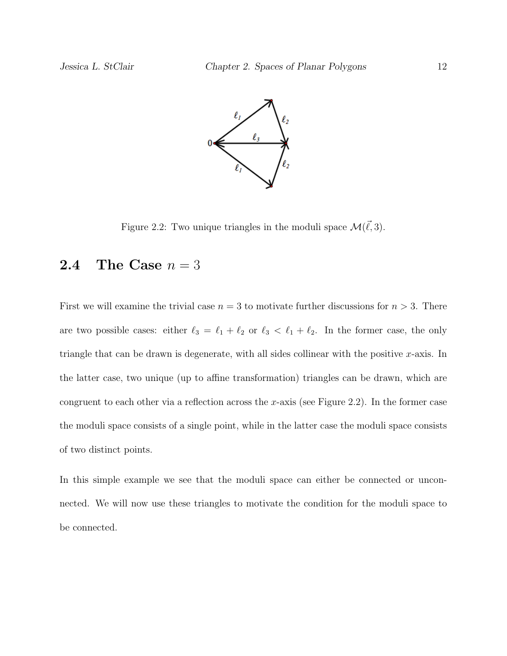

Figure 2.2: Two unique triangles in the moduli space  $\mathcal{M}(\vec{\ell},3)$ .

## **2.4** The Case  $n = 3$

First we will examine the trivial case  $n = 3$  to motivate further discussions for  $n > 3$ . There are two possible cases: either  $\ell_3 = \ell_1 + \ell_2$  or  $\ell_3 < \ell_1 + \ell_2$ . In the former case, the only triangle that can be drawn is degenerate, with all sides collinear with the positive  $x$ -axis. In the latter case, two unique (up to affine transformation) triangles can be drawn, which are congruent to each other via a reflection across the x-axis (see Figure 2.2). In the former case the moduli space consists of a single point, while in the latter case the moduli space consists of two distinct points.

In this simple example we see that the moduli space can either be connected or unconnected. We will now use these triangles to motivate the condition for the moduli space to be connected.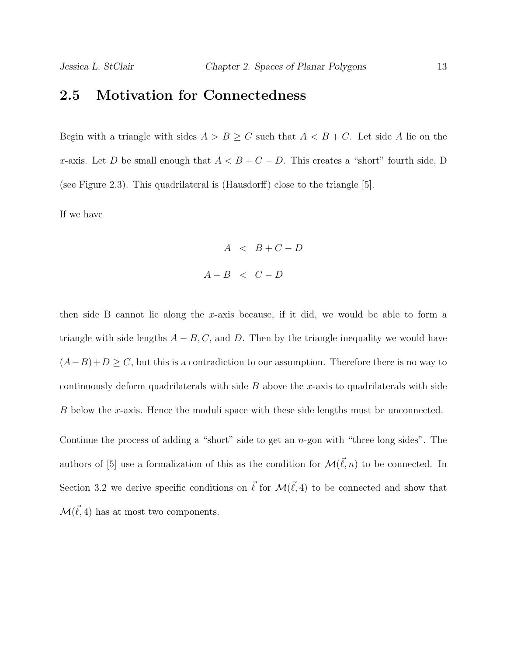#### 2.5 Motivation for Connectedness

Begin with a triangle with sides  $A > B \geq C$  such that  $A < B + C$ . Let side A lie on the x-axis. Let D be small enough that  $A < B + C - D$ . This creates a "short" fourth side, D (see Figure 2.3). This quadrilateral is (Hausdorff) close to the triangle [5].

If we have

$$
A \leq B + C - D
$$
  

$$
A - B \leq C - D
$$

then side B cannot lie along the x-axis because, if it did, we would be able to form a triangle with side lengths  $A - B$ , C, and D. Then by the triangle inequality we would have  $(A-B)+D \geq C$ , but this is a contradiction to our assumption. Therefore there is no way to continuously deform quadrilaterals with side  $B$  above the x-axis to quadrilaterals with side B below the x-axis. Hence the moduli space with these side lengths must be unconnected.

Continue the process of adding a "short" side to get an n-gon with "three long sides". The authors of [5] use a formalization of this as the condition for  $\mathcal{M}(\vec{\ell},n)$  to be connected. In Section 3.2 we derive specific conditions on  $\vec{\ell}$  for  $\mathcal{M}(\vec{\ell}, 4)$  to be connected and show that  $\mathcal{M}(\vec{\ell}, 4)$  has at most two components.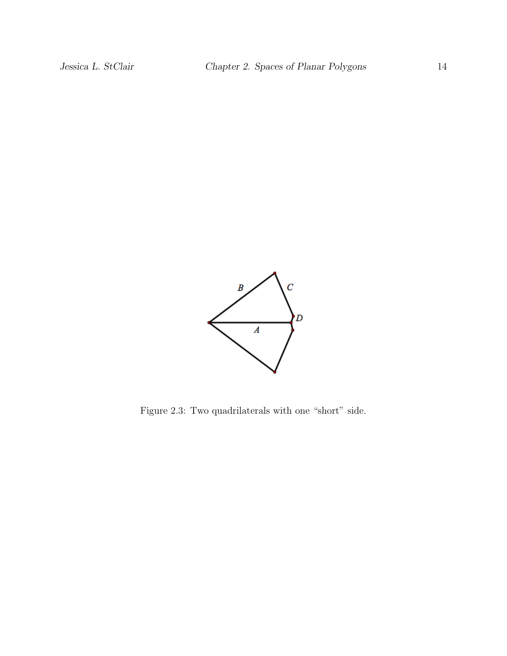

Figure 2.3: Two quadrilaterals with one "short" side.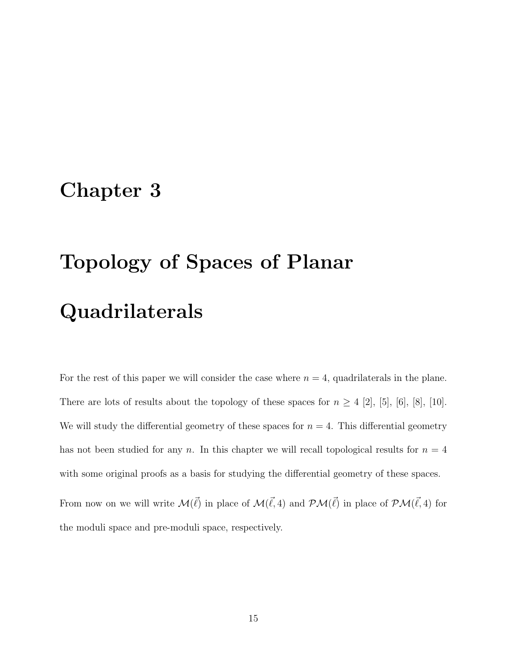## Chapter 3

# Topology of Spaces of Planar Quadrilaterals

For the rest of this paper we will consider the case where  $n = 4$ , quadrilaterals in the plane. There are lots of results about the topology of these spaces for  $n \geq 4$  [2], [5], [6], [8], [10]. We will study the differential geometry of these spaces for  $n = 4$ . This differential geometry has not been studied for any n. In this chapter we will recall topological results for  $n = 4$ with some original proofs as a basis for studying the differential geometry of these spaces.

From now on we will write  $\mathcal{M}(\vec{\ell})$  in place of  $\mathcal{M}(\vec{\ell}, 4)$  and  $\mathcal{PM}(\vec{\ell})$  in place of  $\mathcal{PM}(\vec{\ell}, 4)$  for the moduli space and pre-moduli space, respectively.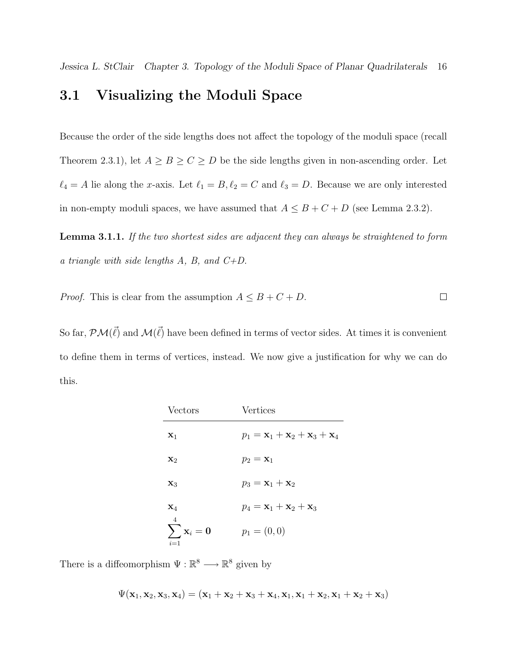## 3.1 Visualizing the Moduli Space

Because the order of the side lengths does not affect the topology of the moduli space (recall Theorem 2.3.1), let  $A \ge B \ge C \ge D$  be the side lengths given in non-ascending order. Let  $\ell_4 = A$  lie along the x-axis. Let  $\ell_1 = B, \ell_2 = C$  and  $\ell_3 = D$ . Because we are only interested in non-empty moduli spaces, we have assumed that  $A \leq B + C + D$  (see Lemma 2.3.2).

Lemma 3.1.1. If the two shortest sides are adjacent they can always be straightened to form a triangle with side lengths  $A$ ,  $B$ , and  $C+D$ .

*Proof.* This is clear from the assumption  $A \leq B + C + D$ .  $\Box$ 

So far,  $\mathcal{PM}(\vec{\ell})$  and  $\mathcal{M}(\vec{\ell})$  have been defined in terms of vector sides. At times it is convenient to define them in terms of vertices, instead. We now give a justification for why we can do this.

| Vectors                                   | Vertices                                                          |
|-------------------------------------------|-------------------------------------------------------------------|
| $\mathbf{x}_1$                            | $p_1 = \mathbf{x}_1 + \mathbf{x}_2 + \mathbf{x}_3 + \mathbf{x}_4$ |
| $\mathbf{x}_2$                            | $p_2 = x_1$                                                       |
| $\mathbf{x}_3$                            | $p_3 = \mathbf{x}_1 + \mathbf{x}_2$                               |
| $\mathbf{x}_4$<br>$\overline{4}$          | $p_4 = \mathbf{x}_1 + \mathbf{x}_2 + \mathbf{x}_3$                |
| $\sum \mathbf{x}_i = \mathbf{0}$<br>$i=1$ | $p_1 = (0,0)$                                                     |

There is a diffeomorphism  $\Psi : \mathbb{R}^8 \longrightarrow \mathbb{R}^8$  given by

$$
\Psi({\bf x}_1,{\bf x}_2,{\bf x}_3,{\bf x}_4) = ({\bf x}_1+{\bf x}_2+{\bf x}_3+{\bf x}_4,{\bf x}_1,{\bf x}_1+{\bf x}_2,{\bf x}_1+{\bf x}_2+{\bf x}_3)
$$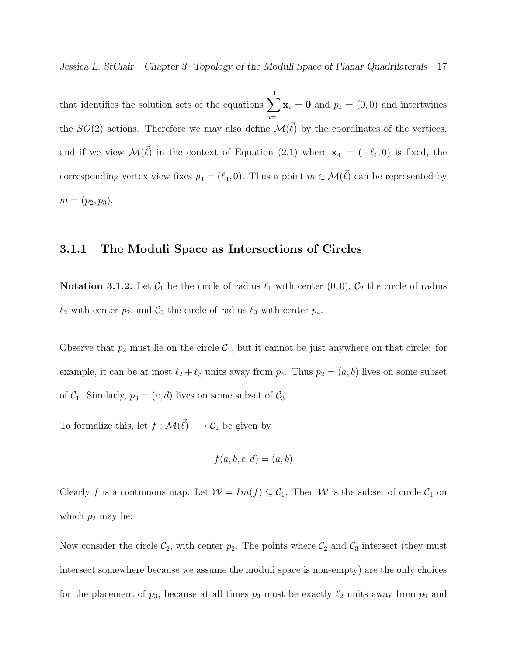that identifies the solution sets of the equations  $\sum$ 4  $i=1$  $\mathbf{x}_i = \mathbf{0}$  and  $p_1 = (0, 0)$  and intertwines the  $SO(2)$  actions. Therefore we may also define  $\mathcal{M}(\vec{\ell})$  by the coordinates of the vertices, and if we view  $\mathcal{M}(\vec{\ell})$  in the context of Equation (2.1) where  $\mathbf{x}_4 = (-\ell_4, 0)$  is fixed, the corresponding vertex view fixes  $p_4 = (\ell_4, 0)$ . Thus a point  $m \in \mathcal{M}(\vec{\ell})$  can be represented by  $m = (p_2, p_3).$ 

#### 3.1.1 The Moduli Space as Intersections of Circles

**Notation 3.1.2.** Let  $\mathcal{C}_1$  be the circle of radius  $\ell_1$  with center  $(0, 0)$ ,  $\mathcal{C}_2$  the circle of radius  $\ell_2$  with center  $p_2$ , and  $\mathcal{C}_3$  the circle of radius  $\ell_3$  with center  $p_4$ .

Observe that  $p_2$  must lie on the circle  $C_1$ , but it cannot be just anywhere on that circle: for example, it can be at most  $\ell_2 + \ell_3$  units away from  $p_4$ . Thus  $p_2 = (a, b)$  lives on some subset of  $C_1$ . Similarly,  $p_3 = (c, d)$  lives on some subset of  $C_3$ .

To formalize this, let  $f: \mathcal{M}(\vec{\ell}) \longrightarrow C_1$  be given by

$$
f(a, b, c, d) = (a, b)
$$

Clearly f is a continuous map. Let  $W = Im(f) \subseteq C_1$ . Then W is the subset of circle  $C_1$  on which  $p_2$  may lie.

Now consider the circle  $\mathcal{C}_2$ , with center  $p_2$ . The points where  $\mathcal{C}_2$  and  $\mathcal{C}_3$  intersect (they must intersect somewhere because we assume the moduli space is non-empty) are the only choices for the placement of  $p_3$ , because at all times  $p_3$  must be exactly  $\ell_2$  units away from  $p_2$  and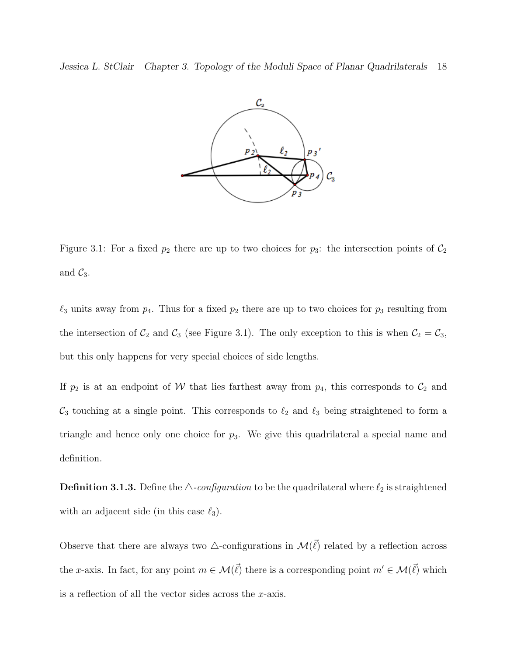

Figure 3.1: For a fixed  $p_2$  there are up to two choices for  $p_3$ : the intersection points of  $C_2$ and  $\mathcal{C}_3$ .

 $\ell_3$  units away from  $p_4$ . Thus for a fixed  $p_2$  there are up to two choices for  $p_3$  resulting from the intersection of  $C_2$  and  $C_3$  (see Figure 3.1). The only exception to this is when  $C_2 = C_3$ , but this only happens for very special choices of side lengths.

If  $p_2$  is at an endpoint of W that lies farthest away from  $p_4$ , this corresponds to  $\mathcal{C}_2$  and  $\mathcal{C}_3$  touching at a single point. This corresponds to  $\ell_2$  and  $\ell_3$  being straightened to form a triangle and hence only one choice for  $p_3$ . We give this quadrilateral a special name and definition.

**Definition 3.1.3.** Define the  $\triangle$ -configuration to be the quadrilateral where  $\ell_2$  is straightened with an adjacent side (in this case  $\ell_3$ ).

Observe that there are always two  $\triangle$ -configurations in  $\mathcal{M}(\vec{\ell})$  related by a reflection across the x-axis. In fact, for any point  $m \in \mathcal{M}(\vec{\ell})$  there is a corresponding point  $m' \in \mathcal{M}(\vec{\ell})$  which is a reflection of all the vector sides across the x-axis.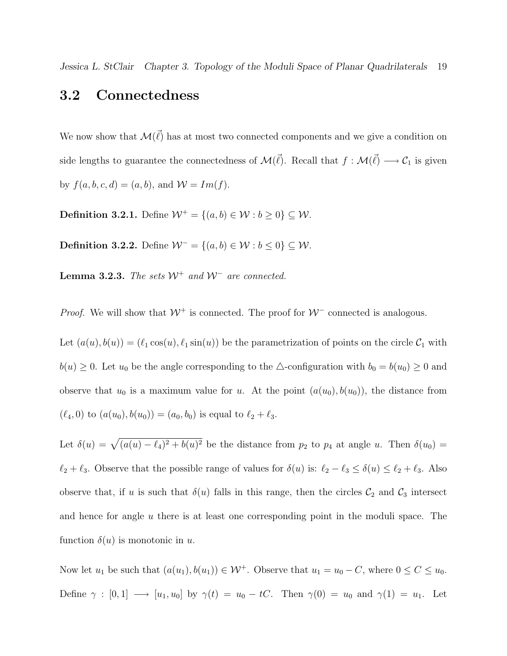#### 3.2 Connectedness

We now show that  $\mathcal{M}(\vec{\ell})$  has at most two connected components and we give a condition on side lengths to guarantee the connectedness of  $\mathcal{M}(\vec{\ell})$ . Recall that  $f : \mathcal{M}(\vec{\ell}) \longrightarrow C_1$  is given by  $f(a, b, c, d) = (a, b)$ , and  $W = Im(f)$ .

**Definition 3.2.1.** Define  $\mathcal{W}^+ = \{(a, b) \in \mathcal{W} : b \geq 0\} \subseteq \mathcal{W}$ .

Definition 3.2.2. Define  $\mathcal{W}^- = \{(a, b) \in \mathcal{W} : b \leq 0\} \subseteq \mathcal{W}$ .

Lemma 3.2.3. The sets  $W^+$  and  $W^-$  are connected.

*Proof.* We will show that  $W^+$  is connected. The proof for  $W^-$  connected is analogous.

Let  $(a(u), b(u)) = (\ell_1 \cos(u), \ell_1 \sin(u))$  be the parametrization of points on the circle  $C_1$  with  $b(u) \geq 0$ . Let  $u_0$  be the angle corresponding to the  $\triangle$ -configuration with  $b_0 = b(u_0) \geq 0$  and observe that  $u_0$  is a maximum value for u. At the point  $(a(u_0), b(u_0))$ , the distance from  $(\ell_4, 0)$  to  $(a(u_0), b(u_0)) = (a_0, b_0)$  is equal to  $\ell_2 + \ell_3$ .

Let  $\delta(u) = \sqrt{(a(u) - \ell_4)^2 + b(u)^2}$  be the distance from  $p_2$  to  $p_4$  at angle u. Then  $\delta(u_0)$  $\ell_2 + \ell_3$ . Observe that the possible range of values for  $\delta(u)$  is:  $\ell_2 - \ell_3 \leq \delta(u) \leq \ell_2 + \ell_3$ . Also observe that, if u is such that  $\delta(u)$  falls in this range, then the circles  $\mathcal{C}_2$  and  $\mathcal{C}_3$  intersect and hence for angle u there is at least one corresponding point in the moduli space. The function  $\delta(u)$  is monotonic in u.

Now let  $u_1$  be such that  $(a(u_1), b(u_1)) \in \mathcal{W}^+$ . Observe that  $u_1 = u_0 - C$ , where  $0 \le C \le u_0$ . Define  $\gamma : [0,1] \longrightarrow [u_1, u_0]$  by  $\gamma(t) = u_0 - tC$ . Then  $\gamma(0) = u_0$  and  $\gamma(1) = u_1$ . Let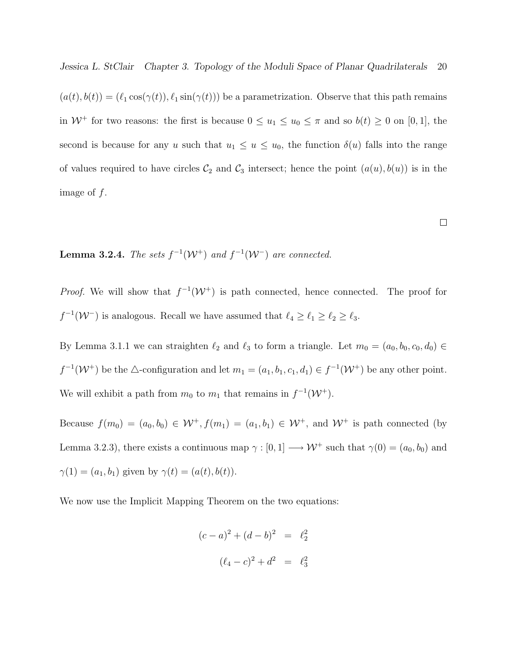$(a(t), b(t)) = (\ell_1 \cos(\gamma(t)), \ell_1 \sin(\gamma(t)))$  be a parametrization. Observe that this path remains in  $W^+$  for two reasons: the first is because  $0 \le u_1 \le u_0 \le \pi$  and so  $b(t) \ge 0$  on [0, 1], the second is because for any u such that  $u_1 \leq u \leq u_0$ , the function  $\delta(u)$  falls into the range of values required to have circles  $\mathcal{C}_2$  and  $\mathcal{C}_3$  intersect; hence the point  $(a(u), b(u))$  is in the image of  $f$ .

**Lemma 3.2.4.** The sets  $f^{-1}(\mathcal{W}^+)$  and  $f^{-1}(\mathcal{W}^-)$  are connected.

*Proof.* We will show that  $f^{-1}(\mathcal{W}^+)$  is path connected, hence connected. The proof for  $f^{-1}(\mathcal{W}^-)$  is analogous. Recall we have assumed that  $\ell_4 \geq \ell_1 \geq \ell_2 \geq \ell_3$ .

By Lemma 3.1.1 we can straighten  $\ell_2$  and  $\ell_3$  to form a triangle. Let  $m_0 = (a_0, b_0, c_0, d_0) \in$  $f^{-1}(\mathcal{W}^+)$  be the  $\triangle$ -configuration and let  $m_1 = (a_1, b_1, c_1, d_1) \in f^{-1}(\mathcal{W}^+)$  be any other point. We will exhibit a path from  $m_0$  to  $m_1$  that remains in  $f^{-1}(\mathcal{W}^+)$ .

Because  $f(m_0) = (a_0, b_0) \in \mathcal{W}^+, f(m_1) = (a_1, b_1) \in \mathcal{W}^+,$  and  $\mathcal{W}^+$  is path connected (by Lemma 3.2.3), there exists a continuous map  $\gamma : [0, 1] \longrightarrow \mathcal{W}^+$  such that  $\gamma(0) = (a_0, b_0)$  and  $\gamma(1) = (a_1, b_1)$  given by  $\gamma(t) = (a(t), b(t)).$ 

We now use the Implicit Mapping Theorem on the two equations:

$$
(c-a)^2 + (d-b)^2 = \ell_2^2
$$
  

$$
(\ell_4 - c)^2 + d^2 = \ell_3^2
$$

$$
\Box
$$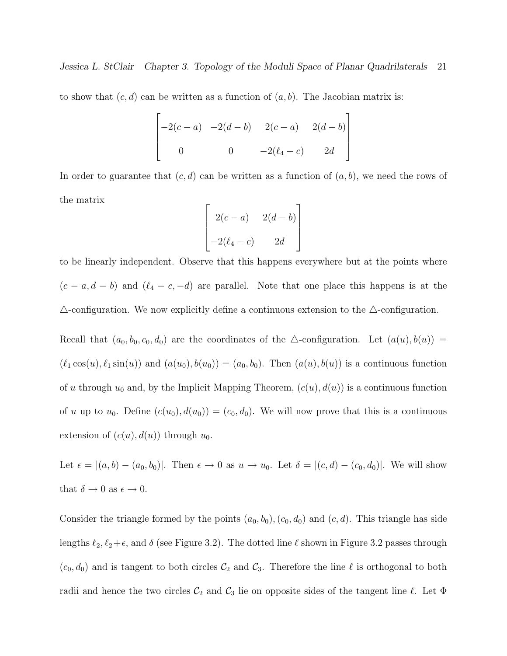to show that  $(c, d)$  can be written as a function of  $(a, b)$ . The Jacobian matrix is:

$$
\begin{bmatrix} -2(c-a) & -2(d-b) & 2(c-a) & 2(d-b) \\ 0 & 0 & -2(\ell_4 - c) & 2d \end{bmatrix}
$$

In order to guarantee that  $(c, d)$  can be written as a function of  $(a, b)$ , we need the rows of the matrix

$$
\begin{bmatrix} 2(c-a) & 2(d-b) \ -2(\ell_4 - c) & 2d \end{bmatrix}
$$

to be linearly independent. Observe that this happens everywhere but at the points where  $(c - a, d - b)$  and  $(\ell_4 - c, -d)$  are parallel. Note that one place this happens is at the  $\triangle$ -configuration. We now explicitly define a continuous extension to the  $\triangle$ -configuration.

Recall that  $(a_0, b_0, c_0, d_0)$  are the coordinates of the  $\triangle$ -configuration. Let  $(a(u), b(u))$  =  $(\ell_1 \cos(u), \ell_1 \sin(u))$  and  $(a(u_0), b(u_0)) = (a_0, b_0)$ . Then  $(a(u), b(u))$  is a continuous function of u through  $u_0$  and, by the Implicit Mapping Theorem,  $(c(u), d(u))$  is a continuous function of u up to  $u_0$ . Define  $(c(u_0), d(u_0)) = (c_0, d_0)$ . We will now prove that this is a continuous extension of  $(c(u), d(u))$  through  $u_0$ .

Let  $\epsilon = |(a, b) - (a_0, b_0)|$ . Then  $\epsilon \to 0$  as  $u \to u_0$ . Let  $\delta = |(c, d) - (c_0, d_0)|$ . We will show that  $\delta \to 0$  as  $\epsilon \to 0.$ 

Consider the triangle formed by the points  $(a_0, b_0), (c_0, d_0)$  and  $(c, d)$ . This triangle has side lengths  $\ell_2, \ell_2+\epsilon$ , and  $\delta$  (see Figure 3.2). The dotted line  $\ell$  shown in Figure 3.2 passes through  $(c_0, d_0)$  and is tangent to both circles  $\mathcal{C}_2$  and  $\mathcal{C}_3$ . Therefore the line  $\ell$  is orthogonal to both radii and hence the two circles  $\mathcal{C}_2$  and  $\mathcal{C}_3$  lie on opposite sides of the tangent line  $\ell$ . Let  $\Phi$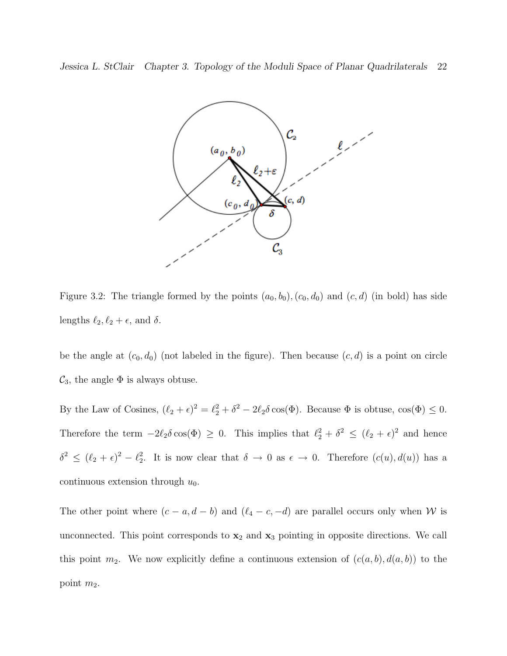

Figure 3.2: The triangle formed by the points  $(a_0, b_0), (c_0, d_0)$  and  $(c, d)$  (in bold) has side lengths  $\ell_2, \ell_2 + \epsilon$ , and  $\delta$ .

be the angle at  $(c_0, d_0)$  (not labeled in the figure). Then because  $(c, d)$  is a point on circle  $\mathcal{C}_3$ , the angle  $\Phi$  is always obtuse.

By the Law of Cosines,  $(\ell_2 + \epsilon)^2 = \ell_2^2 + \delta^2 - 2\ell_2\delta\cos(\Phi)$ . Because  $\Phi$  is obtuse,  $\cos(\Phi) \leq 0$ . Therefore the term  $-2\ell_2\delta\cos(\Phi) \geq 0$ . This implies that  $\ell_2^2 + \delta^2 \leq (\ell_2 + \epsilon)^2$  and hence  $\delta^2 \leq (\ell_2 + \epsilon)^2 - \ell_2^2$ . It is now clear that  $\delta \to 0$  as  $\epsilon \to 0$ . Therefore  $(c(u), d(u))$  has a continuous extension through  $u_0$ .

The other point where  $(c - a, d - b)$  and  $(\ell_4 - c, -d)$  are parallel occurs only when W is unconnected. This point corresponds to  $x_2$  and  $x_3$  pointing in opposite directions. We call this point  $m_2$ . We now explicitly define a continuous extension of  $(c(a, b), d(a, b))$  to the point  $m_2$ .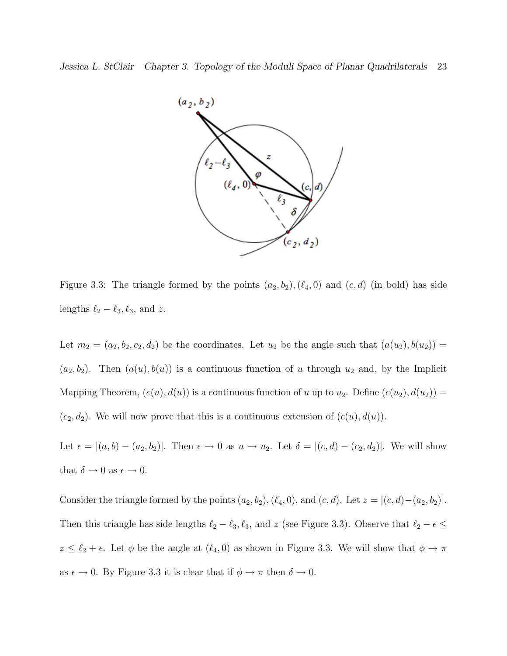

Figure 3.3: The triangle formed by the points  $(a_2, b_2)$ ,  $(\ell_4, 0)$  and  $(c, d)$  (in bold) has side lengths  $\ell_2 - \ell_3, \ell_3$ , and z.

Let  $m_2 = (a_2, b_2, c_2, d_2)$  be the coordinates. Let  $u_2$  be the angle such that  $(a(u_2), b(u_2)) =$  $(a_2, b_2)$ . Then  $(a(u), b(u))$  is a continuous function of u through  $u_2$  and, by the Implicit Mapping Theorem,  $(c(u), d(u))$  is a continuous function of u up to  $u_2$ . Define  $(c(u_2), d(u_2))$  =  $(c_2, d_2)$ . We will now prove that this is a continuous extension of  $(c(u), d(u))$ .

Let  $\epsilon = |(a, b) - (a_2, b_2)|$ . Then  $\epsilon \to 0$  as  $u \to u_2$ . Let  $\delta = |(c, d) - (c_2, d_2)|$ . We will show that  $\delta \to 0$  as  $\epsilon \to 0$ .

Consider the triangle formed by the points  $(a_2, b_2)$ ,  $(\ell_4, 0)$ , and  $(c, d)$ . Let  $z = |(c, d)-(a_2, b_2)|$ . Then this triangle has side lengths  $\ell_2 - \ell_3, \ell_3$ , and z (see Figure 3.3). Observe that  $\ell_2 - \epsilon \leq$  $z \le \ell_2 + \epsilon$ . Let  $\phi$  be the angle at  $(\ell_4, 0)$  as shown in Figure 3.3. We will show that  $\phi \to \pi$ as  $\epsilon \to 0$ . By Figure 3.3 it is clear that if  $\phi \to \pi$  then  $\delta \to 0$ .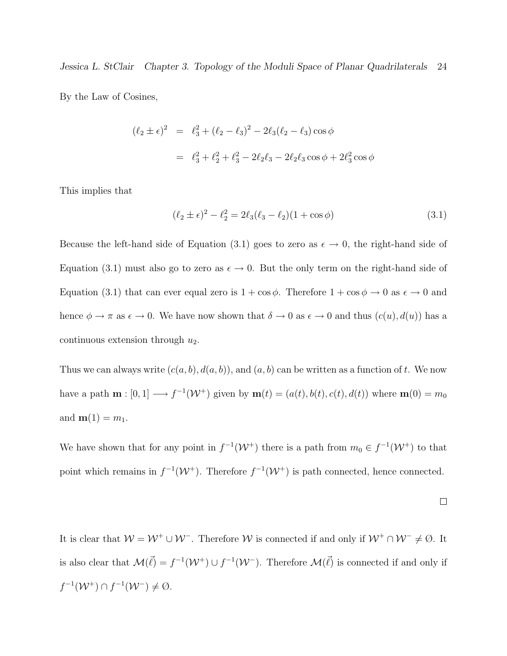By the Law of Cosines,

$$
(\ell_2 \pm \epsilon)^2 = \ell_3^2 + (\ell_2 - \ell_3)^2 - 2\ell_3(\ell_2 - \ell_3)\cos\phi
$$
  
=  $\ell_3^2 + \ell_2^2 + \ell_3^2 - 2\ell_2\ell_3 - 2\ell_2\ell_3\cos\phi + 2\ell_3^2\cos\phi$ 

This implies that

$$
(\ell_2 \pm \epsilon)^2 - \ell_2^2 = 2\ell_3(\ell_3 - \ell_2)(1 + \cos \phi)
$$
\n(3.1)

Because the left-hand side of Equation (3.1) goes to zero as  $\epsilon \to 0$ , the right-hand side of Equation (3.1) must also go to zero as  $\epsilon \to 0$ . But the only term on the right-hand side of Equation (3.1) that can ever equal zero is  $1 + \cos \phi$ . Therefore  $1 + \cos \phi \to 0$  as  $\epsilon \to 0$  and hence  $\phi \to \pi$  as  $\epsilon \to 0$ . We have now shown that  $\delta \to 0$  as  $\epsilon \to 0$  and thus  $(c(u), d(u))$  has a continuous extension through  $u_2$ .

Thus we can always write  $(c(a, b), d(a, b))$ , and  $(a, b)$  can be written as a function of t. We now have a path  $\mathbf{m} : [0, 1] \longrightarrow f^{-1}(\mathcal{W}^+)$  given by  $\mathbf{m}(t) = (a(t), b(t), c(t), d(t))$  where  $\mathbf{m}(0) = m_0$ and  $\mathbf{m}(1) = m_1$ .

We have shown that for any point in  $f^{-1}(\mathcal{W}^+)$  there is a path from  $m_0 \in f^{-1}(\mathcal{W}^+)$  to that point which remains in  $f^{-1}(\mathcal{W}^+)$ . Therefore  $f^{-1}(\mathcal{W}^+)$  is path connected, hence connected.

$$
\qquad \qquad \Box
$$

It is clear that  $W = W^+ \cup W^-$ . Therefore W is connected if and only if  $W^+ \cap W^- \neq \emptyset$ . It is also clear that  $\mathcal{M}(\vec{\ell}) = f^{-1}(\mathcal{W}^+) \cup f^{-1}(\mathcal{W}^-)$ . Therefore  $\mathcal{M}(\vec{\ell})$  is connected if and only if  $f^{-1}(\mathcal{W}^+) \cap f^{-1}(\mathcal{W}^-) \neq \emptyset.$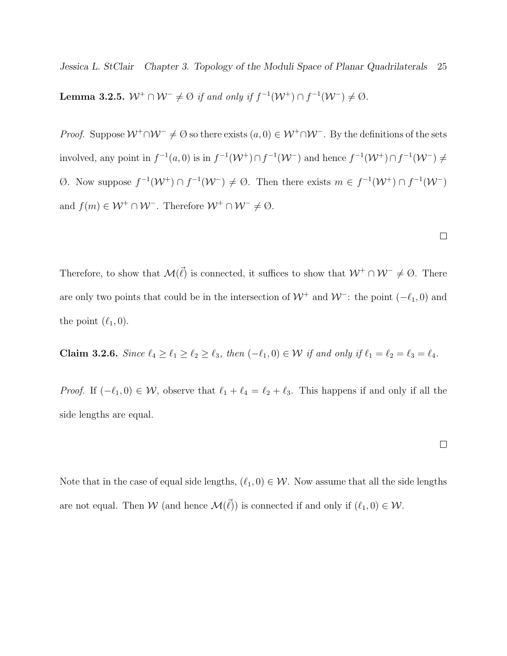**Lemma 3.2.5.**  $W^+ \cap W^- \neq \emptyset$  if and only if  $f^{-1}(W^+) \cap f^{-1}(W^-) \neq \emptyset$ .

*Proof.* Suppose  $W^+\cap W^- \neq \emptyset$  so there exists  $(a, 0) \in W^+\cap W^-$ . By the definitions of the sets involved, any point in  $f^{-1}(a, 0)$  is in  $f^{-1}(\mathcal{W}^+) \cap f^{-1}(\mathcal{W}^-)$  and hence  $f^{-1}(\mathcal{W}^+) \cap f^{-1}(\mathcal{W}^-) \neq$  $\emptyset$ . Now suppose  $f^{-1}(\mathcal{W}^+) \cap f^{-1}(\mathcal{W}^-) \neq \emptyset$ . Then there exists  $m \in f^{-1}(\mathcal{W}^+) \cap f^{-1}(\mathcal{W}^-)$ and  $f(m) \in \mathcal{W}^+ \cap \mathcal{W}^-$ . Therefore  $\mathcal{W}^+ \cap \mathcal{W}^- \neq \emptyset$ .

Therefore, to show that  $\mathcal{M}(\vec{\ell})$  is connected, it suffices to show that  $\mathcal{W}^+ \cap \mathcal{W}^- \neq \emptyset$ . There are only two points that could be in the intersection of  $W^+$  and  $W^-$ : the point  $(-\ell_1, 0)$  and the point  $(\ell_1, 0)$ .

Claim 3.2.6. Since  $\ell_4 \geq \ell_1 \geq \ell_2 \geq \ell_3$ , then  $(-\ell_1, 0) \in \mathcal{W}$  if and only if  $\ell_1 = \ell_2 = \ell_3 = \ell_4$ .

*Proof.* If  $(-\ell_1, 0) \in \mathcal{W}$ , observe that  $\ell_1 + \ell_4 = \ell_2 + \ell_3$ . This happens if and only if all the side lengths are equal.

Note that in the case of equal side lengths,  $(\ell_1, 0) \in \mathcal{W}$ . Now assume that all the side lengths are not equal. Then W (and hence  $\mathcal{M}(\vec{\ell})$ ) is connected if and only if  $(\ell_1, 0) \in \mathcal{W}$ .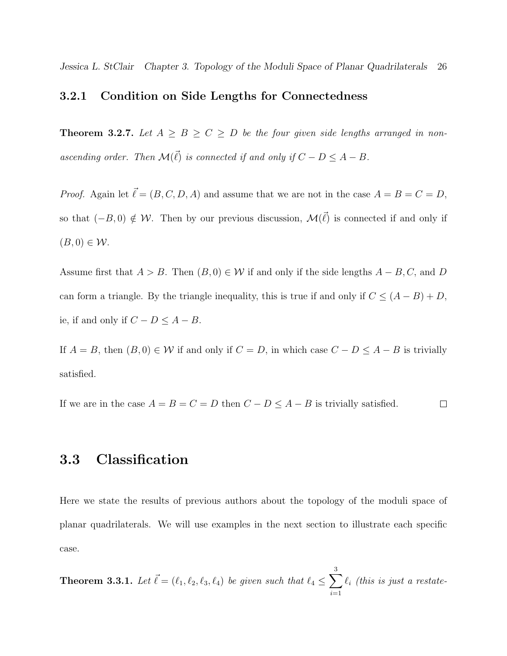#### 3.2.1 Condition on Side Lengths for Connectedness

**Theorem 3.2.7.** Let  $A \geq B \geq C \geq D$  be the four given side lengths arranged in nonascending order. Then  $\mathcal{M}(\vec{\ell})$  is connected if and only if  $C - D \leq A - B$ .

*Proof.* Again let  $\vec{\ell} = (B, C, D, A)$  and assume that we are not in the case  $A = B = C = D$ , so that  $(-B, 0) \notin W$ . Then by our previous discussion,  $\mathcal{M}(\vec{\ell})$  is connected if and only if  $(B, 0) \in \mathcal{W}$ .

Assume first that  $A > B$ . Then  $(B, 0) \in W$  if and only if the side lengths  $A - B, C$ , and D can form a triangle. By the triangle inequality, this is true if and only if  $C \leq (A - B) + D$ , ie, if and only if  $C - D \leq A - B$ .

If  $A = B$ , then  $(B, 0) \in W$  if and only if  $C = D$ , in which case  $C - D \leq A - B$  is trivially satisfied.

If we are in the case  $A = B = C = D$  then  $C - D \leq A - B$  is trivially satisfied.  $\Box$ 

#### 3.3 Classification

Here we state the results of previous authors about the topology of the moduli space of planar quadrilaterals. We will use examples in the next section to illustrate each specific case.

**Theorem 3.3.1.** Let  $\vec{\ell} = (\ell_1, \ell_2, \ell_3, \ell_4)$  be given such that  $\ell_4 \leq \sum$ 3  $i=1$  $\ell_i$  (this is just a restate-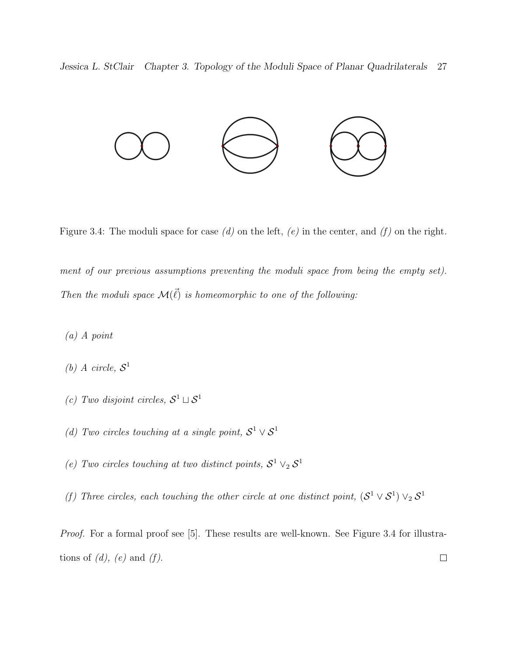

Figure 3.4: The moduli space for case  $(d)$  on the left,  $(e)$  in the center, and  $(f)$  on the right.

ment of our previous assumptions preventing the moduli space from being the empty set). Then the moduli space  $\mathcal{M}(\vec{\ell})$  is homeomorphic to one of the following:

- (a) A point
- (b) A circle,  $S^1$
- (c) Two disjoint circles,  $S^1 \sqcup S^1$
- (d) Two circles touching at a single point,  $S^1 \vee S^1$
- (e) Two circles touching at two distinct points,  $S^1 \vee_2 S^1$
- (f) Three circles, each touching the other circle at one distinct point,  $(S^1 \vee S^1) \vee_2 S^1$

Proof. For a formal proof see [5]. These results are well-known. See Figure 3.4 for illustrations of  $(d)$ ,  $(e)$  and  $(f)$ .  $\Box$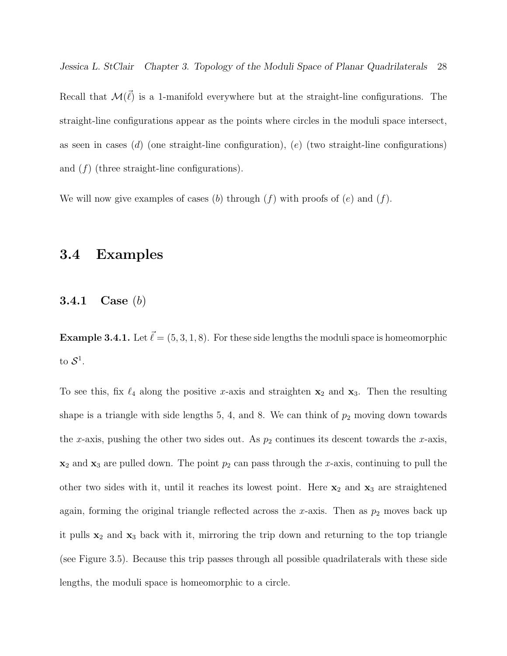Recall that  $\mathcal{M}(\vec{\ell})$  is a 1-manifold everywhere but at the straight-line configurations. The straight-line configurations appear as the points where circles in the moduli space intersect, as seen in cases (d) (one straight-line configuration), (e) (two straight-line configurations) and  $(f)$  (three straight-line configurations).

We will now give examples of cases (b) through  $(f)$  with proofs of  $(e)$  and  $(f)$ .

# 3.4 Examples

#### **3.4.1** Case  $(b)$

**Example 3.4.1.** Let  $\vec{\ell} = (5, 3, 1, 8)$ . For these side lengths the moduli space is homeomorphic to  $\mathcal{S}^1$ .

To see this, fix  $\ell_4$  along the positive x-axis and straighten  $x_2$  and  $x_3$ . Then the resulting shape is a triangle with side lengths 5, 4, and 8. We can think of  $p_2$  moving down towards the x-axis, pushing the other two sides out. As  $p_2$  continues its descent towards the x-axis,  $x_2$  and  $x_3$  are pulled down. The point  $p_2$  can pass through the x-axis, continuing to pull the other two sides with it, until it reaches its lowest point. Here  $x_2$  and  $x_3$  are straightened again, forming the original triangle reflected across the x-axis. Then as  $p_2$  moves back up it pulls  $x_2$  and  $x_3$  back with it, mirroring the trip down and returning to the top triangle (see Figure 3.5). Because this trip passes through all possible quadrilaterals with these side lengths, the moduli space is homeomorphic to a circle.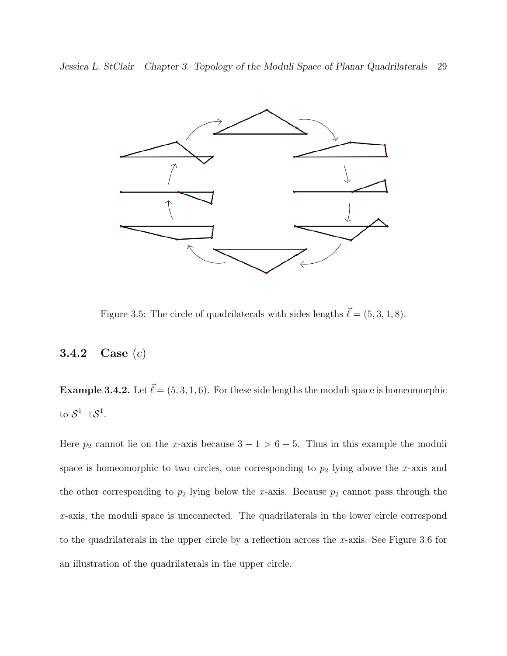

Figure 3.5: The circle of quadrilaterals with sides lengths  $\vec{\ell} = (5, 3, 1, 8)$ .

## 3.4.2 Case (c)

**Example 3.4.2.** Let  $\vec{\ell} = (5, 3, 1, 6)$ . For these side lengths the moduli space is homeomorphic to  $S^1 \sqcup S^1$ .

Here  $p_2$  cannot lie on the x-axis because  $3 - 1 > 6 - 5$ . Thus in this example the moduli space is homeomorphic to two circles, one corresponding to  $p_2$  lying above the x-axis and the other corresponding to  $p_2$  lying below the x-axis. Because  $p_2$  cannot pass through the x-axis, the moduli space is unconnected. The quadrilaterals in the lower circle correspond to the quadrilaterals in the upper circle by a reflection across the x-axis. See Figure 3.6 for an illustration of the quadrilaterals in the upper circle.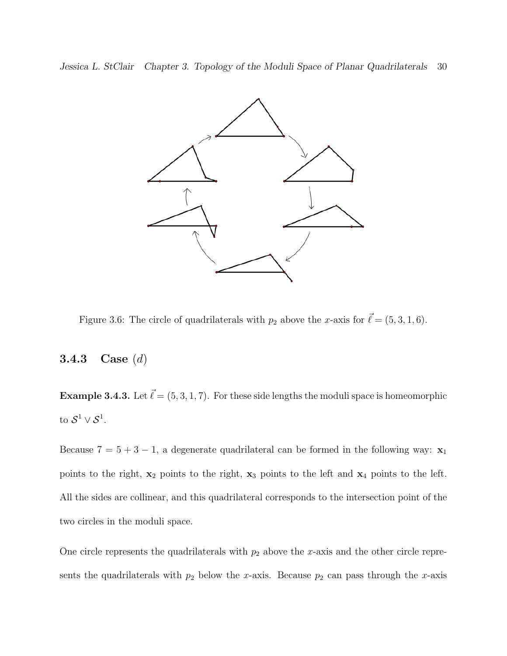

Figure 3.6: The circle of quadrilaterals with  $p_2$  above the x-axis for  $\vec{\ell} = (5, 3, 1, 6)$ .

#### **3.4.3** Case  $(d)$

**Example 3.4.3.** Let  $\vec{\ell} = (5, 3, 1, 7)$ . For these side lengths the moduli space is homeomorphic to  $\mathcal{S}^1 \vee \mathcal{S}^1$ .

Because  $7 = 5 + 3 - 1$ , a degenerate quadrilateral can be formed in the following way:  $\mathbf{x}_1$ points to the right,  $x_2$  points to the right,  $x_3$  points to the left and  $x_4$  points to the left. All the sides are collinear, and this quadrilateral corresponds to the intersection point of the two circles in the moduli space.

One circle represents the quadrilaterals with  $p_2$  above the x-axis and the other circle represents the quadrilaterals with  $p_2$  below the x-axis. Because  $p_2$  can pass through the x-axis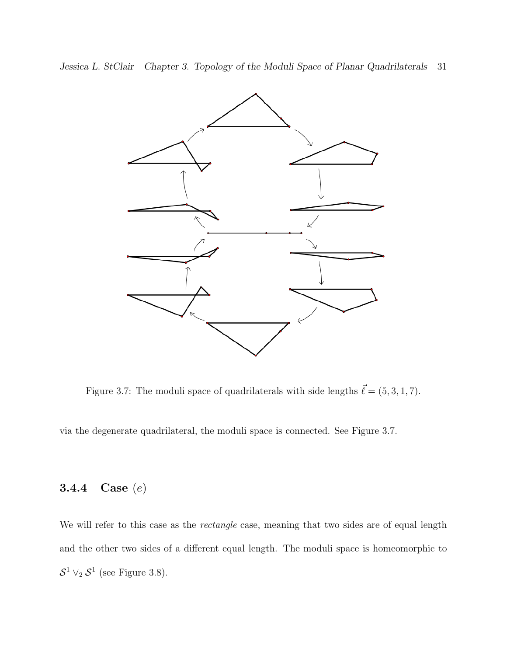

Figure 3.7: The moduli space of quadrilaterals with side lengths  $\vec{\ell} = (5, 3, 1, 7)$ .

via the degenerate quadrilateral, the moduli space is connected. See Figure 3.7.

#### 3.4.4 Case (e)

We will refer to this case as the *rectangle* case, meaning that two sides are of equal length and the other two sides of a different equal length. The moduli space is homeomorphic to  $S^1 \vee_2 S^1$  (see Figure 3.8).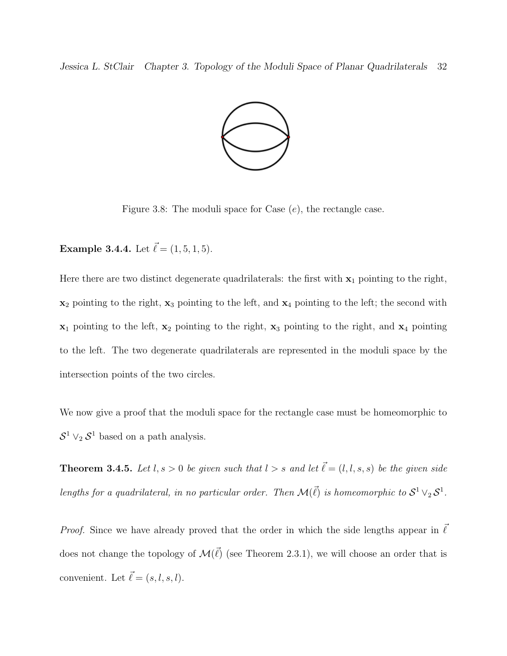

Figure 3.8: The moduli space for Case (e), the rectangle case.

**Example 3.4.4.** Let  $\vec{\ell} = (1, 5, 1, 5)$ .

Here there are two distinct degenerate quadrilaterals: the first with  $x_1$  pointing to the right,  $x_2$  pointing to the right,  $x_3$  pointing to the left, and  $x_4$  pointing to the left; the second with  $x_1$  pointing to the left,  $x_2$  pointing to the right,  $x_3$  pointing to the right, and  $x_4$  pointing to the left. The two degenerate quadrilaterals are represented in the moduli space by the intersection points of the two circles.

We now give a proof that the moduli space for the rectangle case must be homeomorphic to  $S^1 \vee_2 S^1$  based on a path analysis.

**Theorem 3.4.5.** Let  $l, s > 0$  be given such that  $l > s$  and let  $\vec{l} = (l, l, s, s)$  be the given side lengths for a quadrilateral, in no particular order. Then  $\mathcal{M}(\vec{\ell})$  is homeomorphic to  $\mathcal{S}^1 \vee_2 \mathcal{S}^1$ .

*Proof.* Since we have already proved that the order in which the side lengths appear in  $\vec{\ell}$ does not change the topology of  $\mathcal{M}(\vec{\ell})$  (see Theorem 2.3.1), we will choose an order that is convenient. Let  $\vec{\ell} = (s, l, s, l).$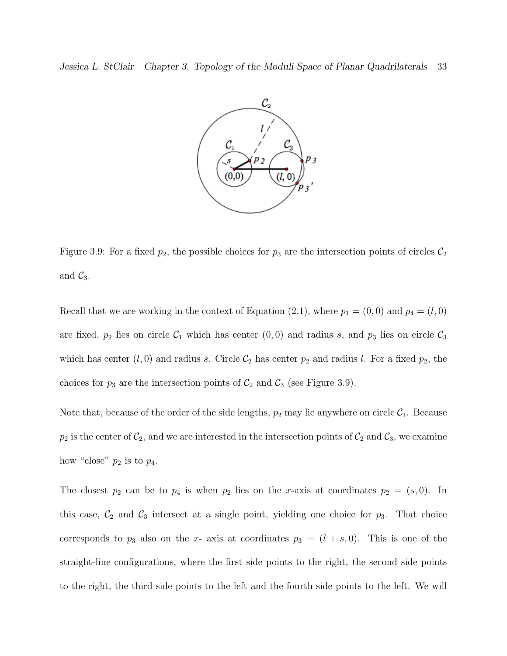

Figure 3.9: For a fixed  $p_2$ , the possible choices for  $p_3$  are the intersection points of circles  $\mathcal{C}_2$ and  $\mathcal{C}_3$ .

Recall that we are working in the context of Equation (2.1), where  $p_1 = (0, 0)$  and  $p_4 = (l, 0)$ are fixed,  $p_2$  lies on circle  $C_1$  which has center  $(0, 0)$  and radius s, and  $p_3$  lies on circle  $C_3$ which has center  $(l, 0)$  and radius s. Circle  $C_2$  has center  $p_2$  and radius l. For a fixed  $p_2$ , the choices for  $p_3$  are the intersection points of  $C_2$  and  $C_3$  (see Figure 3.9).

Note that, because of the order of the side lengths,  $p_2$  may lie anywhere on circle  $C_1$ . Because  $p_2$  is the center of  $\mathcal{C}_2$ , and we are interested in the intersection points of  $\mathcal{C}_2$  and  $\mathcal{C}_3$ , we examine how "close"  $p_2$  is to  $p_4$ .

The closest  $p_2$  can be to  $p_4$  is when  $p_2$  lies on the x-axis at coordinates  $p_2 = (s, 0)$ . In this case,  $C_2$  and  $C_3$  intersect at a single point, yielding one choice for  $p_3$ . That choice corresponds to  $p_3$  also on the x- axis at coordinates  $p_3 = (l + s, 0)$ . This is one of the straight-line configurations, where the first side points to the right, the second side points to the right, the third side points to the left and the fourth side points to the left. We will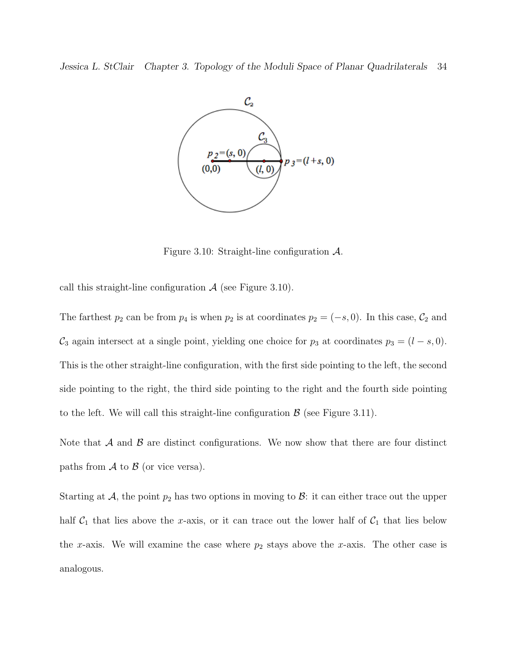

Figure 3.10: Straight-line configuration  $\mathcal{A}$ .

call this straight-line configuration  $A$  (see Figure 3.10).

The farthest  $p_2$  can be from  $p_4$  is when  $p_2$  is at coordinates  $p_2 = (-s, 0)$ . In this case,  $C_2$  and  $C_3$  again intersect at a single point, yielding one choice for  $p_3$  at coordinates  $p_3 = (l - s, 0)$ . This is the other straight-line configuration, with the first side pointing to the left, the second side pointing to the right, the third side pointing to the right and the fourth side pointing to the left. We will call this straight-line configuration  $\beta$  (see Figure 3.11).

Note that  $A$  and  $B$  are distinct configurations. We now show that there are four distinct paths from  $\mathcal A$  to  $\mathcal B$  (or vice versa).

Starting at A, the point  $p_2$  has two options in moving to B: it can either trace out the upper half  $C_1$  that lies above the x-axis, or it can trace out the lower half of  $C_1$  that lies below the x-axis. We will examine the case where  $p_2$  stays above the x-axis. The other case is analogous.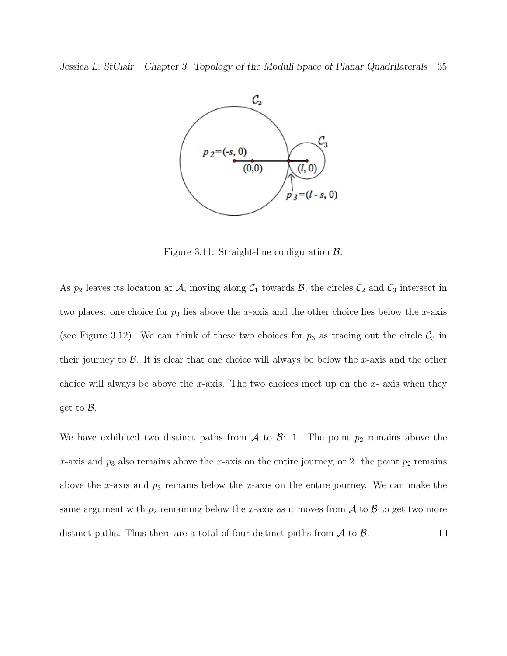

Figure 3.11: Straight-line configuration  $\beta$ .

As  $p_2$  leaves its location at A, moving along  $C_1$  towards B, the circles  $C_2$  and  $C_3$  intersect in two places: one choice for  $p_3$  lies above the x-axis and the other choice lies below the x-axis (see Figure 3.12). We can think of these two choices for  $p_3$  as tracing out the circle  $\mathcal{C}_3$  in their journey to  $\beta$ . It is clear that one choice will always be below the x-axis and the other choice will always be above the x-axis. The two choices meet up on the  $x$ -axis when they get to  $\mathcal{B}$ .

We have exhibited two distinct paths from  $A$  to  $B$ : 1. The point  $p_2$  remains above the x-axis and  $p_3$  also remains above the x-axis on the entire journey, or 2. the point  $p_2$  remains above the x-axis and  $p_3$  remains below the x-axis on the entire journey. We can make the same argument with  $p_2$  remaining below the x-axis as it moves from A to B to get two more distinct paths. Thus there are a total of four distinct paths from  $A$  to  $B$ .  $\Box$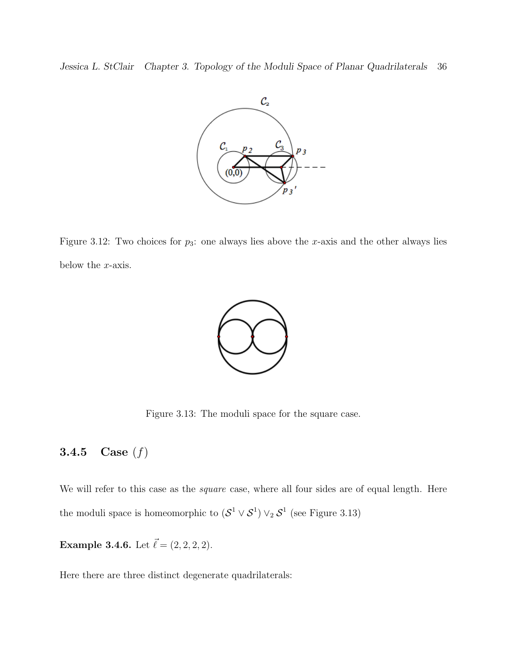

Figure 3.12: Two choices for  $p_3$ : one always lies above the x-axis and the other always lies below the x-axis.



Figure 3.13: The moduli space for the square case.

# **3.4.5** Case  $(f)$

We will refer to this case as the *square* case, where all four sides are of equal length. Here the moduli space is homeomorphic to  $(S^1 \vee S^1) \vee_2 S^1$  (see Figure 3.13)

**Example 3.4.6.** Let  $\vec{\ell} = (2, 2, 2, 2)$ .

Here there are three distinct degenerate quadrilaterals: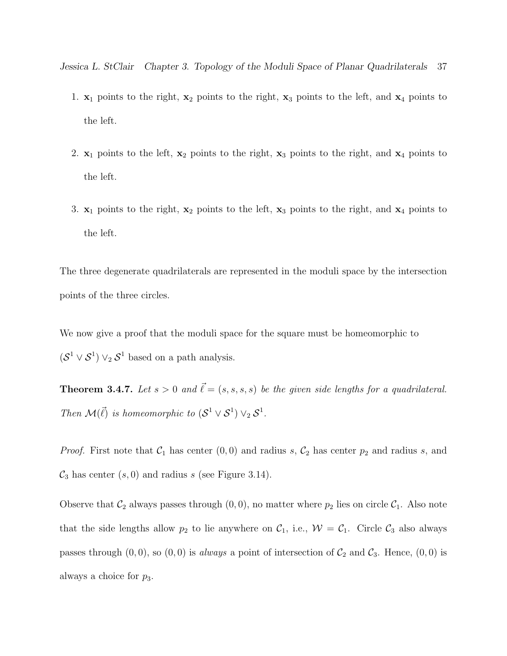- 1.  $x_1$  points to the right,  $x_2$  points to the right,  $x_3$  points to the left, and  $x_4$  points to the left.
- 2.  $x_1$  points to the left,  $x_2$  points to the right,  $x_3$  points to the right, and  $x_4$  points to the left.
- 3.  $x_1$  points to the right,  $x_2$  points to the left,  $x_3$  points to the right, and  $x_4$  points to the left.

The three degenerate quadrilaterals are represented in the moduli space by the intersection points of the three circles.

We now give a proof that the moduli space for the square must be homeomorphic to  $(S^1 \vee S^1) \vee_2 S^1$  based on a path analysis.

**Theorem 3.4.7.** Let  $s > 0$  and  $\vec{\ell} = (s, s, s, s)$  be the given side lengths for a quadrilateral. Then  $\mathcal{M}(\vec{\ell})$  is homeomorphic to  $(\mathcal{S}^1 \vee \mathcal{S}^1) \vee_2 \mathcal{S}^1$ .

*Proof.* First note that  $C_1$  has center  $(0, 0)$  and radius s,  $C_2$  has center  $p_2$  and radius s, and  $\mathcal{C}_3$  has center  $(s, 0)$  and radius s (see Figure 3.14).

Observe that  $C_2$  always passes through  $(0, 0)$ , no matter where  $p_2$  lies on circle  $C_1$ . Also note that the side lengths allow  $p_2$  to lie anywhere on  $C_1$ , i.e.,  $W = C_1$ . Circle  $C_3$  also always passes through  $(0, 0)$ , so  $(0, 0)$  is *always* a point of intersection of  $C_2$  and  $C_3$ . Hence,  $(0, 0)$  is always a choice for  $p_3$ .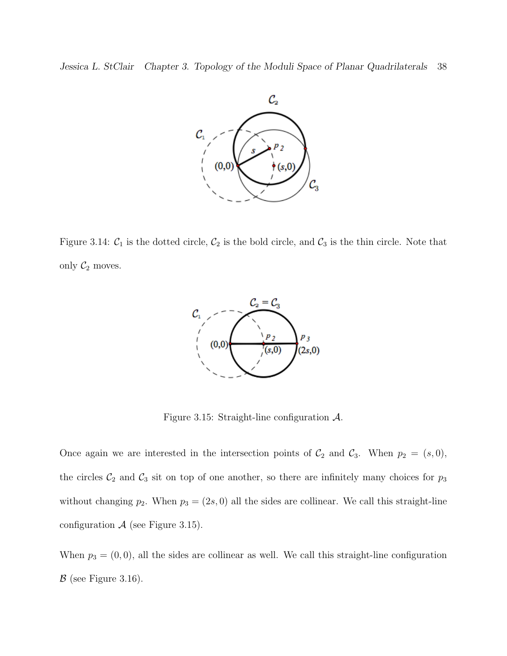

Figure 3.14:  $C_1$  is the dotted circle,  $C_2$  is the bold circle, and  $C_3$  is the thin circle. Note that only  $C_2$  moves.



Figure 3.15: Straight-line configuration A.

Once again we are interested in the intersection points of  $C_2$  and  $C_3$ . When  $p_2 = (s, 0)$ , the circles  $C_2$  and  $C_3$  sit on top of one another, so there are infinitely many choices for  $p_3$ without changing  $p_2$ . When  $p_3 = (2s, 0)$  all the sides are collinear. We call this straight-line configuration  $\mathcal A$  (see Figure 3.15).

When  $p_3 = (0, 0)$ , all the sides are collinear as well. We call this straight-line configuration  $\mathcal{B}$  (see Figure 3.16).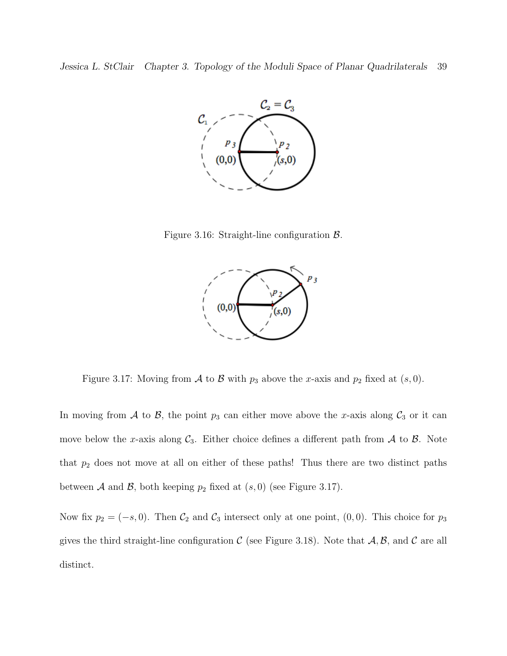

Figure 3.16: Straight-line configuration  $\beta$ .



Figure 3.17: Moving from A to B with  $p_3$  above the x-axis and  $p_2$  fixed at  $(s, 0)$ .

In moving from A to B, the point  $p_3$  can either move above the x-axis along  $C_3$  or it can move below the x-axis along  $C_3$ . Either choice defines a different path from A to B. Note that  $p_2$  does not move at all on either of these paths! Thus there are two distinct paths between A and B, both keeping  $p_2$  fixed at  $(s, 0)$  (see Figure 3.17).

Now fix  $p_2 = (-s, 0)$ . Then  $C_2$  and  $C_3$  intersect only at one point,  $(0, 0)$ . This choice for  $p_3$ gives the third straight-line configuration  $\mathcal C$  (see Figure 3.18). Note that  $\mathcal A, \mathcal B$ , and  $\mathcal C$  are all distinct.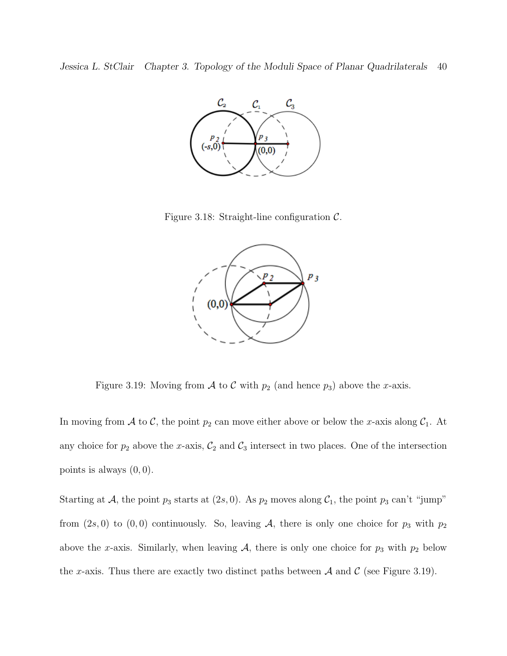

Figure 3.18: Straight-line configuration  $\mathcal{C}$ .



Figure 3.19: Moving from A to C with  $p_2$  (and hence  $p_3$ ) above the x-axis.

In moving from A to C, the point  $p_2$  can move either above or below the x-axis along  $C_1$ . At any choice for  $p_2$  above the x-axis,  $C_2$  and  $C_3$  intersect in two places. One of the intersection points is always  $(0, 0)$ .

Starting at A, the point  $p_3$  starts at  $(2s, 0)$ . As  $p_2$  moves along  $C_1$ , the point  $p_3$  can't "jump" from  $(2s, 0)$  to  $(0, 0)$  continuously. So, leaving A, there is only one choice for  $p_3$  with  $p_2$ above the x-axis. Similarly, when leaving  $A$ , there is only one choice for  $p_3$  with  $p_2$  below the x-axis. Thus there are exactly two distinct paths between  $A$  and  $C$  (see Figure 3.19).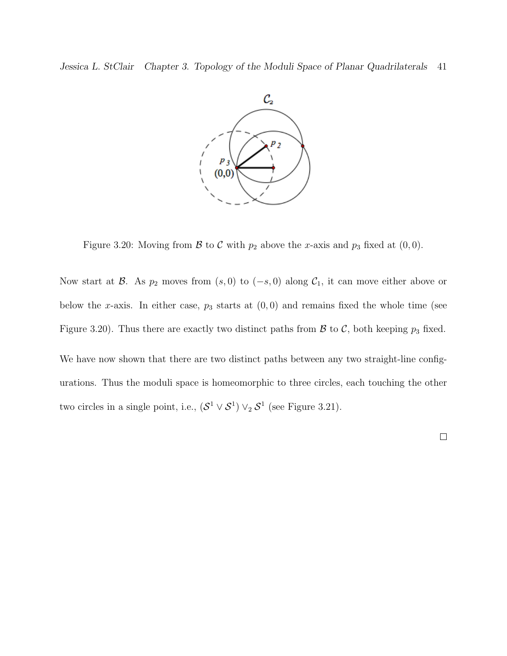

Figure 3.20: Moving from  $\mathcal B$  to  $\mathcal C$  with  $p_2$  above the x-axis and  $p_3$  fixed at  $(0, 0)$ .

Now start at B. As  $p_2$  moves from  $(s, 0)$  to  $(-s, 0)$  along  $C_1$ , it can move either above or below the x-axis. In either case,  $p_3$  starts at  $(0, 0)$  and remains fixed the whole time (see Figure 3.20). Thus there are exactly two distinct paths from  $\mathcal B$  to  $\mathcal C$ , both keeping  $p_3$  fixed.

We have now shown that there are two distinct paths between any two straight-line configurations. Thus the moduli space is homeomorphic to three circles, each touching the other two circles in a single point, i.e.,  $(S^1 \vee S^1) \vee_2 S^1$  (see Figure 3.21).

 $\Box$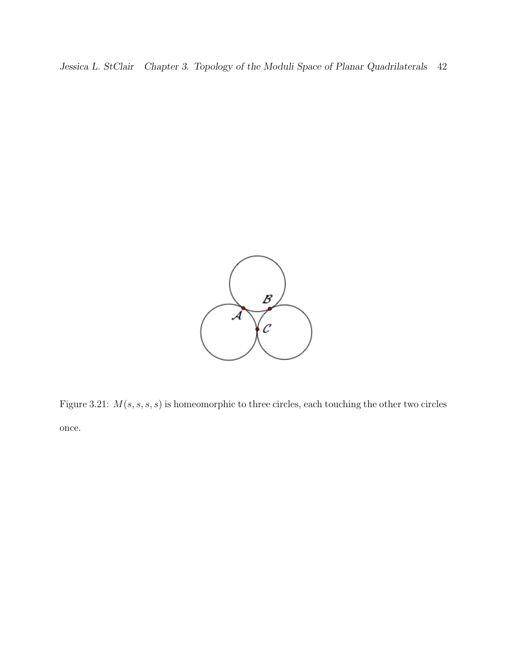

Figure 3.21:  $M(s, s, s, s)$  is homeomorphic to three circles, each touching the other two circles once.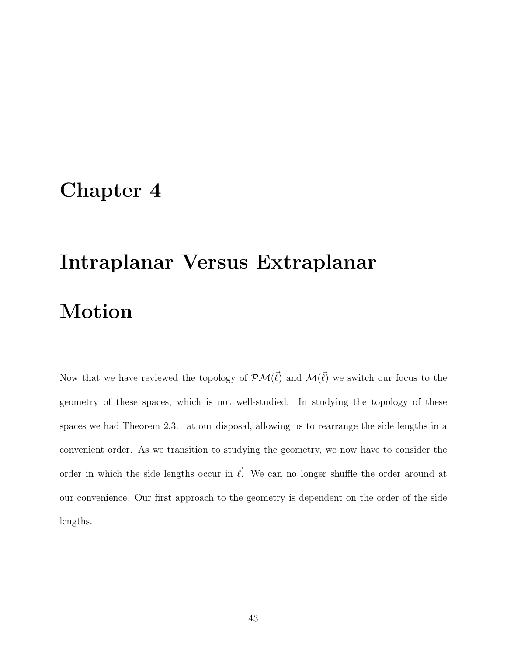# Chapter 4

# Intraplanar Versus Extraplanar Motion

Now that we have reviewed the topology of  $\mathcal{PM}(\vec{\ell})$  and  $\mathcal{M}(\vec{\ell})$  we switch our focus to the geometry of these spaces, which is not well-studied. In studying the topology of these spaces we had Theorem 2.3.1 at our disposal, allowing us to rearrange the side lengths in a convenient order. As we transition to studying the geometry, we now have to consider the order in which the side lengths occur in  $\vec{\ell}$ . We can no longer shuffle the order around at our convenience. Our first approach to the geometry is dependent on the order of the side lengths.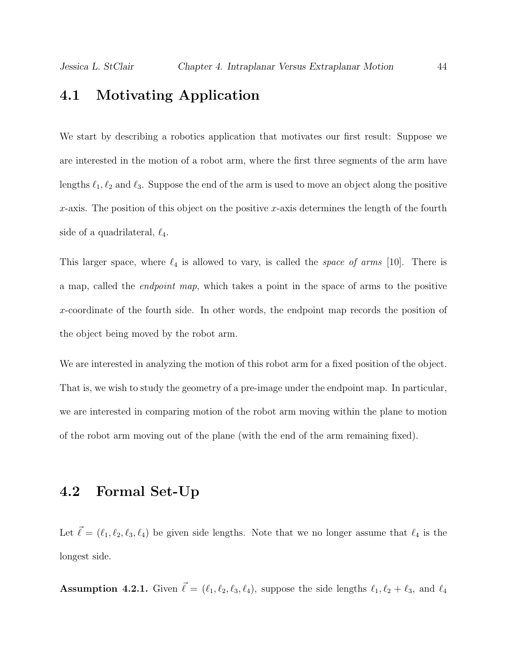# 4.1 Motivating Application

We start by describing a robotics application that motivates our first result: Suppose we are interested in the motion of a robot arm, where the first three segments of the arm have lengths  $\ell_1, \ell_2$  and  $\ell_3$ . Suppose the end of the arm is used to move an object along the positive x-axis. The position of this object on the positive x-axis determines the length of the fourth side of a quadrilateral,  $\ell_4$ .

This larger space, where  $\ell_4$  is allowed to vary, is called the *space of arms* [10]. There is a map, called the endpoint map, which takes a point in the space of arms to the positive x-coordinate of the fourth side. In other words, the endpoint map records the position of the object being moved by the robot arm.

We are interested in analyzing the motion of this robot arm for a fixed position of the object. That is, we wish to study the geometry of a pre-image under the endpoint map. In particular, we are interested in comparing motion of the robot arm moving within the plane to motion of the robot arm moving out of the plane (with the end of the arm remaining fixed).

# 4.2 Formal Set-Up

Let  $\vec{\ell} = (\ell_1, \ell_2, \ell_3, \ell_4)$  be given side lengths. Note that we no longer assume that  $\ell_4$  is the longest side.

**Assumption 4.2.1.** Given  $\vec{\ell} = (\ell_1, \ell_2, \ell_3, \ell_4)$ , suppose the side lengths  $\ell_1, \ell_2 + \ell_3$ , and  $\ell_4$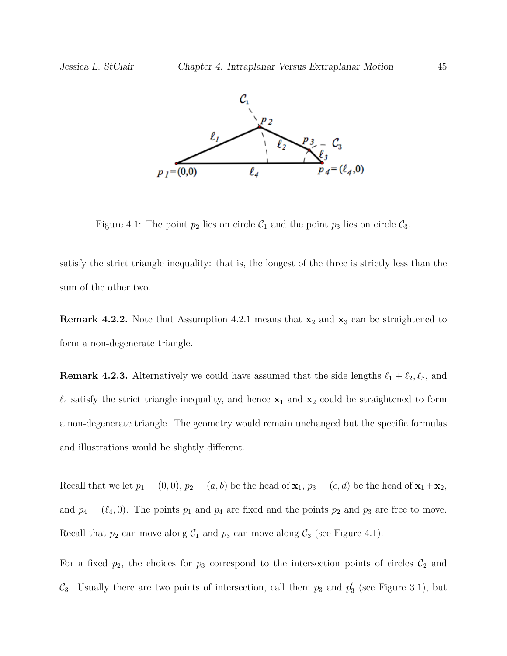

Figure 4.1: The point  $p_2$  lies on circle  $C_1$  and the point  $p_3$  lies on circle  $C_3$ .

satisfy the strict triangle inequality: that is, the longest of the three is strictly less than the sum of the other two.

**Remark 4.2.2.** Note that Assumption 4.2.1 means that  $x_2$  and  $x_3$  can be straightened to form a non-degenerate triangle.

**Remark 4.2.3.** Alternatively we could have assumed that the side lengths  $\ell_1 + \ell_2, \ell_3$ , and  $\ell_4$  satisfy the strict triangle inequality, and hence  $x_1$  and  $x_2$  could be straightened to form a non-degenerate triangle. The geometry would remain unchanged but the specific formulas and illustrations would be slightly different.

Recall that we let  $p_1 = (0,0), p_2 = (a, b)$  be the head of  $\mathbf{x}_1, p_3 = (c, d)$  be the head of  $\mathbf{x}_1 + \mathbf{x}_2$ , and  $p_4 = (\ell_4, 0)$ . The points  $p_1$  and  $p_4$  are fixed and the points  $p_2$  and  $p_3$  are free to move. Recall that  $p_2$  can move along  $C_1$  and  $p_3$  can move along  $C_3$  (see Figure 4.1).

For a fixed  $p_2$ , the choices for  $p_3$  correspond to the intersection points of circles  $\mathcal{C}_2$  and  $\mathcal{C}_3$ . Usually there are two points of intersection, call them  $p_3$  and  $p'_3$  (see Figure 3.1), but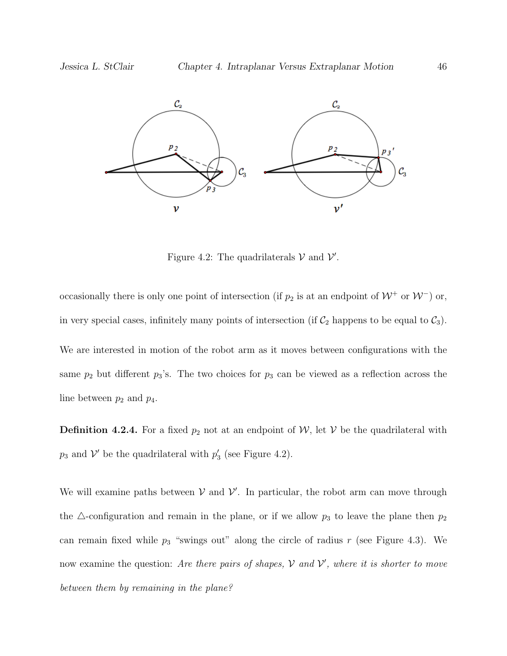

Figure 4.2: The quadrilaterals  $V$  and  $V'$ .

occasionally there is only one point of intersection (if  $p_2$  is at an endpoint of  $W^+$  or  $W^-$ ) or, in very special cases, infinitely many points of intersection (if  $C_2$  happens to be equal to  $C_3$ ). We are interested in motion of the robot arm as it moves between configurations with the same  $p_2$  but different  $p_3$ 's. The two choices for  $p_3$  can be viewed as a reflection across the line between  $p_2$  and  $p_4$ .

**Definition 4.2.4.** For a fixed  $p_2$  not at an endpoint of W, let V be the quadrilateral with  $p_3$  and  $\mathcal{V}'$  be the quadrilateral with  $p'_3$  (see Figure 4.2).

We will examine paths between  $V$  and  $V'$ . In particular, the robot arm can move through the  $\triangle$ -configuration and remain in the plane, or if we allow  $p_3$  to leave the plane then  $p_2$ can remain fixed while  $p_3$  "swings out" along the circle of radius r (see Figure 4.3). We now examine the question: Are there pairs of shapes, V and V', where it is shorter to move between them by remaining in the plane?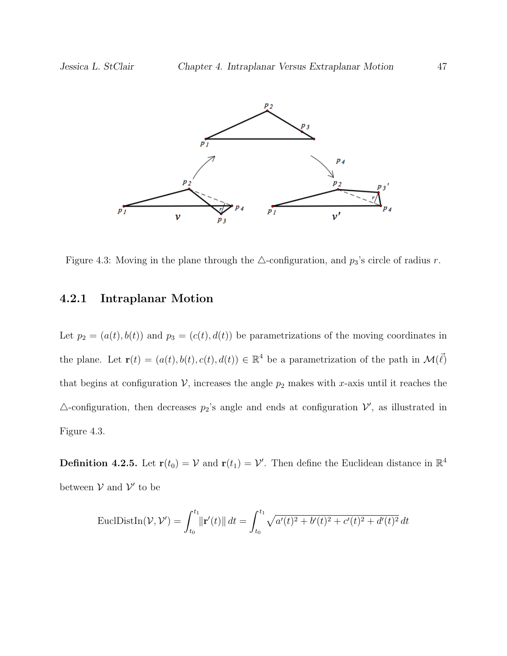

Figure 4.3: Moving in the plane through the  $\triangle$ -configuration, and  $p_3$ 's circle of radius r.

## 4.2.1 Intraplanar Motion

Let  $p_2 = (a(t), b(t))$  and  $p_3 = (c(t), d(t))$  be parametrizations of the moving coordinates in the plane. Let  $\mathbf{r}(t) = (a(t), b(t), c(t), d(t)) \in \mathbb{R}^4$  be a parametrization of the path in  $\mathcal{M}(\vec{\ell})$ that begins at configuration  $\mathcal V$ , increases the angle  $p_2$  makes with x-axis until it reaches the  $\triangle$ -configuration, then decreases  $p_2$ 's angle and ends at configuration  $\mathcal{V}'$ , as illustrated in Figure 4.3.

**Definition 4.2.5.** Let  $\mathbf{r}(t_0) = \mathcal{V}$  and  $\mathbf{r}(t_1) = \mathcal{V}'$ . Then define the Euclidean distance in  $\mathbb{R}^4$ between  $V$  and  $V'$  to be

EuclDistIn
$$
(V, V') = \int_{t_0}^{t_1} ||\mathbf{r}'(t)|| dt = \int_{t_0}^{t_1} \sqrt{a'(t)^2 + b'(t)^2 + c'(t)^2 + d'(t)^2} dt
$$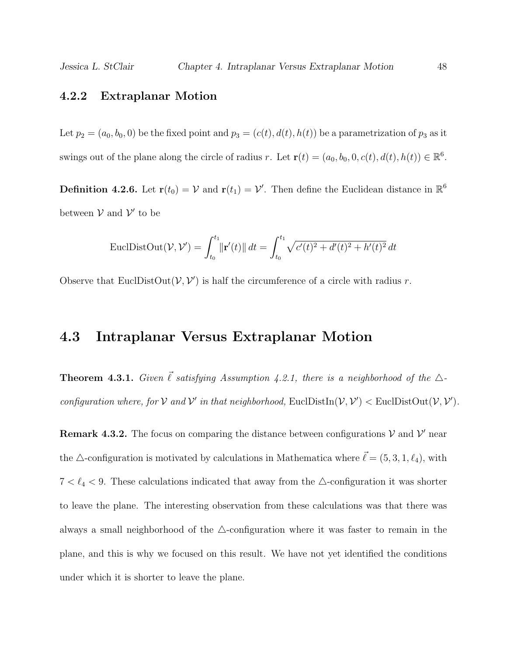#### 4.2.2 Extraplanar Motion

Let  $p_2 = (a_0, b_0, 0)$  be the fixed point and  $p_3 = (c(t), d(t), h(t))$  be a parametrization of  $p_3$  as it swings out of the plane along the circle of radius r. Let  $\mathbf{r}(t) = (a_0, b_0, 0, c(t), d(t), h(t)) \in \mathbb{R}^6$ .

**Definition 4.2.6.** Let  $\mathbf{r}(t_0) = \mathcal{V}$  and  $\mathbf{r}(t_1) = \mathcal{V}'$ . Then define the Euclidean distance in  $\mathbb{R}^6$ between  $V$  and  $V'$  to be

EuclDistOut
$$
(V, V') = \int_{t_0}^{t_1} ||\mathbf{r}'(t)|| dt = \int_{t_0}^{t_1} \sqrt{c'(t)^2 + d'(t)^2 + h'(t)^2} dt
$$

Observe that EuclDistOut $(\mathcal{V}, \mathcal{V}')$  is half the circumference of a circle with radius r.

# 4.3 Intraplanar Versus Extraplanar Motion

**Theorem 4.3.1.** Given  $\vec{l}$  satisfying Assumption 4.2.1, there is a neighborhood of the  $\Delta$ configuration where, for  $V$  and  $V'$  in that neighborhood, EuclDistIn( $V, V'$ ) < EuclDistOut( $V, V'$ ).

**Remark 4.3.2.** The focus on comparing the distance between configurations  $V$  and  $V'$  near the  $\triangle$ -configuration is motivated by calculations in Mathematica where  $\vec{\ell} = (5, 3, 1, \ell_4)$ , with  $7 < \ell_4 < 9$ . These calculations indicated that away from the  $\triangle$ -configuration it was shorter to leave the plane. The interesting observation from these calculations was that there was always a small neighborhood of the  $\triangle$ -configuration where it was faster to remain in the plane, and this is why we focused on this result. We have not yet identified the conditions under which it is shorter to leave the plane.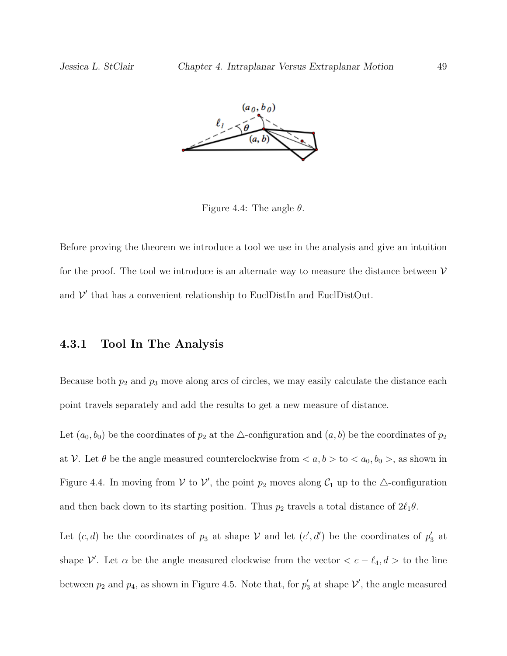

Figure 4.4: The angle  $\theta$ .

Before proving the theorem we introduce a tool we use in the analysis and give an intuition for the proof. The tool we introduce is an alternate way to measure the distance between  $V$ and  $\mathcal V'$  that has a convenient relationship to EuclDistIn and EuclDistOut.

#### 4.3.1 Tool In The Analysis

Because both  $p_2$  and  $p_3$  move along arcs of circles, we may easily calculate the distance each point travels separately and add the results to get a new measure of distance.

Let  $(a_0, b_0)$  be the coordinates of  $p_2$  at the  $\triangle$ -configuration and  $(a, b)$  be the coordinates of  $p_2$ at V. Let  $\theta$  be the angle measured counterclockwise from  $\langle a, b \rangle$  to  $\langle a_0, b_0 \rangle$ , as shown in Figure 4.4. In moving from V to V', the point  $p_2$  moves along  $\mathcal{C}_1$  up to the  $\triangle$ -configuration and then back down to its starting position. Thus  $p_2$  travels a total distance of  $2\ell_1\theta$ .

Let  $(c, d)$  be the coordinates of  $p_3$  at shape V and let  $(c', d')$  be the coordinates of  $p'_3$  at shape  $\mathcal V'$ . Let  $\alpha$  be the angle measured clockwise from the vector  $\langle c - \ell_4, d \rangle$  to the line between  $p_2$  and  $p_4$ , as shown in Figure 4.5. Note that, for  $p'_3$  at shape  $\mathcal{V}'$ , the angle measured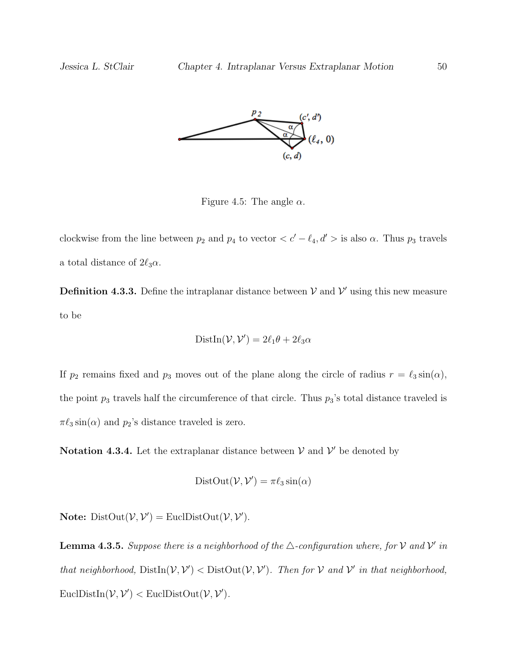

Figure 4.5: The angle  $\alpha$ .

clockwise from the line between  $p_2$  and  $p_4$  to vector  $\langle c' - \ell_4, d' \rangle$  is also  $\alpha$ . Thus  $p_3$  travels a total distance of  $2\ell_3\alpha$ .

**Definition 4.3.3.** Define the intraplanar distance between  $V$  and  $V'$  using this new measure to be

$$
DistIn(\mathcal{V}, \mathcal{V}') = 2\ell_1 \theta + 2\ell_3 \alpha
$$

If  $p_2$  remains fixed and  $p_3$  moves out of the plane along the circle of radius  $r = \ell_3 \sin(\alpha)$ , the point  $p_3$  travels half the circumference of that circle. Thus  $p_3$ 's total distance traveled is  $\pi \ell_3 \sin(\alpha)$  and  $p_2$ 's distance traveled is zero.

Notation 4.3.4. Let the extraplanar distance between  $V$  and  $V'$  be denoted by

$$
DistOut(\mathcal{V}, \mathcal{V}') = \pi \ell_3 \sin(\alpha)
$$

Note:  $DistOut(\mathcal{V}, \mathcal{V}') = EuclDistOut(\mathcal{V}, \mathcal{V}')$ .

**Lemma 4.3.5.** Suppose there is a neighborhood of the  $\triangle$ -configuration where, for V and V' in that neighborhood,  $DistIn(V, V') < DistOut(V, V')$ . Then for V and V' in that neighborhood, EuclDistIn( $V, V'$ ) < EuclDistOut( $V, V'$ ).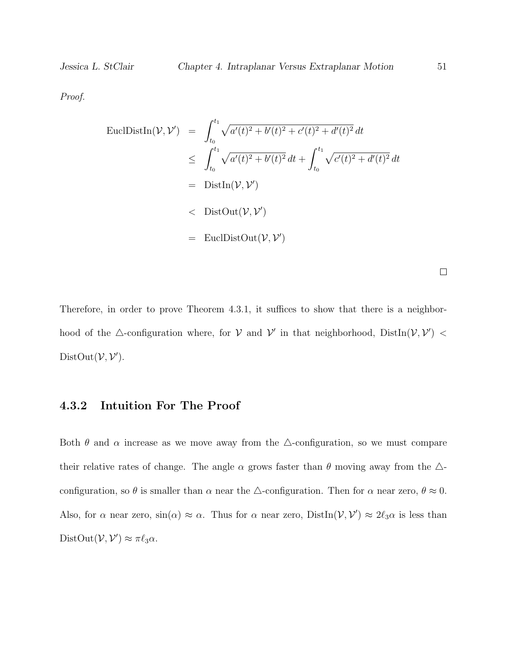Proof.

$$
\begin{aligned}\n\text{EuclDistIn}(\mathcal{V}, \mathcal{V}') &= \int_{t_0}^{t_1} \sqrt{a'(t)^2 + b'(t)^2 + c'(t)^2 + d'(t)^2} \, dt \\
&\leq \int_{t_0}^{t_1} \sqrt{a'(t)^2 + b'(t)^2} \, dt + \int_{t_0}^{t_1} \sqrt{c'(t)^2 + d'(t)^2} \, dt \\
&= \text{DistIn}(\mathcal{V}, \mathcal{V}') \\
&< \text{DistOut}(\mathcal{V}, \mathcal{V}') \\
&= \text{EuclDistOut}(\mathcal{V}, \mathcal{V}')\n\end{aligned}
$$

 $\Box$ 

Therefore, in order to prove Theorem 4.3.1, it suffices to show that there is a neighborhood of the  $\triangle$ -configuration where, for V and V' in that neighborhood,  $DistIn(V, V')$  <  $DistOut(\mathcal{V}, \mathcal{V}')$ .

#### 4.3.2 Intuition For The Proof

Both  $\theta$  and  $\alpha$  increase as we move away from the  $\triangle$ -configuration, so we must compare their relative rates of change. The angle  $\alpha$  grows faster than  $\theta$  moving away from the  $\Delta$ configuration, so  $\theta$  is smaller than  $\alpha$  near the  $\triangle$ -configuration. Then for  $\alpha$  near zero,  $\theta \approx 0$ . Also, for  $\alpha$  near zero,  $\sin(\alpha) \approx \alpha$ . Thus for  $\alpha$  near zero,  $\text{DistIn}(\mathcal{V}, \mathcal{V}') \approx 2\ell_3 \alpha$  is less than  $DistOut(\mathcal{V}, \mathcal{V}') \approx \pi \ell_3 \alpha.$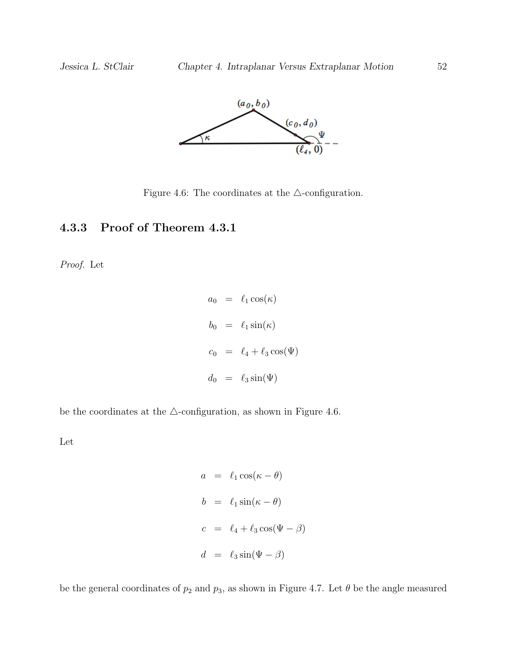

Figure 4.6: The coordinates at the  $\triangle$ -configuration.

# 4.3.3 Proof of Theorem 4.3.1

Proof. Let

$$
a_0 = \ell_1 \cos(\kappa)
$$
  
\n
$$
b_0 = \ell_1 \sin(\kappa)
$$
  
\n
$$
c_0 = \ell_4 + \ell_3 \cos(\Psi)
$$
  
\n
$$
d_0 = \ell_3 \sin(\Psi)
$$

be the coordinates at the  $\triangle$ -configuration, as shown in Figure 4.6.

Let

$$
a = \ell_1 \cos(\kappa - \theta)
$$
  
\n
$$
b = \ell_1 \sin(\kappa - \theta)
$$
  
\n
$$
c = \ell_4 + \ell_3 \cos(\Psi - \beta)
$$
  
\n
$$
d = \ell_3 \sin(\Psi - \beta)
$$

be the general coordinates of  $p_2$  and  $p_3$ , as shown in Figure 4.7. Let  $\theta$  be the angle measured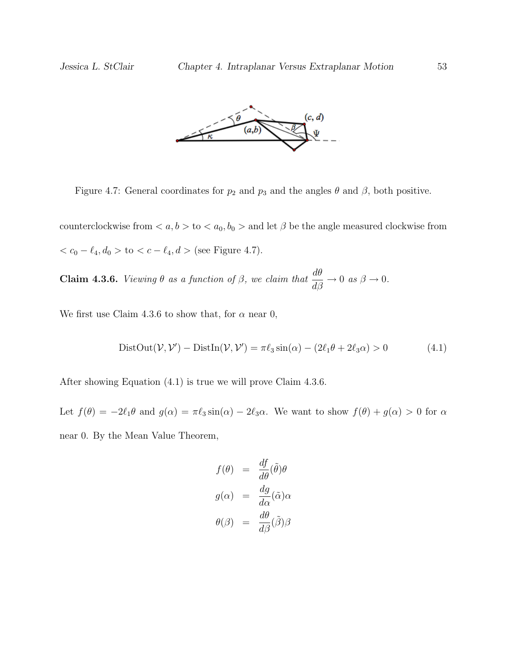

Figure 4.7: General coordinates for  $p_2$  and  $p_3$  and the angles  $\theta$  and  $\beta$ , both positive.

counterclockwise from  $\langle a, b \rangle$  to  $\langle a_0, b_0 \rangle$  and let  $\beta$  be the angle measured clockwise from  $< c_0 - \ell_4, d_0 >$  to  $< c - \ell_4, d >$  (see Figure 4.7).

**Claim 4.3.6.** Viewing  $\theta$  as a function of  $\beta$ , we claim that  $\frac{d\theta}{d\beta} \to 0$  as  $\beta \to 0$ .

We first use Claim 4.3.6 to show that, for  $\alpha$  near 0,

$$
DistOut(V, V') - DistIn(V, V') = \pi \ell_3 \sin(\alpha) - (2\ell_1 \theta + 2\ell_3 \alpha) > 0
$$
\n(4.1)

After showing Equation (4.1) is true we will prove Claim 4.3.6.

Let  $f(\theta) = -2\ell_1\theta$  and  $g(\alpha) = \pi\ell_3 \sin(\alpha) - 2\ell_3\alpha$ . We want to show  $f(\theta) + g(\alpha) > 0$  for  $\alpha$ near 0. By the Mean Value Theorem,

$$
f(\theta) = \frac{df}{d\theta}(\tilde{\theta})\theta
$$

$$
g(\alpha) = \frac{dg}{d\alpha}(\tilde{\alpha})\alpha
$$

$$
\theta(\beta) = \frac{d\theta}{d\beta}(\tilde{\beta})\beta
$$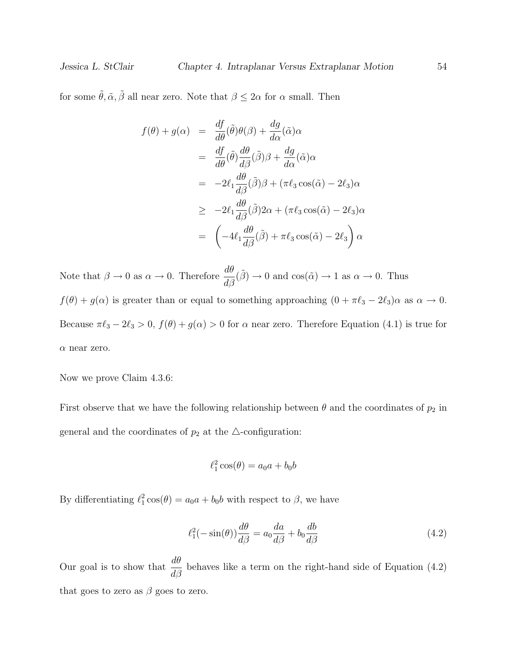for some  $\tilde{\theta}$ ,  $\tilde{\alpha}$ ,  $\tilde{\beta}$  all near zero. Note that  $\beta \leq 2\alpha$  for  $\alpha$  small. Then

$$
f(\theta) + g(\alpha) = \frac{df}{d\theta}(\tilde{\theta})\theta(\beta) + \frac{dg}{d\alpha}(\tilde{\alpha})\alpha
$$
  
\n
$$
= \frac{df}{d\theta}(\tilde{\theta})\frac{d\theta}{d\beta}(\tilde{\beta})\beta + \frac{dg}{d\alpha}(\tilde{\alpha})\alpha
$$
  
\n
$$
= -2\ell_1 \frac{d\theta}{d\beta}(\tilde{\beta})\beta + (\pi\ell_3 \cos(\tilde{\alpha}) - 2\ell_3)\alpha
$$
  
\n
$$
\geq -2\ell_1 \frac{d\theta}{d\beta}(\tilde{\beta})2\alpha + (\pi\ell_3 \cos(\tilde{\alpha}) - 2\ell_3)\alpha
$$
  
\n
$$
= \left(-4\ell_1 \frac{d\theta}{d\beta}(\tilde{\beta}) + \pi\ell_3 \cos(\tilde{\alpha}) - 2\ell_3\right)\alpha
$$

Note that  $\beta \to 0$  as  $\alpha \to 0$ . Therefore  $\frac{d\theta}{d\beta}(\tilde{\beta}) \to 0$  and  $\cos(\tilde{\alpha}) \to 1$  as  $\alpha \to 0$ . Thus  $f(\theta) + g(\alpha)$  is greater than or equal to something approaching  $(0 + \pi \ell_3 - 2\ell_3)\alpha$  as  $\alpha \to 0$ . Because  $\pi \ell_3 - 2\ell_3 > 0$ ,  $f(\theta) + g(\alpha) > 0$  for  $\alpha$  near zero. Therefore Equation (4.1) is true for  $\alpha$  near zero.

Now we prove Claim 4.3.6:

First observe that we have the following relationship between  $\theta$  and the coordinates of  $p_2$  in general and the coordinates of  $p_2$  at the  $\triangle$ -configuration:

$$
\ell_1^2 \cos(\theta) = a_0 a + b_0 b
$$

By differentiating  $\ell_1^2 \cos(\theta) = a_0 a + b_0 b$  with respect to  $\beta$ , we have

$$
\ell_1^2(-\sin(\theta))\frac{d\theta}{d\beta} = a_0 \frac{da}{d\beta} + b_0 \frac{db}{d\beta}
$$
\n(4.2)

Our goal is to show that  $\frac{d\theta}{d\theta}$  $\frac{dS}{d\beta}$  behaves like a term on the right-hand side of Equation (4.2) that goes to zero as  $\beta$  goes to zero.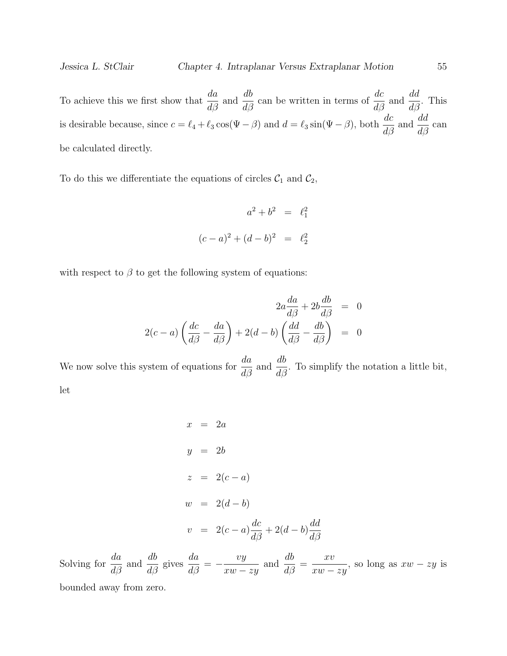To achieve this we first show that  $\frac{da}{d\beta}$  and  $\frac{db}{d\beta}$  can be written in terms of  $\frac{dc}{d\beta}$  and  $\frac{dd}{d\beta}$ . This is desirable because, since  $c = \ell_4 + \ell_3 \cos(\Psi - \beta)$  and  $d = \ell_3 \sin(\Psi - \beta)$ , both  $\frac{dc}{d\beta}$  and  $\frac{dd}{d\beta}$  can be calculated directly.

To do this we differentiate the equations of circles  $C_1$  and  $C_2$ ,

$$
a^{2} + b^{2} = \ell_{1}^{2}
$$

$$
(c - a)^{2} + (d - b)^{2} = \ell_{2}^{2}
$$

with respect to  $\beta$  to get the following system of equations:

$$
2a\frac{da}{d\beta} + 2b\frac{db}{d\beta} = 0
$$
  

$$
2(c-a)\left(\frac{dc}{d\beta} - \frac{da}{d\beta}\right) + 2(d-b)\left(\frac{dd}{d\beta} - \frac{db}{d\beta}\right) = 0
$$

We now solve this system of equations for  $\frac{da}{d\beta}$  and  $\frac{db}{d\beta}$ . To simplify the notation a little bit,

let

$$
x = 2a
$$
  
\n
$$
y = 2b
$$
  
\n
$$
z = 2(c - a)
$$
  
\n
$$
w = 2(d - b)
$$
  
\n
$$
v = 2(c - a)\frac{dc}{d\beta} + 2(d - b)\frac{dd}{d\beta}
$$

Solving for  $\frac{da}{d\beta}$  and  $\frac{db}{d\beta}$  gives  $rac{da}{d\beta} = -\frac{vy}{xw - y}$  $xw - zy$ and  $\frac{db}{d}$  $\frac{dS}{d\beta} =$ xv  $xw - zy$ , so long as  $xw - zy$  is bounded away from zero.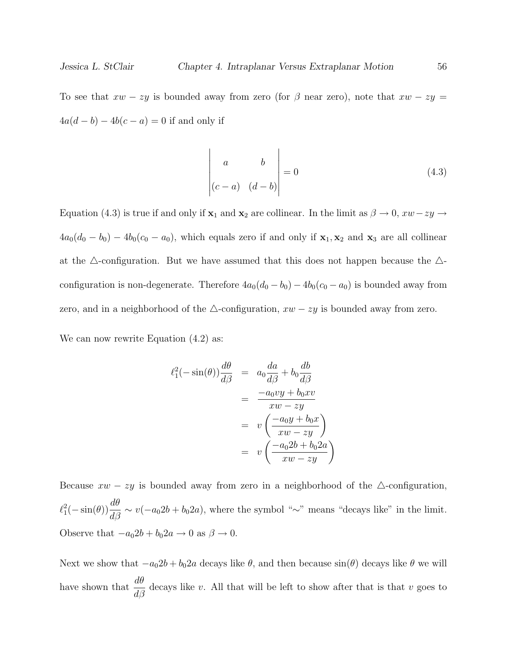To see that  $xw - zy$  is bounded away from zero (for  $\beta$  near zero), note that  $xw - zy =$  $4a(d - b) - 4b(c - a) = 0$  if and only if

$$
\begin{vmatrix} a & b \\ (c-a) & (d-b) \end{vmatrix} = 0
$$
 (4.3)

Equation (4.3) is true if and only if  $\mathbf{x}_1$  and  $\mathbf{x}_2$  are collinear. In the limit as  $\beta \to 0$ ,  $xw - zy \to$  $4a_0(d_0 - b_0) - 4b_0(c_0 - a_0)$ , which equals zero if and only if  $\mathbf{x}_1, \mathbf{x}_2$  and  $\mathbf{x}_3$  are all collinear at the  $\triangle$ -configuration. But we have assumed that this does not happen because the  $\triangle$ configuration is non-degenerate. Therefore  $4a_0(d_0 - b_0) - 4b_0(c_0 - a_0)$  is bounded away from zero, and in a neighborhood of the  $\triangle$ -configuration,  $xw - zy$  is bounded away from zero.

We can now rewrite Equation  $(4.2)$  as:

$$
\ell_1^2(-\sin(\theta))\frac{d\theta}{d\beta} = a_0\frac{da}{d\beta} + b_0\frac{db}{d\beta}
$$

$$
= \frac{-a_0vy + b_0xv}{xw - zy}
$$

$$
= v\left(\frac{-a_0y + b_0x}{xw - zy}\right)
$$

$$
= v\left(\frac{-a_02b + b_02a}{xw - zy}\right)
$$

Because  $xw - zy$  is bounded away from zero in a neighborhood of the  $\triangle$ -configuration,  $\ell_1^2(-\sin(\theta))\frac{d\theta}{d\beta} \sim v(-a_02b + b_02a)$ , where the symbol "∼" means "decays like" in the limit. Observe that  $-a_02b + b_02a \rightarrow 0$  as  $\beta \rightarrow 0$ .

Next we show that  $-a_02b + b_02a$  decays like  $\theta$ , and then because  $sin(\theta)$  decays like  $\theta$  we will have shown that  $\frac{d\theta}{d\phi}$  $\frac{dv}{d\beta}$  decays like v. All that will be left to show after that is that v goes to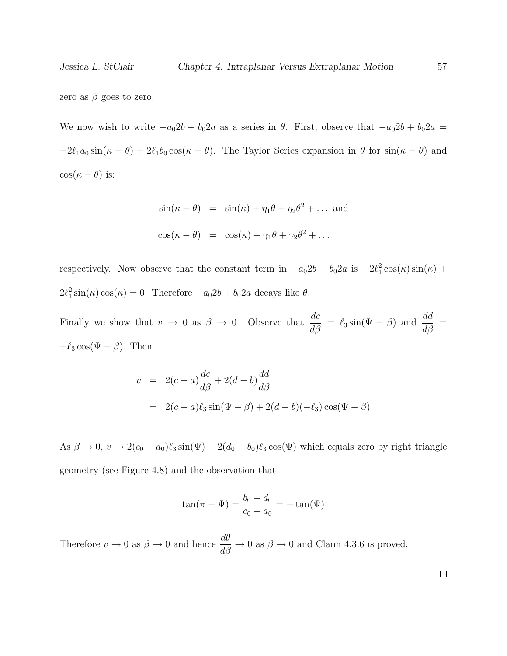zero as  $\beta$  goes to zero.

We now wish to write  $-a_02b + b_02a$  as a series in  $\theta$ . First, observe that  $-a_02b + b_02a =$  $-2\ell_1a_0\sin(\kappa-\theta) + 2\ell_1b_0\cos(\kappa-\theta)$ . The Taylor Series expansion in  $\theta$  for  $\sin(\kappa-\theta)$  and  $\cos(\kappa - \theta)$  is:

$$
\sin(\kappa - \theta) = \sin(\kappa) + \eta_1 \theta + \eta_2 \theta^2 + \dots \text{ and}
$$
  

$$
\cos(\kappa - \theta) = \cos(\kappa) + \gamma_1 \theta + \gamma_2 \theta^2 + \dots
$$

respectively. Now observe that the constant term in  $-a_0 2b + b_0 2a$  is  $-2\ell_1^2 \cos(\kappa) \sin(\kappa)$  +  $2\ell_1^2 \sin(\kappa) \cos(\kappa) = 0$ . Therefore  $-a_0 2b + b_0 2a$  decays like  $\theta$ .

Finally we show that  $v \to 0$  as  $\beta \to 0$ . Observe that  $\frac{dc}{d\beta} = \ell_3 \sin(\Psi - \beta)$  and  $\frac{dd}{d\beta} =$  $-\ell_3 \cos(\Psi - \beta)$ . Then

$$
v = 2(c-a)\frac{dc}{d\beta} + 2(d-b)\frac{dd}{d\beta}
$$
  
= 2(c-a)\ell\_3 \sin(\Psi - \beta) + 2(d-b)(-\ell\_3) \cos(\Psi - \beta)

As  $\beta \to 0$ ,  $v \to 2(c_0 - a_0)\ell_3 \sin(\Psi) - 2(d_0 - b_0)\ell_3 \cos(\Psi)$  which equals zero by right triangle geometry (see Figure 4.8) and the observation that

$$
\tan(\pi - \Psi) = \frac{b_0 - d_0}{c_0 - a_0} = -\tan(\Psi)
$$

Therefore  $v \to 0$  as  $\beta \to 0$  and hence  $\frac{d\theta}{d\beta} \to 0$  as  $\beta \to 0$  and Claim 4.3.6 is proved.

 $\Box$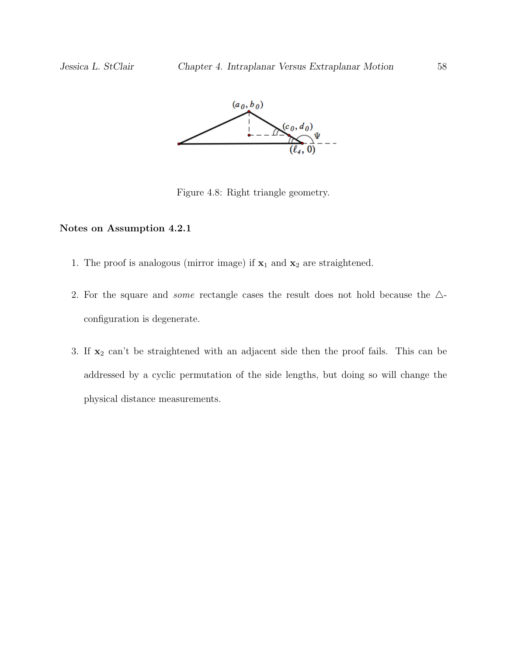

Figure 4.8: Right triangle geometry.

#### Notes on Assumption 4.2.1

- 1. The proof is analogous (mirror image) if  $x_1$  and  $x_2$  are straightened.
- 2. For the square and *some* rectangle cases the result does not hold because the  $\triangle$ configuration is degenerate.
- 3. If  $x_2$  can't be straightened with an adjacent side then the proof fails. This can be addressed by a cyclic permutation of the side lengths, but doing so will change the physical distance measurements.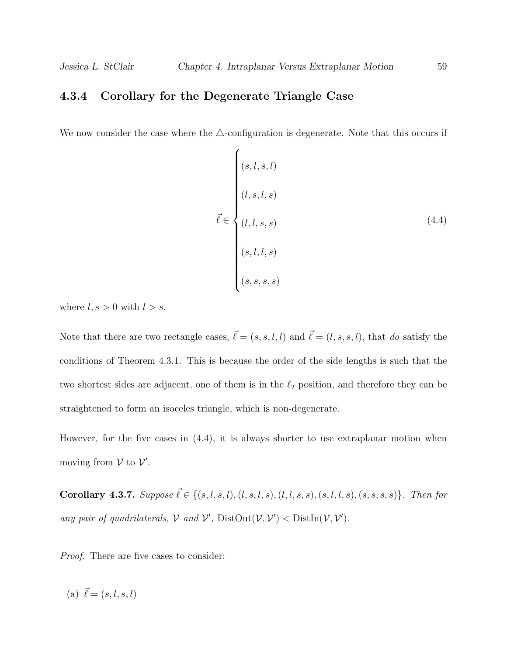#### 4.3.4 Corollary for the Degenerate Triangle Case

We now consider the case where the  $\triangle$ -configuration is degenerate. Note that this occurs if

$$
\vec{l} \in \begin{cases}\n(s, l, s, l) \\
(l, s, l, s) \\
(l, l, s, s) \\
(s, l, l, s)\n\end{cases}
$$
\n(4.4)\n  
\n(4.5)

where  $l, s > 0$  with  $l > s$ .

Note that there are two rectangle cases,  $\vec{\ell} = (s, s, l, l)$  and  $\vec{\ell} = (l, s, s, l)$ , that do satisfy the conditions of Theorem 4.3.1. This is because the order of the side lengths is such that the two shortest sides are adjacent, one of them is in the  $\ell_2$  position, and therefore they can be straightened to form an isoceles triangle, which is non-degenerate.

However, for the five cases in (4.4), it is always shorter to use extraplanar motion when moving from  $V$  to  $V'$ .

Corollary 4.3.7. Suppose  $\vec{\ell} \in \{(s, l, s, l), (l, s, l, s), (l, l, s, s), (s, l, l, s), (s, s, s, s)\}.$  Then for any pair of quadrilaterals,  $\mathcal V$  and  $\mathcal V'$ ,  $DistOut(\mathcal V, \mathcal V') < DistIn(\mathcal V, \mathcal V')$ .

Proof. There are five cases to consider:

(a) 
$$
\vec{\ell} = (s, l, s, l)
$$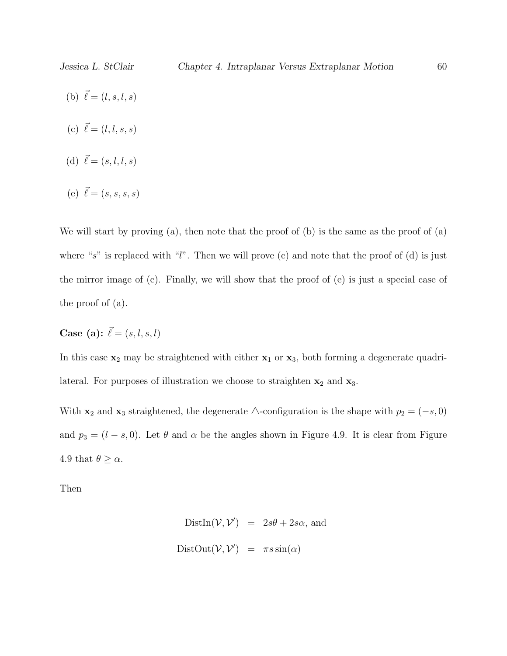- (b)  $\vec{\ell} = (l, s, l, s)$
- (c)  $\vec{\ell} = (l, l, s, s)$
- (d)  $\vec{\ell} = (s, l, l, s)$
- (e)  $\vec{\ell} = (s, s, s, s)$

We will start by proving (a), then note that the proof of (b) is the same as the proof of (a) where "s" is replaced with "l". Then we will prove (c) and note that the proof of (d) is just the mirror image of (c). Finally, we will show that the proof of (e) is just a special case of the proof of (a).

Case (a): 
$$
\vec{\ell} = (s, l, s, l)
$$

In this case  $x_2$  may be straightened with either  $x_1$  or  $x_3$ , both forming a degenerate quadrilateral. For purposes of illustration we choose to straighten  $x_2$  and  $x_3$ .

With  $\mathbf{x}_2$  and  $\mathbf{x}_3$  straightened, the degenerate  $\triangle$ -configuration is the shape with  $p_2 = (-s, 0)$ and  $p_3 = (l - s, 0)$ . Let  $\theta$  and  $\alpha$  be the angles shown in Figure 4.9. It is clear from Figure 4.9 that  $\theta \geq \alpha$ .

Then

$$
DistIn(V, V') = 2s\theta + 2s\alpha, \text{ and}
$$
  

$$
DistOut(V, V') = \pi s \sin(\alpha)
$$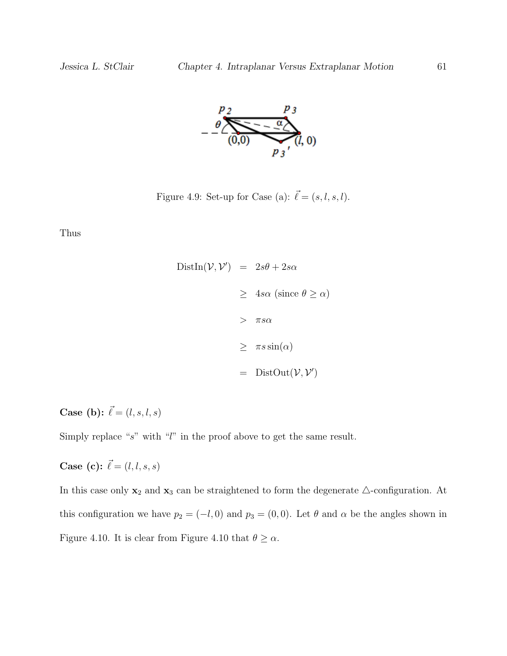

Figure 4.9: Set-up for Case (a):  $\vec{\ell} = (s, l, s, l).$ 

Thus

$$
DistIn(\mathcal{V}, \mathcal{V}') = 2s\theta + 2s\alpha
$$
  
\n
$$
\geq 4s\alpha \text{ (since } \theta \geq \alpha)
$$
  
\n
$$
> \pi s\alpha
$$
  
\n
$$
\geq \pi s \sin(\alpha)
$$
  
\n
$$
= DistOut(\mathcal{V}, \mathcal{V}')
$$

Case (b):  $\vec{\ell} = (l, s, l, s)$ 

Simply replace "s" with " $l$ " in the proof above to get the same result.

Case (c):  $\vec{\ell} = (l, l, s, s)$ 

In this case only  $\mathbf{x}_2$  and  $\mathbf{x}_3$  can be straightened to form the degenerate  $\triangle$ -configuration. At this configuration we have  $p_2 = (-l, 0)$  and  $p_3 = (0, 0)$ . Let  $\theta$  and  $\alpha$  be the angles shown in Figure 4.10. It is clear from Figure 4.10 that  $\theta \geq \alpha.$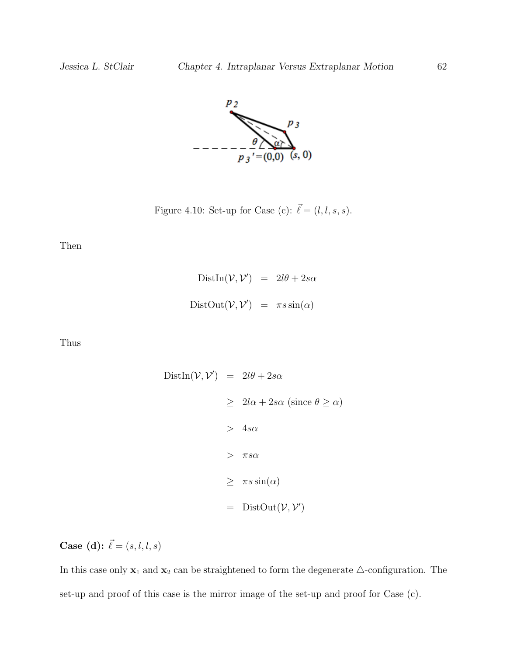

Figure 4.10: Set-up for Case (c):  $\vec{\ell} = (l, l, s, s)$ .

Then

 $\text{DistIn}(\mathcal{V}, \mathcal{V}') = 2l\theta + 2s\alpha$  $DistOut(\mathcal{V}, \mathcal{V}') = \pi s \sin(\alpha)$ 

Thus

$$
DistIn(V, V') = 2l\theta + 2s\alpha
$$
  
\n
$$
\geq 2l\alpha + 2s\alpha \text{ (since } \theta \geq \alpha)
$$
  
\n
$$
> 4s\alpha
$$
  
\n
$$
> \pi s\alpha
$$
  
\n
$$
\geq \pi s \sin(\alpha)
$$
  
\n
$$
= DistOut(V, V')
$$

Case (d):  $\vec{\ell} = (s, l, l, s)$ 

In this case only  $\mathbf{x}_1$  and  $\mathbf{x}_2$  can be straightened to form the degenerate  $\triangle$ -configuration. The set-up and proof of this case is the mirror image of the set-up and proof for Case (c).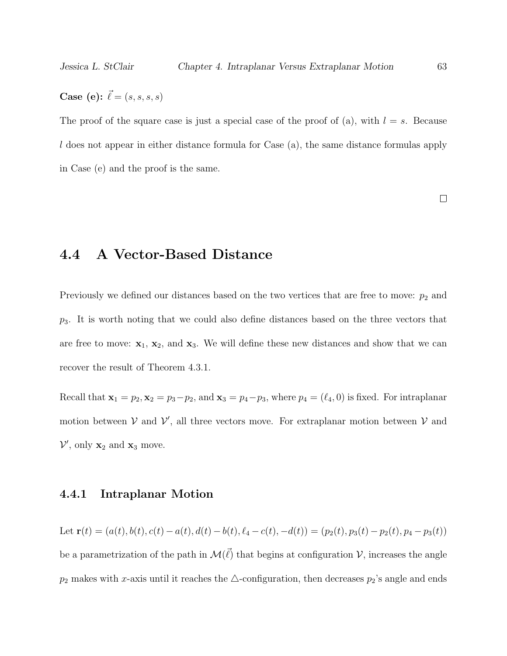Case (e): 
$$
\vec{\ell} = (s, s, s, s)
$$

The proof of the square case is just a special case of the proof of (a), with  $l = s$ . Because l does not appear in either distance formula for Case (a), the same distance formulas apply in Case (e) and the proof is the same.

 $\Box$ 

# 4.4 A Vector-Based Distance

Previously we defined our distances based on the two vertices that are free to move:  $p_2$  and  $p_3$ . It is worth noting that we could also define distances based on the three vectors that are free to move:  $x_1$ ,  $x_2$ , and  $x_3$ . We will define these new distances and show that we can recover the result of Theorem 4.3.1.

Recall that  $\mathbf{x}_1 = p_2, \mathbf{x}_2 = p_3-p_2$ , and  $\mathbf{x}_3 = p_4-p_3$ , where  $p_4 = (\ell_4, 0)$  is fixed. For intraplanar motion between  $V$  and  $V'$ , all three vectors move. For extraplanar motion between  $V$  and  $\mathcal{V}'$ , only  $\mathbf{x}_2$  and  $\mathbf{x}_3$  move.

#### 4.4.1 Intraplanar Motion

Let  $\mathbf{r}(t) = (a(t), b(t), c(t) - a(t), d(t) - b(t), \ell_4 - c(t), -d(t)) = (p_2(t), p_3(t) - p_2(t), p_4 - p_3(t))$ be a parametrization of the path in  $\mathcal{M}(\vec{\ell})$  that begins at configuration  $\mathcal{V}$ , increases the angle  $p_2$  makes with x-axis until it reaches the  $\triangle$ -configuration, then decreases  $p_2$ 's angle and ends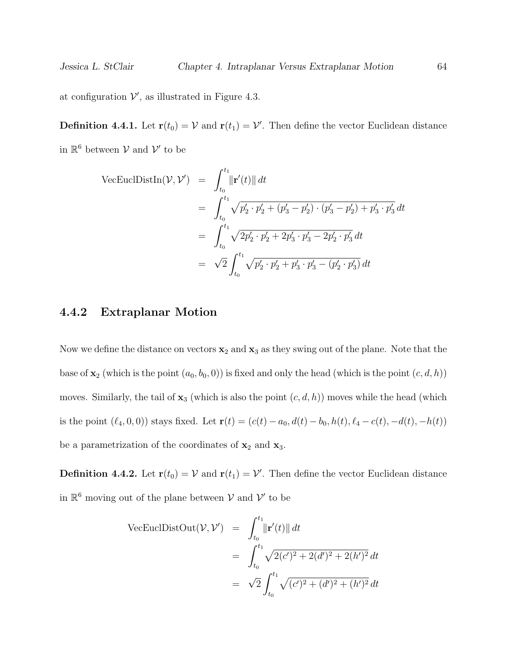at configuration  $\mathcal{V}'$ , as illustrated in Figure 4.3.

**Definition 4.4.1.** Let  $\mathbf{r}(t_0) = \mathcal{V}$  and  $\mathbf{r}(t_1) = \mathcal{V}'$ . Then define the vector Euclidean distance in  $\mathbb{R}^6$  between  $\mathcal V$  and  $\mathcal V'$  to be

$$
\begin{split}\n\text{VecEuclDistIn}(\mathcal{V}, \mathcal{V}') &= \int_{t_0}^{t_1} \|\mathbf{r}'(t)\| \, dt \\
&= \int_{t_0}^{t_1} \sqrt{p_2' \cdot p_2' + (p_3' - p_2') \cdot (p_3' - p_2') + p_3' \cdot p_3'} \, dt \\
&= \int_{t_0}^{t_1} \sqrt{2p_2' \cdot p_2' + 2p_3' \cdot p_3' - 2p_2' \cdot p_3'} \, dt \\
&= \sqrt{2} \int_{t_0}^{t_1} \sqrt{p_2' \cdot p_2' + p_3' \cdot p_3' - (p_2' \cdot p_3')} \, dt\n\end{split}
$$

### 4.4.2 Extraplanar Motion

Now we define the distance on vectors  $x_2$  and  $x_3$  as they swing out of the plane. Note that the base of  $\mathbf{x}_2$  (which is the point  $(a_0, b_0, 0)$ ) is fixed and only the head (which is the point  $(c, d, h)$ ) moves. Similarly, the tail of  $\mathbf{x}_3$  (which is also the point  $(c, d, h)$ ) moves while the head (which is the point  $(\ell_4, 0, 0)$  stays fixed. Let  $\mathbf{r}(t) = (c(t) - a_0, d(t) - b_0, h(t), \ell_4 - c(t), -d(t), -h(t))$ be a parametrization of the coordinates of  $x_2$  and  $x_3$ .

**Definition 4.4.2.** Let  $\mathbf{r}(t_0) = \mathcal{V}$  and  $\mathbf{r}(t_1) = \mathcal{V}'$ . Then define the vector Euclidean distance in  $\mathbb{R}^6$  moving out of the plane between V and V' to be

VecEuclDistOut
$$
(V, V')
$$
 =  $\int_{t_0}^{t_1} ||\mathbf{r}'(t)|| dt$   
 =  $\int_{t_0}^{t_1} \sqrt{2(c')^2 + 2(d')^2 + 2(h')^2} dt$   
 =  $\sqrt{2} \int_{t_0}^{t_1} \sqrt{(c')^2 + (d')^2 + (h')^2} dt$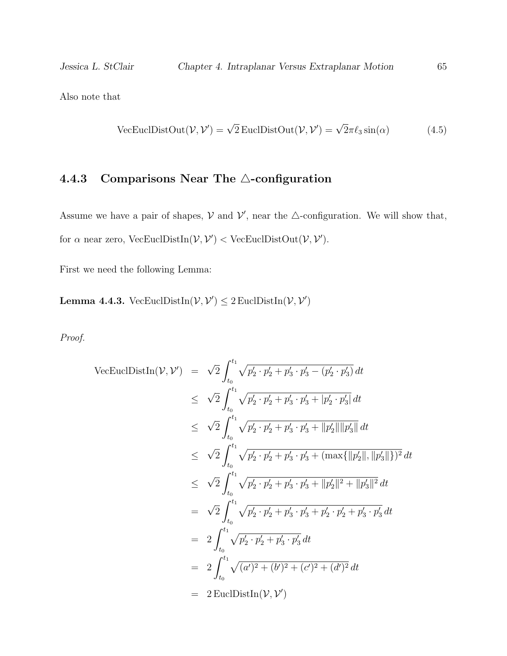Also note that

$$
\text{VecEuclDistOut}(\mathcal{V}, \mathcal{V}') = \sqrt{2} \,\text{EuclDistOut}(\mathcal{V}, \mathcal{V}') = \sqrt{2}\pi \ell_3 \sin(\alpha) \tag{4.5}
$$

# 4.4.3 Comparisons Near The  $\triangle$ -configuration

Assume we have a pair of shapes,  $V$  and  $V'$ , near the  $\triangle$ -configuration. We will show that, for  $\alpha$  near zero, VecEuclDistIn( $V, V'$ ) < VecEuclDistOut( $V, V'$ ).

First we need the following Lemma:

**Lemma 4.4.3.** VecEuclDistIn( $V, V'$ )  $\leq 2$  EuclDistIn( $V, V'$ )

Proof.

$$
\begin{array}{rcl}\n\text{VecEuc} \text{DistIn}(\mathcal{V}, \mathcal{V}') &=& \sqrt{2} \int_{t_0}^{t_1} \sqrt{p_2' \cdot p_2' + p_3' \cdot p_3' - (p_2' \cdot p_3')} \, dt \\
& \leq & \sqrt{2} \int_{t_0}^{t_1} \sqrt{p_2' \cdot p_2' + p_3' \cdot p_3' + |p_2' \cdot p_3'|} \, dt \\
& \leq & \sqrt{2} \int_{t_0}^{t_1} \sqrt{p_2' \cdot p_2' + p_3' \cdot p_3' + ||p_2'|| ||p_3'||} \, dt \\
& \leq & \sqrt{2} \int_{t_0}^{t_1} \sqrt{p_2' \cdot p_2' + p_3' \cdot p_3' + (\max\{||p_2'||, ||p_3'||\})^2} \, dt \\
& \leq & \sqrt{2} \int_{t_0}^{t_1} \sqrt{p_2' \cdot p_2' + p_3' \cdot p_3' + ||p_2'||^2 + ||p_3'||^2} \, dt \\
&=& \sqrt{2} \int_{t_0}^{t_1} \sqrt{p_2' \cdot p_2' + p_3' \cdot p_3' + p_2' \cdot p_2' + p_3' \cdot p_3'} \, dt \\
&=& 2 \int_{t_0}^{t_1} \sqrt{p_2' \cdot p_2' + p_3' \cdot p_3'} \, dt \\
&=& 2 \int_{t_0}^{t_1} \sqrt{p_2' \cdot p_2' + p_3' \cdot p_3'} \, dt \\
&=& 2 \int_{t_0}^{t_1} \sqrt{(a')^2 + (b')^2 + (c')^2 + (d')^2} \, dt \\
&=& 2 \text{EuclDistIn}(\mathcal{V}, \mathcal{V}')\n\end{array}
$$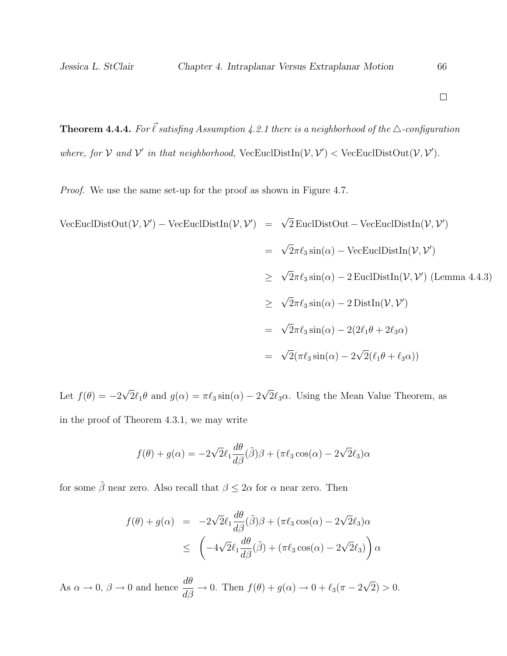$\Box$ 

**Theorem 4.4.4.** For  $\vec{l}$  satisfing Assumption 4.2.1 there is a neighborhood of the  $\Delta$ -configuration where, for V and V' in that neighborhood, VecEuclDistIn(V, V') < VecEuclDistOut(V, V').

Proof. We use the same set-up for the proof as shown in Figure 4.7.

VecEuclDistOut( $V, V'$ ) – VecEuclDistIn( $V, V'$ ) =  $\sqrt{2}$ EuclDistOut – VecEuclDistIn( $V, V'$ ) = √  $\overline{2}\pi\ell_3\sin(\alpha) - \text{VecEuclDistIn}(\mathcal{V}, \mathcal{V}')$ ≥ √  $\overline{2}\pi\ell_3\sin(\alpha) - 2 \text{EuclDistIn}(\mathcal{V}, \mathcal{V}')$  (Lemma 4.4.3) ≥ √  $\overline{2}\pi\ell_3\sin(\alpha) - 2\operatorname{DistIn}(\mathcal{V}, \mathcal{V}')$ = √  $2\pi\ell_3 \sin(\alpha) - 2(2\ell_1\theta + 2\ell_3\alpha)$ = √  $2(\pi \ell_3 \sin(\alpha) - 2)$ √  $2(\ell_1 \theta + \ell_3 \alpha))$ 

Let  $f(\theta) = -2$ √  $2\ell_1\theta$  and  $g(\alpha) = \pi\ell_3 \sin(\alpha) - 2$ √  $2\ell_3\alpha$ . Using the Mean Value Theorem, as in the proof of Theorem 4.3.1, we may write

$$
f(\theta) + g(\alpha) = -2\sqrt{2}\ell_1 \frac{d\theta}{d\beta}(\tilde{\beta})\beta + (\pi \ell_3 \cos(\alpha) - 2\sqrt{2}\ell_3)\alpha
$$

for some  $\tilde{\beta}$  near zero. Also recall that  $\beta \leq 2\alpha$  for  $\alpha$  near zero. Then

$$
f(\theta) + g(\alpha) = -2\sqrt{2}\ell_1 \frac{d\theta}{d\beta}(\tilde{\beta})\beta + (\pi \ell_3 \cos(\alpha) - 2\sqrt{2}\ell_3)\alpha
$$
  

$$
\leq \left(-4\sqrt{2}\ell_1 \frac{d\theta}{d\beta}(\tilde{\beta}) + (\pi \ell_3 \cos(\alpha) - 2\sqrt{2}\ell_3)\right)\alpha
$$

As  $\alpha \to 0$ ,  $\beta \to 0$  and hence  $\frac{d\theta}{d\beta} \to 0$ . Then  $f(\theta) + g(\alpha) \to 0 + \ell_3(\pi - 2)$ √  $2) > 0.$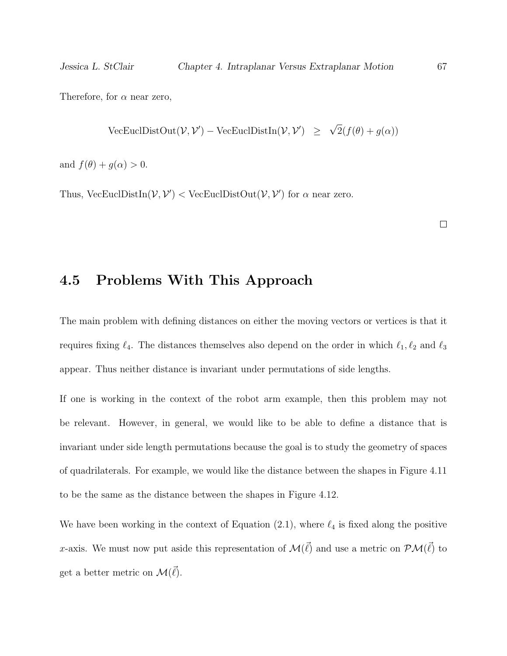Therefore, for  $\alpha$  near zero,

$$
\text{VecEuclDistOut}(\mathcal{V}, \mathcal{V}') - \text{VecEuclDistIn}(\mathcal{V}, \mathcal{V}') \geq \sqrt{2}(f(\theta) + g(\alpha))
$$

and  $f(\theta) + g(\alpha) > 0$ .

Thus, VecEuclDistIn( $V, V'$ ) < VecEuclDistOut( $V, V'$ ) for  $\alpha$  near zero.

 $\Box$ 

# 4.5 Problems With This Approach

The main problem with defining distances on either the moving vectors or vertices is that it requires fixing  $\ell_4$ . The distances themselves also depend on the order in which  $\ell_1, \ell_2$  and  $\ell_3$ appear. Thus neither distance is invariant under permutations of side lengths.

If one is working in the context of the robot arm example, then this problem may not be relevant. However, in general, we would like to be able to define a distance that is invariant under side length permutations because the goal is to study the geometry of spaces of quadrilaterals. For example, we would like the distance between the shapes in Figure 4.11 to be the same as the distance between the shapes in Figure 4.12.

We have been working in the context of Equation (2.1), where  $\ell_4$  is fixed along the positive x-axis. We must now put aside this representation of  $\mathcal{M}(\vec{\ell})$  and use a metric on  $\mathcal{PM}(\vec{\ell})$  to get a better metric on  $\mathcal{M}(\vec{\ell}).$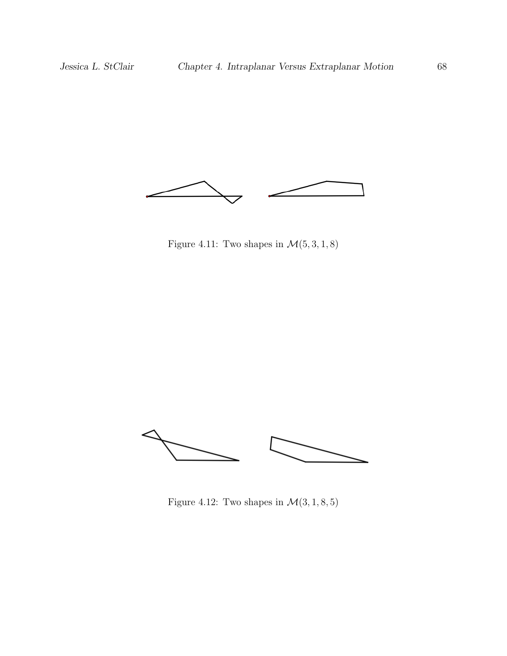

Figure 4.11: Two shapes in  $\mathcal{M}(5,3,1,8)$ 



Figure 4.12: Two shapes in  $\mathcal{M}(3, 1, 8, 5)$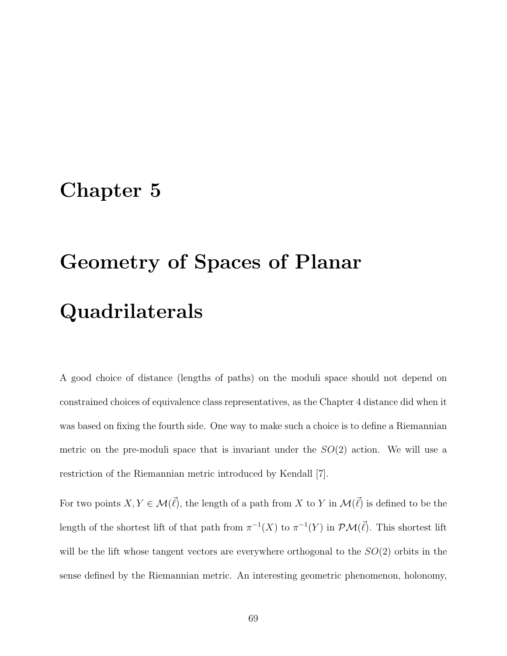# Chapter 5

# Geometry of Spaces of Planar Quadrilaterals

A good choice of distance (lengths of paths) on the moduli space should not depend on constrained choices of equivalence class representatives, as the Chapter 4 distance did when it was based on fixing the fourth side. One way to make such a choice is to define a Riemannian metric on the pre-moduli space that is invariant under the  $SO(2)$  action. We will use a restriction of the Riemannian metric introduced by Kendall [7].

For two points  $X, Y \in \mathcal{M}(\vec{\ell})$ , the length of a path from X to Y in  $\mathcal{M}(\vec{\ell})$  is defined to be the length of the shortest lift of that path from  $\pi^{-1}(X)$  to  $\pi^{-1}(Y)$  in  $\mathcal{PM}(\vec{\ell})$ . This shortest lift will be the lift whose tangent vectors are everywhere orthogonal to the  $SO(2)$  orbits in the sense defined by the Riemannian metric. An interesting geometric phenomenon, holonomy,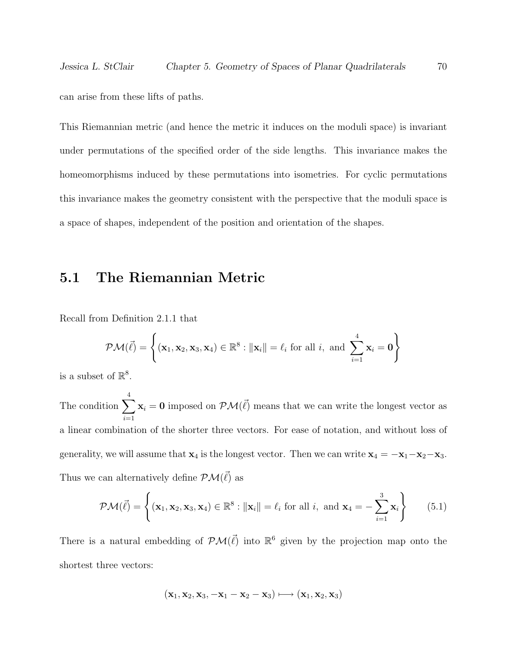can arise from these lifts of paths.

This Riemannian metric (and hence the metric it induces on the moduli space) is invariant under permutations of the specified order of the side lengths. This invariance makes the homeomorphisms induced by these permutations into isometries. For cyclic permutations this invariance makes the geometry consistent with the perspective that the moduli space is a space of shapes, independent of the position and orientation of the shapes.

# 5.1 The Riemannian Metric

Recall from Definition 2.1.1 that

$$
\mathcal{PM}(\vec{\ell}) = \left\{ (\mathbf{x}_1, \mathbf{x}_2, \mathbf{x}_3, \mathbf{x}_4) \in \mathbb{R}^8 : ||\mathbf{x}_i|| = \ell_i \text{ for all } i, \text{ and } \sum_{i=1}^4 \mathbf{x}_i = \mathbf{0} \right\}
$$

is a subset of  $\mathbb{R}^8$ .

The condition  $\sum$ 4  $i=1$  $\mathbf{x}_i = \mathbf{0}$  imposed on  $\mathcal{PM}(\vec{\ell})$  means that we can write the longest vector as a linear combination of the shorter three vectors. For ease of notation, and without loss of generality, we will assume that  $\mathbf{x}_4$  is the longest vector. Then we can write  $\mathbf{x}_4 = -\mathbf{x}_1 - \mathbf{x}_2 - \mathbf{x}_3$ . Thus we can alternatively define  $\mathcal{PM}(\vec{\ell})$  as

$$
\mathcal{PM}(\vec{\ell}) = \left\{ (\mathbf{x}_1, \mathbf{x}_2, \mathbf{x}_3, \mathbf{x}_4) \in \mathbb{R}^8 : ||\mathbf{x}_i|| = \ell_i \text{ for all } i, \text{ and } \mathbf{x}_4 = -\sum_{i=1}^3 \mathbf{x}_i \right\} \tag{5.1}
$$

There is a natural embedding of  $\mathcal{PM}(\vec{\ell})$  into  $\mathbb{R}^6$  given by the projection map onto the shortest three vectors:

$$
(\mathbf{x}_1,\mathbf{x}_2,\mathbf{x}_3,-\mathbf{x}_1-\mathbf{x}_2-\mathbf{x}_3)\longmapsto (\mathbf{x}_1,\mathbf{x}_2,\mathbf{x}_3)
$$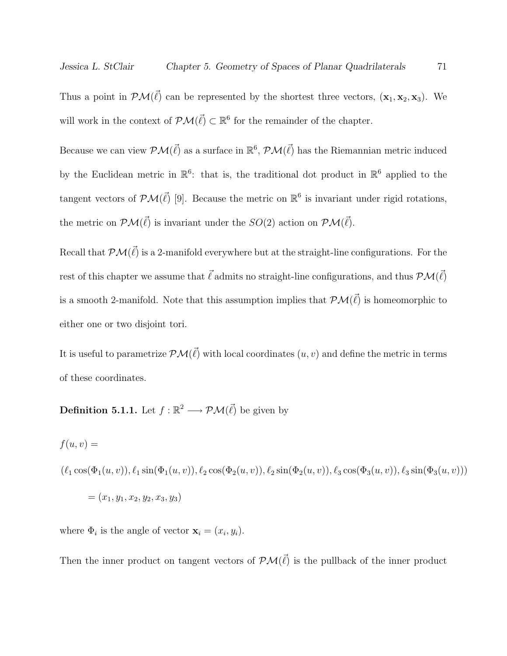Thus a point in  $\mathcal{PM}(\vec{\ell})$  can be represented by the shortest three vectors,  $(\mathbf{x}_1, \mathbf{x}_2, \mathbf{x}_3)$ . We will work in the context of  $\mathcal{PM}(\vec{\ell}) \subset \mathbb{R}^6$  for the remainder of the chapter.

Because we can view  $\mathcal{PM}(\vec{\ell})$  as a surface in  $\mathbb{R}^6$ ,  $\mathcal{PM}(\vec{\ell})$  has the Riemannian metric induced by the Euclidean metric in  $\mathbb{R}^6$ : that is, the traditional dot product in  $\mathbb{R}^6$  applied to the tangent vectors of  $\mathcal{PM}(\vec{\ell})$  [9]. Because the metric on  $\mathbb{R}^6$  is invariant under rigid rotations, the metric on  $\mathcal{PM}(\vec{\ell})$  is invariant under the  $SO(2)$  action on  $\mathcal{PM}(\vec{\ell})$ .

Recall that  $\mathcal{PM}(\vec{\ell})$  is a 2-manifold everywhere but at the straight-line configurations. For the rest of this chapter we assume that  $\vec{\ell}$  admits no straight-line configurations, and thus  $\mathcal{PM}(\vec{\ell})$ is a smooth 2-manifold. Note that this assumption implies that  $\mathcal{PM}(\vec{\ell})$  is homeomorphic to either one or two disjoint tori.

It is useful to parametrize  $\mathcal{PM}(\vec{\ell})$  with local coordinates  $(u, v)$  and define the metric in terms of these coordinates.

**Definition 5.1.1.** Let  $f : \mathbb{R}^2 \longrightarrow \mathcal{PM}(\vec{\ell})$  be given by

$$
f(u, v) =
$$
  
\n
$$
(\ell_1 \cos(\Phi_1(u, v)), \ell_1 \sin(\Phi_1(u, v)), \ell_2 \cos(\Phi_2(u, v)), \ell_2 \sin(\Phi_2(u, v)), \ell_3 \cos(\Phi_3(u, v)), \ell_3 \sin(\Phi_3(u, v)))
$$
  
\n
$$
= (x_1, y_1, x_2, y_2, x_3, y_3)
$$

where  $\Phi_i$  is the angle of vector  $\mathbf{x}_i = (x_i, y_i)$ .

Then the inner product on tangent vectors of  $\mathcal{PM}(\vec{\ell})$  is the pullback of the inner product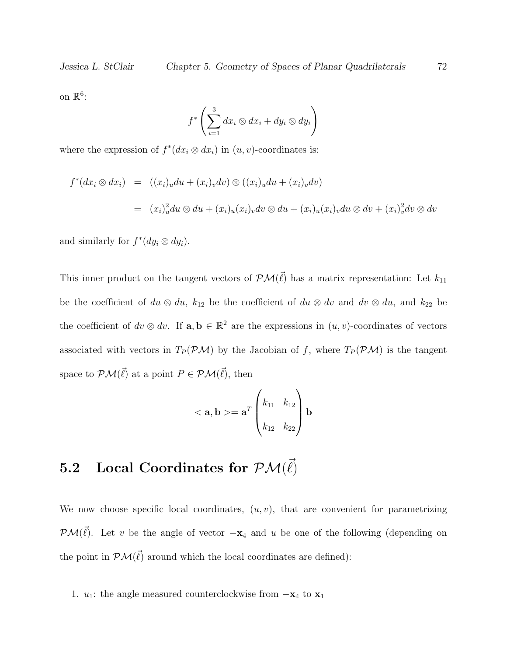on  $\mathbb{R}^6$ :

$$
f^* \left( \sum_{i=1}^3 dx_i \otimes dx_i + dy_i \otimes dy_i \right)
$$

where the expression of  $f^*(dx_i \otimes dx_i)$  in  $(u, v)$ -coordinates is:

$$
f^*(dx_i \otimes dx_i) = ((x_i)_u du + (x_i)_v dv) \otimes ((x_i)_u du + (x_i)_v dv)
$$
  
= 
$$
(x_i)_u^2 du \otimes du + (x_i)_u (x_i)_v dv \otimes du + (x_i)_u (x_i)_v du \otimes dv + (x_i)_v^2 dv \otimes dv
$$

and similarly for  $f^*(dy_i \otimes dy_i)$ .

This inner product on the tangent vectors of  $\mathcal{PM}(\vec{\ell})$  has a matrix representation: Let  $k_{11}$ be the coefficient of  $du \otimes du$ ,  $k_{12}$  be the coefficient of  $du \otimes dv$  and  $dv \otimes du$ , and  $k_{22}$  be the coefficient of  $dv \otimes dv$ . If  $\mathbf{a}, \mathbf{b} \in \mathbb{R}^2$  are the expressions in  $(u, v)$ -coordinates of vectors associated with vectors in  $T_P(\mathcal{PM})$  by the Jacobian of f, where  $T_P(\mathcal{PM})$  is the tangent space to  $\mathcal{PM}(\vec{\ell})$  at a point  $P \in \mathcal{PM}(\vec{\ell})$ , then

$$
<\mathbf{a},\mathbf{b}>=\mathbf{a}^T \begin{pmatrix} k_{11} & k_{12} \\[1mm] k_{12} & k_{22} \end{pmatrix} \mathbf{b}
$$

# 5.2 Local Coordinates for  $\mathcal{PM}(\vec{\ell})$

We now choose specific local coordinates,  $(u, v)$ , that are convenient for parametrizing  $\mathcal{PM}(\vec{\ell})$ . Let v be the angle of vector  $-\mathbf{x}_4$  and u be one of the following (depending on the point in  $\mathcal{PM}(\vec{\ell})$  around which the local coordinates are defined):

<sup>1.</sup>  $u_1$ : the angle measured counterclockwise from  $-\mathbf{x}_4$  to  $\mathbf{x}_1$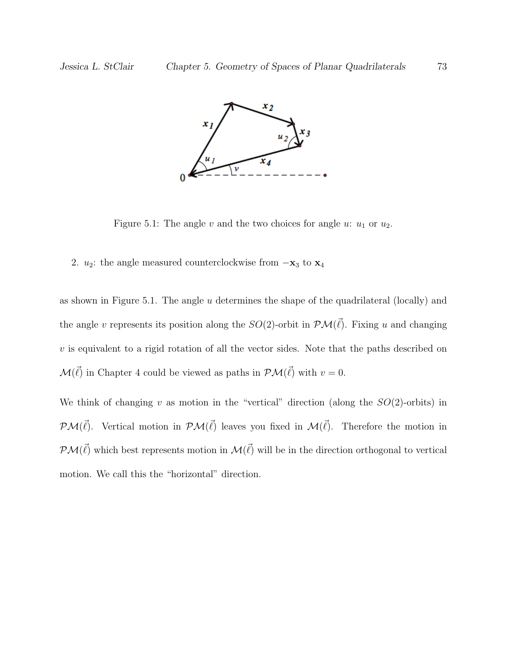

Figure 5.1: The angle  $v$  and the two choices for angle  $u: u_1$  or  $u_2$ .

2.  $u_2$ : the angle measured counterclockwise from  $-\mathbf{x}_3$  to  $\mathbf{x}_4$ 

as shown in Figure 5.1. The angle  $u$  determines the shape of the quadrilateral (locally) and the angle v represents its position along the  $SO(2)$ -orbit in  $\mathcal{PM}(\vec{\ell})$ . Fixing u and changing  $v$  is equivalent to a rigid rotation of all the vector sides. Note that the paths described on  $\mathcal{M}(\vec{\ell})$  in Chapter 4 could be viewed as paths in  $\mathcal{PM}(\vec{\ell})$  with  $v = 0$ .

We think of changing v as motion in the "vertical" direction (along the  $SO(2)$ -orbits) in  $\mathcal{PM}(\vec{\ell})$ . Vertical motion in  $\mathcal{PM}(\vec{\ell})$  leaves you fixed in  $\mathcal{M}(\vec{\ell})$ . Therefore the motion in  $\mathcal{PM}(\vec{\ell})$  which best represents motion in  $\mathcal{M}(\vec{\ell})$  will be in the direction orthogonal to vertical motion. We call this the "horizontal" direction.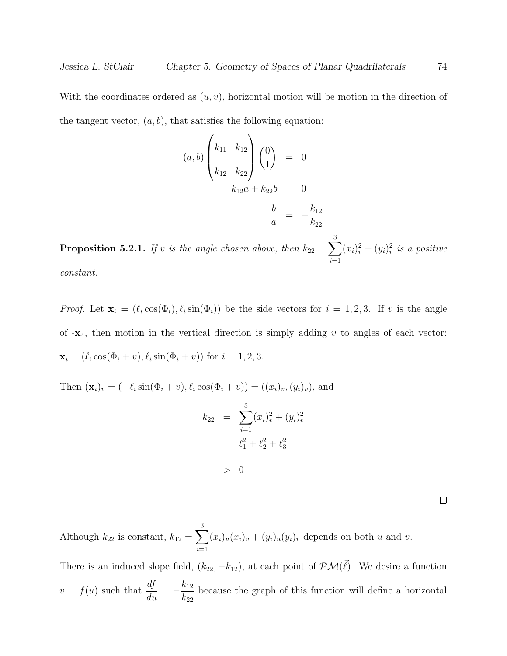With the coordinates ordered as  $(u, v)$ , horizontal motion will be motion in the direction of the tangent vector,  $(a, b)$ , that satisfies the following equation:

$$
(a, b) \begin{pmatrix} k_{11} & k_{12} \\ k_{12} & k_{22} \end{pmatrix} \begin{pmatrix} 0 \\ 1 \end{pmatrix} = 0
$$
  

$$
k_{12}a + k_{22}b = 0
$$
  

$$
\frac{b}{a} = -\frac{k_{12}}{k_{22}}
$$

**Proposition 5.2.1.** If v is the angle chosen above, then  $k_{22} = \sum$ 3  $i=1$  $(x_i)_v^2 + (y_i)_v^2$  is a positive constant.

*Proof.* Let  $\mathbf{x}_i = (\ell_i \cos(\Phi_i), \ell_i \sin(\Phi_i))$  be the side vectors for  $i = 1, 2, 3$ . If v is the angle of  $-x_4$ , then motion in the vertical direction is simply adding v to angles of each vector:  $\mathbf{x}_i = (\ell_i \cos(\Phi_i + v), \ell_i \sin(\Phi_i + v))$  for  $i = 1, 2, 3$ .

Then  $({\bf x}_i)_v = (-\ell_i \sin(\Phi_i + v), \ell_i \cos(\Phi_i + v)) = ((x_i)_v, (y_i)_v)$ , and

$$
k_{22} = \sum_{i=1}^{3} (x_i)_v^2 + (y_i)_v^2
$$
  
=  $\ell_1^2 + \ell_2^2 + \ell_3^2$   
> 0

Although  $k_{22}$  is constant,  $k_{12} = \sum$ 3  $i=1$  $(x_i)_u(x_i)_v + (y_i)_u(y_i)_v$  depends on both u and v.

There is an induced slope field,  $(k_{22}, -k_{12})$ , at each point of  $\mathcal{PM}(\vec{\ell})$ . We desire a function  $v = f(u)$  such that  $\frac{df}{du} = -\frac{k_{12}}{k_{22}}$  $k_{22}$ because the graph of this function will define a horizontal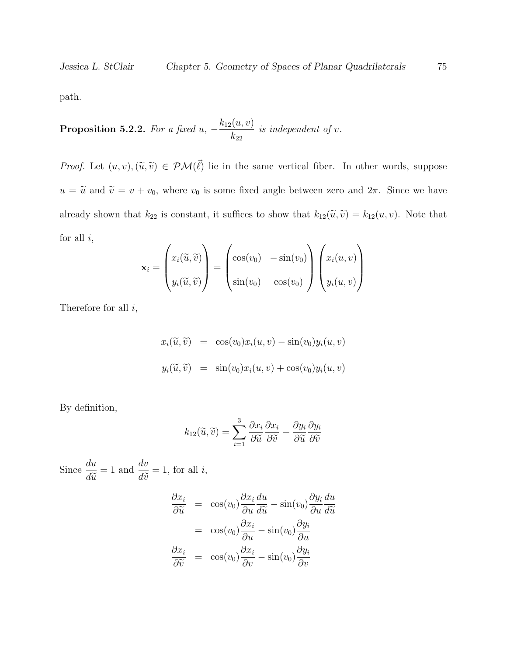path.

**Proposition 5.2.2.** For a fixed 
$$
u
$$
,  $-\frac{k_{12}(u, v)}{k_{22}}$  is independent of  $v$ .

*Proof.* Let  $(u, v), (\tilde{u}, \tilde{v}) \in PM(\vec{\ell})$  lie in the same vertical fiber. In other words, suppose  $u = \tilde{u}$  and  $\tilde{v} = v + v_0$ , where  $v_0$  is some fixed angle between zero and  $2\pi$ . Since we have already shown that  $k_{22}$  is constant, it suffices to show that  $k_{12}(\tilde{u}, \tilde{v}) = k_{12}(u, v)$ . Note that for all  $i$ ,

$$
\mathbf{x}_{i} = \begin{pmatrix} x_{i}(\widetilde{u}, \widetilde{v}) \\ y_{i}(\widetilde{u}, \widetilde{v}) \end{pmatrix} = \begin{pmatrix} \cos(v_{0}) & -\sin(v_{0}) \\ \sin(v_{0}) & \cos(v_{0}) \end{pmatrix} \begin{pmatrix} x_{i}(u, v) \\ y_{i}(u, v) \end{pmatrix}
$$

Therefore for all i,

$$
x_i(\widetilde{u}, \widetilde{v}) = \cos(v_0)x_i(u, v) - \sin(v_0)y_i(u, v)
$$
  

$$
y_i(\widetilde{u}, \widetilde{v}) = \sin(v_0)x_i(u, v) + \cos(v_0)y_i(u, v)
$$

By definition,

$$
k_{12}(\widetilde{u}, \widetilde{v}) = \sum_{i=1}^{3} \frac{\partial x_i}{\partial \widetilde{u}} \frac{\partial x_i}{\partial \widetilde{v}} + \frac{\partial y_i}{\partial \widetilde{u}} \frac{\partial y_i}{\partial \widetilde{v}}
$$

Since  $\frac{du}{dx}$  $d\widetilde{u}$  $= 1$  and  $\frac{dv}{dt}$  $d\widetilde{v}$  $= 1$ , for all i,

$$
\frac{\partial x_i}{\partial \widetilde{u}} = \cos(v_0) \frac{\partial x_i}{\partial u} \frac{du}{d\widetilde{u}} - \sin(v_0) \frac{\partial y_i}{\partial u} \frac{du}{d\widetilde{u}}
$$

$$
= \cos(v_0) \frac{\partial x_i}{\partial u} - \sin(v_0) \frac{\partial y_i}{\partial u}
$$

$$
\frac{\partial x_i}{\partial \widetilde{v}} = \cos(v_0) \frac{\partial x_i}{\partial v} - \sin(v_0) \frac{\partial y_i}{\partial v}
$$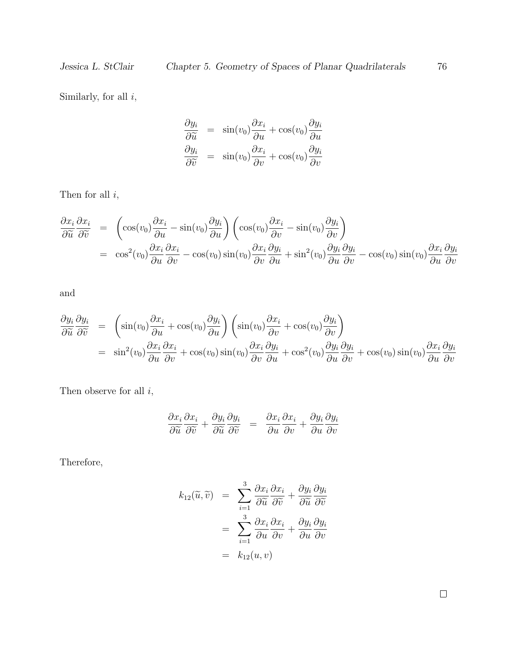Similarly, for all  $i,$ 

$$
\frac{\partial y_i}{\partial \widetilde{u}} = \sin(v_0) \frac{\partial x_i}{\partial u} + \cos(v_0) \frac{\partial y_i}{\partial u}
$$

$$
\frac{\partial y_i}{\partial \widetilde{v}} = \sin(v_0) \frac{\partial x_i}{\partial v} + \cos(v_0) \frac{\partial y_i}{\partial v}
$$

Then for all  $i$ ,

$$
\frac{\partial x_i}{\partial \widetilde{u}} \frac{\partial x_i}{\partial \widetilde{v}} = \left( \cos(v_0) \frac{\partial x_i}{\partial u} - \sin(v_0) \frac{\partial y_i}{\partial u} \right) \left( \cos(v_0) \frac{\partial x_i}{\partial v} - \sin(v_0) \frac{\partial y_i}{\partial v} \right)
$$
  
\n
$$
= \cos^2(v_0) \frac{\partial x_i}{\partial u} \frac{\partial x_i}{\partial v} - \cos(v_0) \sin(v_0) \frac{\partial x_i}{\partial v} \frac{\partial y_i}{\partial u} + \sin^2(v_0) \frac{\partial y_i}{\partial u} \frac{\partial y_i}{\partial v} - \cos(v_0) \sin(v_0) \frac{\partial x_i}{\partial u} \frac{\partial y_i}{\partial v} \right)
$$

and

$$
\frac{\partial y_i}{\partial \tilde{u}} \frac{\partial y_i}{\partial \tilde{v}} = \left( \sin(v_0) \frac{\partial x_i}{\partial u} + \cos(v_0) \frac{\partial y_i}{\partial u} \right) \left( \sin(v_0) \frac{\partial x_i}{\partial v} + \cos(v_0) \frac{\partial y_i}{\partial v} \right)
$$
  
\n
$$
= \sin^2(v_0) \frac{\partial x_i}{\partial u} \frac{\partial x_i}{\partial v} + \cos(v_0) \sin(v_0) \frac{\partial x_i}{\partial v} \frac{\partial y_i}{\partial u} + \cos^2(v_0) \frac{\partial y_i}{\partial u} \frac{\partial y_i}{\partial v} + \cos(v_0) \sin(v_0) \frac{\partial x_i}{\partial u} \frac{\partial y_i}{\partial v}
$$

Then observe for all  $i$ ,

$$
\frac{\partial x_i}{\partial \widetilde{u}} \frac{\partial x_i}{\partial \widetilde{v}} + \frac{\partial y_i}{\partial \widetilde{u}} \frac{\partial y_i}{\partial \widetilde{v}} = \frac{\partial x_i}{\partial u} \frac{\partial x_i}{\partial v} + \frac{\partial y_i}{\partial u} \frac{\partial y_i}{\partial v}
$$

Therefore,

$$
k_{12}(\widetilde{u}, \widetilde{v}) = \sum_{i=1}^{3} \frac{\partial x_i}{\partial \widetilde{u}} \frac{\partial x_i}{\partial \widetilde{v}} + \frac{\partial y_i}{\partial \widetilde{u}} \frac{\partial y_i}{\partial \widetilde{v}}
$$
  
= 
$$
\sum_{i=1}^{3} \frac{\partial x_i}{\partial u} \frac{\partial x_i}{\partial v} + \frac{\partial y_i}{\partial u} \frac{\partial y_i}{\partial v}
$$
  
= 
$$
k_{12}(u, v)
$$

 $\Box$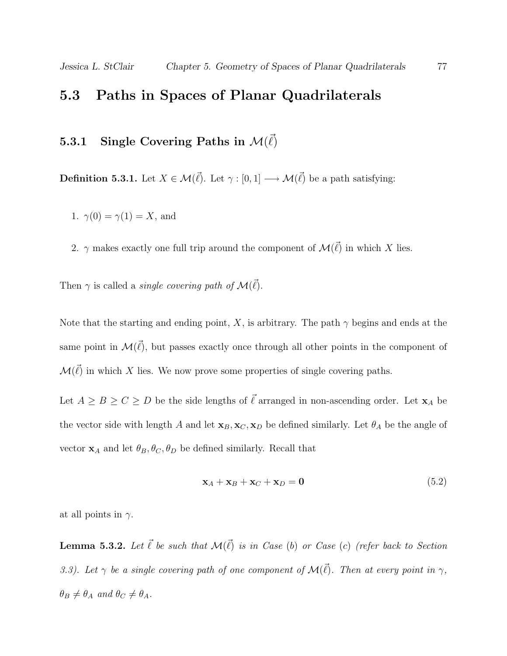## 5.3 Paths in Spaces of Planar Quadrilaterals

# 5.3.1 Single Covering Paths in  $\mathcal{M}(\vec{\ell})$

**Definition 5.3.1.** Let  $X \in \mathcal{M}(\vec{\ell})$ . Let  $\gamma : [0, 1] \longrightarrow \mathcal{M}(\vec{\ell})$  be a path satisfying:

1.  $\gamma(0) = \gamma(1) = X$ , and

2.  $\gamma$  makes exactly one full trip around the component of  $\mathcal{M}(\vec{\ell})$  in which X lies.

Then  $\gamma$  is called a *single covering path of*  $\mathcal{M}(\vec{\ell})$ .

Note that the starting and ending point, X, is arbitrary. The path  $\gamma$  begins and ends at the same point in  $\mathcal{M}(\vec{\ell})$ , but passes exactly once through all other points in the component of  $\mathcal{M}(\vec{\ell})$  in which X lies. We now prove some properties of single covering paths.

Let  $A \geq B \geq C \geq D$  be the side lengths of  $\vec{\ell}$  arranged in non-ascending order. Let  $\mathbf{x}_A$  be the vector side with length A and let  $\mathbf{x}_B, \mathbf{x}_C, \mathbf{x}_D$  be defined similarly. Let  $\theta_A$  be the angle of vector  $\mathbf{x}_A$  and let  $\theta_B$ ,  $\theta_C$ ,  $\theta_D$  be defined similarly. Recall that

$$
\mathbf{x}_A + \mathbf{x}_B + \mathbf{x}_C + \mathbf{x}_D = \mathbf{0} \tag{5.2}
$$

at all points in  $\gamma$ .

**Lemma 5.3.2.** Let  $\vec{\ell}$  be such that  $\mathcal{M}(\vec{\ell})$  is in Case (b) or Case (c) (refer back to Section 3.3). Let  $\gamma$  be a single covering path of one component of  $\mathcal{M}(\vec{\ell})$ . Then at every point in  $\gamma$ ,  $\theta_B \neq \theta_A$  and  $\theta_C \neq \theta_A$ .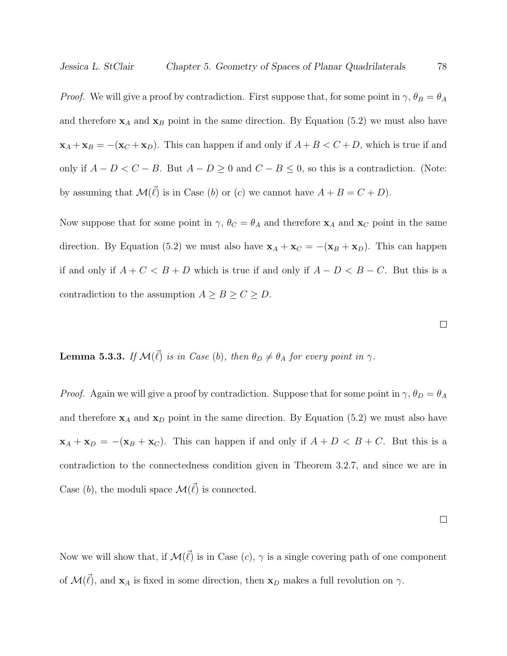*Proof.* We will give a proof by contradiction. First suppose that, for some point in  $\gamma$ ,  $\theta_B = \theta_A$ and therefore  $x_A$  and  $x_B$  point in the same direction. By Equation (5.2) we must also have  $\mathbf{x}_A + \mathbf{x}_B = -(\mathbf{x}_C + \mathbf{x}_D)$ . This can happen if and only if  $A + B < C + D$ , which is true if and only if  $A - D < C - B$ . But  $A - D \ge 0$  and  $C - B \le 0$ , so this is a contradiction. (Note: by assuming that  $\mathcal{M}(\vec{\ell})$  is in Case (b) or (c) we cannot have  $A + B = C + D$ ).

Now suppose that for some point in  $\gamma$ ,  $\theta_C = \theta_A$  and therefore  $\mathbf{x}_A$  and  $\mathbf{x}_C$  point in the same direction. By Equation (5.2) we must also have  $\mathbf{x}_A + \mathbf{x}_C = -(\mathbf{x}_B + \mathbf{x}_D)$ . This can happen if and only if  $A + C < B + D$  which is true if and only if  $A - D < B - C$ . But this is a contradiction to the assumption  $A \geq B \geq C \geq D$ .

**Lemma 5.3.3.** If  $\mathcal{M}(\vec{\ell})$  is in Case (b), then  $\theta_D \neq \theta_A$  for every point in  $\gamma$ .

*Proof.* Again we will give a proof by contradiction. Suppose that for some point in  $\gamma$ ,  $\theta_D = \theta_A$ and therefore  $x_A$  and  $x_D$  point in the same direction. By Equation (5.2) we must also have  $\mathbf{x}_A + \mathbf{x}_D = -(\mathbf{x}_B + \mathbf{x}_C)$ . This can happen if and only if  $A + D < B + C$ . But this is a contradiction to the connectedness condition given in Theorem 3.2.7, and since we are in Case (b), the moduli space  $\mathcal{M}(\vec{\ell})$  is connected.

 $\Box$ 

Now we will show that, if  $\mathcal{M}(\vec{\ell})$  is in Case  $(c)$ ,  $\gamma$  is a single covering path of one component of  $\mathcal{M}(\vec{\ell})$ , and  $\mathbf{x}_A$  is fixed in some direction, then  $\mathbf{x}_D$  makes a full revolution on  $\gamma$ .

 $\Box$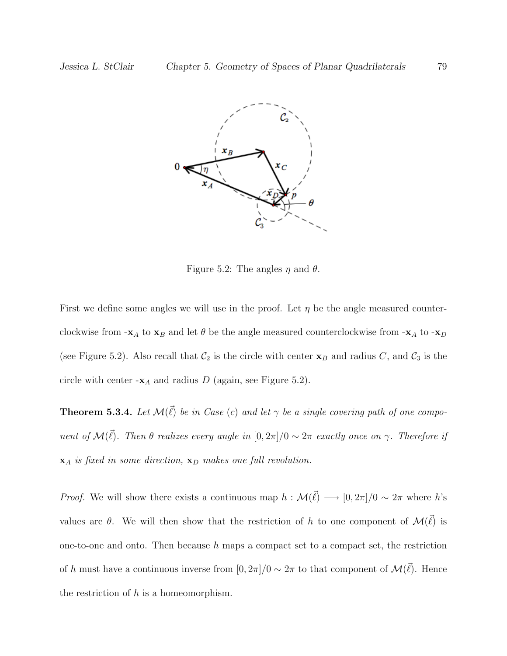

Figure 5.2: The angles  $\eta$  and  $\theta$ .

First we define some angles we will use in the proof. Let  $\eta$  be the angle measured counterclockwise from  $-x_A$  to  $x_B$  and let  $\theta$  be the angle measured counterclockwise from  $-x_A$  to  $-x_D$ (see Figure 5.2). Also recall that  $\mathcal{C}_2$  is the circle with center  $\mathbf{x}_B$  and radius C, and  $\mathcal{C}_3$  is the circle with center  $-x_A$  and radius D (again, see Figure 5.2).

**Theorem 5.3.4.** Let  $\mathcal{M}(\vec{\ell})$  be in Case (c) and let  $\gamma$  be a single covering path of one component of  $\mathcal{M}(\vec{\ell})$ . Then  $\theta$  realizes every angle in  $[0, 2\pi]/0 \sim 2\pi$  exactly once on  $\gamma$ . Therefore if  $\mathbf{x}_A$  is fixed in some direction,  $\mathbf{x}_D$  makes one full revolution.

*Proof.* We will show there exists a continuous map  $h : \mathcal{M}(\vec{\ell}) \longrightarrow [0, 2\pi]/0 \sim 2\pi$  where h's values are  $\theta$ . We will then show that the restriction of h to one component of  $\mathcal{M}(\vec{\ell})$  is one-to-one and onto. Then because  $h$  maps a compact set to a compact set, the restriction of h must have a continuous inverse from  $[0, 2\pi]$  / $0 \sim 2\pi$  to that component of  $\mathcal{M}(\vec{\ell})$ . Hence the restriction of  $h$  is a homeomorphism.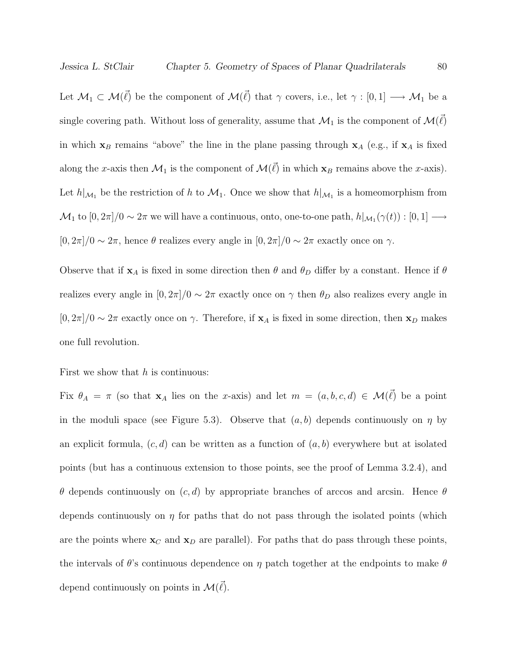Let  $\mathcal{M}_1 \subset \mathcal{M}(\vec{\ell})$  be the component of  $\mathcal{M}(\vec{\ell})$  that  $\gamma$  covers, i.e., let  $\gamma : [0,1] \longrightarrow \mathcal{M}_1$  be a single covering path. Without loss of generality, assume that  $\mathcal{M}_1$  is the component of  $\mathcal{M}(\vec{\ell})$ in which  $x_B$  remains "above" the line in the plane passing through  $x_A$  (e.g., if  $x_A$  is fixed along the x-axis then  $\mathcal{M}_1$  is the component of  $\mathcal{M}(\vec{\ell})$  in which  $\mathbf{x}_B$  remains above the x-axis). Let  $h|_{\mathcal{M}_1}$  be the restriction of h to  $\mathcal{M}_1$ . Once we show that  $h|_{\mathcal{M}_1}$  is a homeomorphism from  $\mathcal{M}_1$  to  $[0,2\pi]/0 \sim 2\pi$  we will have a continuous, onto, one-to-one path,  $h|_{\mathcal{M}_1}(\gamma(t)) : [0,1] \longrightarrow$  $[0, 2\pi]/0 \sim 2\pi$ , hence  $\theta$  realizes every angle in  $[0, 2\pi]/0 \sim 2\pi$  exactly once on  $\gamma$ .

Observe that if  $x_A$  is fixed in some direction then  $\theta$  and  $\theta_D$  differ by a constant. Hence if  $\theta$ realizes every angle in  $[0, 2\pi]/0 \sim 2\pi$  exactly once on  $\gamma$  then  $\theta_D$  also realizes every angle in  $[0, 2\pi]/0 \sim 2\pi$  exactly once on  $\gamma$ . Therefore, if  $\mathbf{x}_A$  is fixed in some direction, then  $\mathbf{x}_D$  makes one full revolution.

#### First we show that  $h$  is continuous:

Fix  $\theta_A = \pi$  (so that  $\mathbf{x}_A$  lies on the x-axis) and let  $m = (a, b, c, d) \in \mathcal{M}(\vec{\ell})$  be a point in the moduli space (see Figure 5.3). Observe that  $(a, b)$  depends continuously on  $\eta$  by an explicit formula,  $(c, d)$  can be written as a function of  $(a, b)$  everywhere but at isolated points (but has a continuous extension to those points, see the proof of Lemma 3.2.4), and θ depends continuously on  $(c, d)$  by appropriate branches of arccos and arcsin. Hence θ depends continuously on  $\eta$  for paths that do not pass through the isolated points (which are the points where  $\mathbf{x}_C$  and  $\mathbf{x}_D$  are parallel). For paths that do pass through these points, the intervals of  $\theta$ 's continuous dependence on  $\eta$  patch together at the endpoints to make  $\theta$ depend continuously on points in  $\mathcal{M}(\vec{\ell})$ .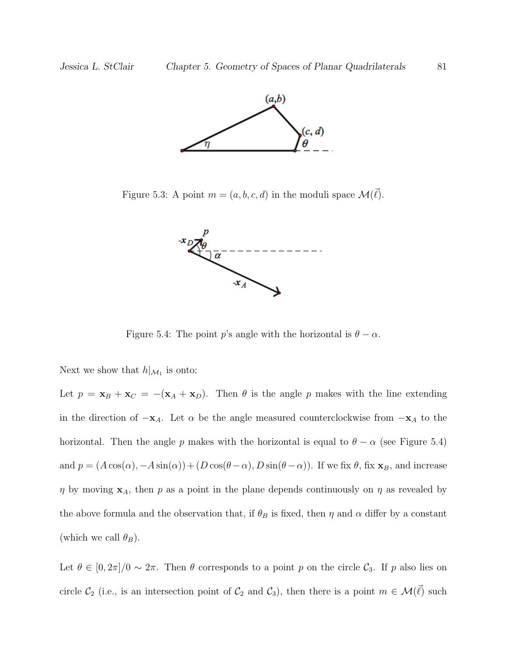

Figure 5.3: A point  $m = (a, b, c, d)$  in the moduli space  $\mathcal{M}(\vec{\ell})$ .



Figure 5.4: The point p's angle with the horizontal is  $\theta - \alpha$ .

Next we show that  $h|_{\mathcal{M}_1}$  is onto:

Let  $p = \mathbf{x}_B + \mathbf{x}_C = -(\mathbf{x}_A + \mathbf{x}_D)$ . Then  $\theta$  is the angle p makes with the line extending in the direction of  $-\mathbf{x}_A$ . Let  $\alpha$  be the angle measured counterclockwise from  $-\mathbf{x}_A$  to the horizontal. Then the angle p makes with the horizontal is equal to  $\theta - \alpha$  (see Figure 5.4) and  $p = (A \cos(\alpha), -A \sin(\alpha)) + (D \cos(\theta - \alpha), D \sin(\theta - \alpha))$ . If we fix  $\theta$ , fix  $\mathbf{x}_B$ , and increase  $\eta$  by moving  $\mathbf{x}_A$ , then p as a point in the plane depends continuously on  $\eta$  as revealed by the above formula and the observation that, if  $\theta_B$  is fixed, then  $\eta$  and  $\alpha$  differ by a constant (which we call  $\theta_B$ ).

Let  $\theta \in [0, 2\pi]$  /0 ~  $2\pi$ . Then  $\theta$  corresponds to a point p on the circle  $C_3$ . If p also lies on circle  $C_2$  (i.e., is an intersection point of  $C_2$  and  $C_3$ ), then there is a point  $m \in \mathcal{M}(\vec{\ell})$  such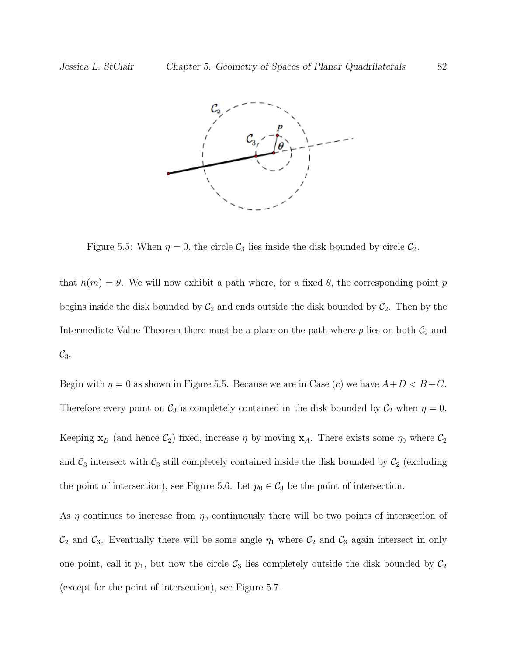

Figure 5.5: When  $\eta = 0$ , the circle  $C_3$  lies inside the disk bounded by circle  $C_2$ .

that  $h(m) = \theta$ . We will now exhibit a path where, for a fixed  $\theta$ , the corresponding point p begins inside the disk bounded by  $C_2$  and ends outside the disk bounded by  $C_2$ . Then by the Intermediate Value Theorem there must be a place on the path where  $p$  lies on both  $C_2$  and  $\mathcal{C}_3$ .

Begin with  $\eta = 0$  as shown in Figure 5.5. Because we are in Case (c) we have  $A + D < B + C$ . Therefore every point on  $\mathcal{C}_3$  is completely contained in the disk bounded by  $\mathcal{C}_2$  when  $\eta = 0$ . Keeping  $x_B$  (and hence  $C_2$ ) fixed, increase  $\eta$  by moving  $x_A$ . There exists some  $\eta_0$  where  $C_2$ and  $C_3$  intersect with  $C_3$  still completely contained inside the disk bounded by  $C_2$  (excluding the point of intersection), see Figure 5.6. Let  $p_0 \in C_3$  be the point of intersection.

As  $\eta$  continues to increase from  $\eta_0$  continuously there will be two points of intersection of  $\mathcal{C}_2$  and  $\mathcal{C}_3$ . Eventually there will be some angle  $\eta_1$  where  $\mathcal{C}_2$  and  $\mathcal{C}_3$  again intersect in only one point, call it  $p_1$ , but now the circle  $C_3$  lies completely outside the disk bounded by  $C_2$ (except for the point of intersection), see Figure 5.7.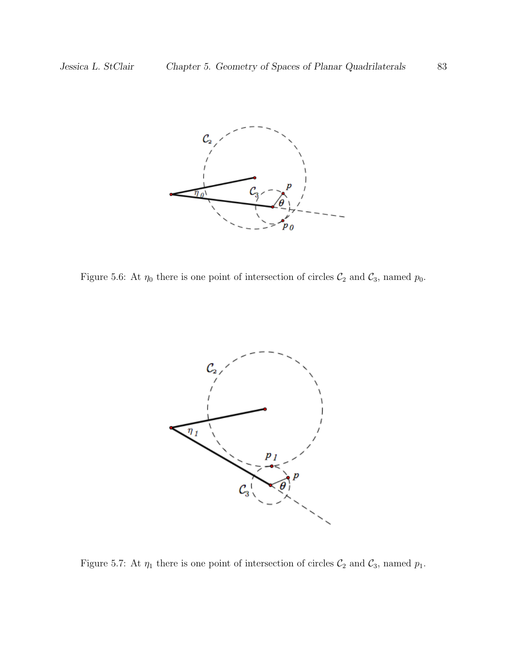

Figure 5.6: At  $\eta_0$  there is one point of intersection of circles  $C_2$  and  $C_3$ , named  $p_0$ .



Figure 5.7: At  $\eta_1$  there is one point of intersection of circles  $\mathcal{C}_2$  and  $\mathcal{C}_3$ , named  $p_1$ .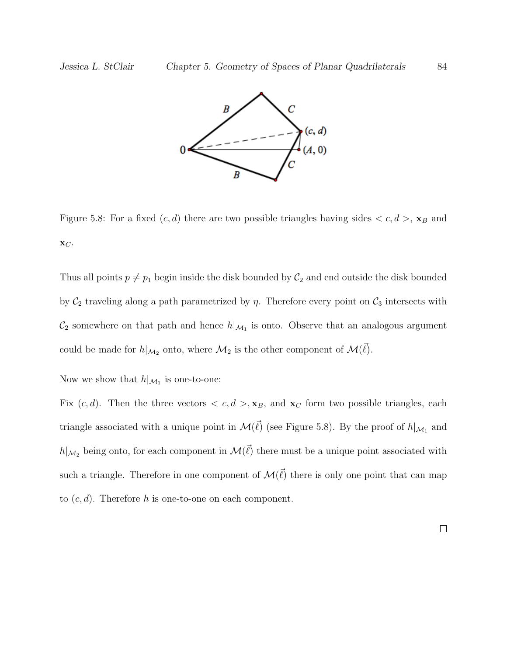

Figure 5.8: For a fixed  $(c, d)$  there are two possible triangles having sides  $\langle c, d \rangle$ ,  $\mathbf{x}_B$  and  $\mathbf{x}_C$ .

Thus all points  $p \neq p_1$  begin inside the disk bounded by  $C_2$  and end outside the disk bounded by  $C_2$  traveling along a path parametrized by  $\eta$ . Therefore every point on  $C_3$  intersects with  $\mathcal{C}_2$  somewhere on that path and hence  $h|_{\mathcal{M}_1}$  is onto. Observe that an analogous argument could be made for  $h|_{\mathcal{M}_2}$  onto, where  $\mathcal{M}_2$  is the other component of  $\mathcal{M}(\vec{\ell}).$ 

Now we show that  $h|_{\mathcal{M}_1}$  is one-to-one:

Fix  $(c, d)$ . Then the three vectors  $\langle c, d \rangle$ ,  $\mathbf{x}_B$ , and  $\mathbf{x}_C$  form two possible triangles, each triangle associated with a unique point in  $\mathcal{M}(\vec{\ell})$  (see Figure 5.8). By the proof of  $h|_{\mathcal{M}_1}$  and  $h|_{\mathcal{M}_2}$  being onto, for each component in  $\mathcal{M}(\vec{\ell})$  there must be a unique point associated with such a triangle. Therefore in one component of  $\mathcal{M}(\vec{\ell})$  there is only one point that can map to  $(c, d)$ . Therefore h is one-to-one on each component.

 $\Box$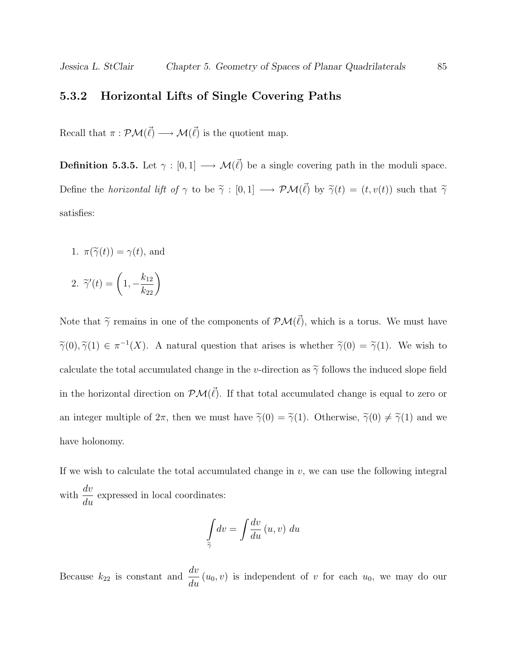### 5.3.2 Horizontal Lifts of Single Covering Paths

Recall that  $\pi: \mathcal{PM}(\vec{\ell}) \longrightarrow \mathcal{M}(\vec{\ell})$  is the quotient map.

**Definition 5.3.5.** Let  $\gamma : [0,1] \longrightarrow \mathcal{M}(\vec{\ell})$  be a single covering path in the moduli space. Define the *horizontal lift of*  $\gamma$  to be  $\tilde{\gamma} : [0,1] \longrightarrow \mathcal{PM}(\vec{\ell})$  by  $\tilde{\gamma}(t) = (t, v(t))$  such that  $\tilde{\gamma}$ satisfies:

1.  $\pi(\widetilde{\gamma}(t)) = \gamma(t)$ , and

$$
2. \ \widetilde{\gamma}'(t) = \left(1, -\frac{k_{12}}{k_{22}}\right)
$$

Note that  $\tilde{\gamma}$  remains in one of the components of  $\mathcal{PM}(\vec{\ell})$ , which is a torus. We must have  $\tilde{\gamma}(0), \tilde{\gamma}(1) \in \pi^{-1}(X)$ . A natural question that arises is whether  $\tilde{\gamma}(0) = \tilde{\gamma}(1)$ . We wish to calculate the total accumulated change in the v-direction as  $\tilde{\gamma}$  follows the induced slope field in the horizontal direction on  $\mathcal{PM}(\vec{\ell})$ . If that total accumulated change is equal to zero or an integer multiple of  $2\pi$ , then we must have  $\tilde{\gamma}(0) = \tilde{\gamma}(1)$ . Otherwise,  $\tilde{\gamma}(0) \neq \tilde{\gamma}(1)$  and we have holonomy.

If we wish to calculate the total accumulated change in  $v$ , we can use the following integral with  $\frac{dv}{dt}$  $\frac{du}{du}$  expressed in local coordinates:

$$
\int_{\tilde{\gamma}} dv = \int \frac{dv}{du} \left( u, v \right) \, du
$$

Because  $k_{22}$  is constant and  $\frac{dv}{du}(u_0, v)$  is independent of v for each  $u_0$ , we may do our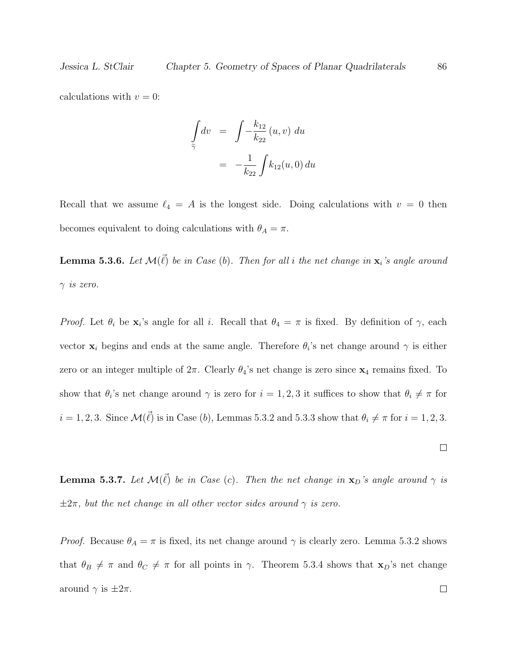calculations with  $v = 0$ :

$$
\int_{\tilde{\gamma}} dv = \int -\frac{k_{12}}{k_{22}} (u, v) du
$$

$$
= -\frac{1}{k_{22}} \int k_{12}(u, 0) du
$$

Recall that we assume  $\ell_4 = A$  is the longest side. Doing calculations with  $v = 0$  then becomes equivalent to doing calculations with  $\theta_A = \pi$ .

**Lemma 5.3.6.** Let  $\mathcal{M}(\vec{\ell})$  be in Case (b). Then for all i the net change in  $\mathbf{x}_i$ 's angle around  $\gamma$  is zero.

*Proof.* Let  $\theta_i$  be  $\mathbf{x}_i$ 's angle for all i. Recall that  $\theta_4 = \pi$  is fixed. By definition of  $\gamma$ , each vector  $\mathbf{x}_i$  begins and ends at the same angle. Therefore  $\theta_i$ 's net change around  $\gamma$  is either zero or an integer multiple of  $2\pi$ . Clearly  $\theta_4$ 's net change is zero since  $\mathbf{x}_4$  remains fixed. To show that  $\theta_i$ 's net change around  $\gamma$  is zero for  $i = 1, 2, 3$  it suffices to show that  $\theta_i \neq \pi$  for  $i = 1, 2, 3$ . Since  $\mathcal{M}(\vec{\ell})$  is in Case (b), Lemmas 5.3.2 and 5.3.3 show that  $\theta_i \neq \pi$  for  $i = 1, 2, 3$ .

**Lemma 5.3.7.** Let  $\mathcal{M}(\vec{\ell})$  be in Case (c). Then the net change in  $\mathbf{x}_D$ 's angle around  $\gamma$  is  $\pm 2\pi$ , but the net change in all other vector sides around  $\gamma$  is zero.

*Proof.* Because  $\theta_A = \pi$  is fixed, its net change around  $\gamma$  is clearly zero. Lemma 5.3.2 shows that  $\theta_B \neq \pi$  and  $\theta_C \neq \pi$  for all points in  $\gamma$ . Theorem 5.3.4 shows that  $\mathbf{x}_D$ 's net change around  $\gamma$  is  $\pm 2\pi$ .  $\Box$ 

 $\Box$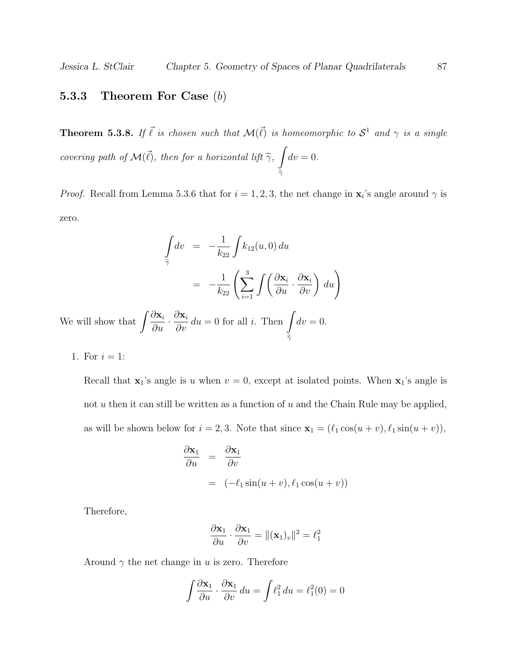### 5.3.3 Theorem For Case (b)

**Theorem 5.3.8.** If  $\vec{l}$  is chosen such that  $\mathcal{M}(\vec{l})$  is homeomorphic to  $\mathcal{S}^1$  and  $\gamma$  is a single covering path of  $\mathcal{M}(\vec{\ell})$ , then for a horizontal lift  $\widetilde{\gamma}$ ,  $\int$  $\widetilde{\gamma}$  $dv = 0.$ 

*Proof.* Recall from Lemma 5.3.6 that for  $i = 1, 2, 3$ , the net change in  $\mathbf{x}_i$ 's angle around  $\gamma$  is zero.

$$
\int_{\tilde{\gamma}} dv = -\frac{1}{k_{22}} \int k_{12}(u, 0) du
$$
\n
$$
= -\frac{1}{k_{22}} \left( \sum_{i=1}^{3} \int \left( \frac{\partial \mathbf{x}_i}{\partial u} \cdot \frac{\partial \mathbf{x}_i}{\partial v} \right) du \right)
$$

We will show that  $\int \frac{\partial \mathbf{x}_i}{\partial u} \cdot \frac{\partial \mathbf{x}_i}{\partial v} du = 0$  for all *i*. Then  $\int$  $\widetilde{\gamma}$  $dv = 0.$ 

1. For  $i = 1$ :

Recall that  $\mathbf{x}_1$ 's angle is u when  $v = 0$ , except at isolated points. When  $\mathbf{x}_1$ 's angle is not  $u$  then it can still be written as a function of  $u$  and the Chain Rule may be applied, as will be shown below for  $i = 2, 3$ . Note that since  $\mathbf{x}_1 = (\ell_1 \cos(u + v), \ell_1 \sin(u + v)),$ 

$$
\frac{\partial \mathbf{x}_1}{\partial u} = \frac{\partial \mathbf{x}_1}{\partial v}
$$
  
=  $(-\ell_1 \sin(u+v), \ell_1 \cos(u+v))$ 

Therefore,

$$
\frac{\partial \mathbf{x}_1}{\partial u} \cdot \frac{\partial \mathbf{x}_1}{\partial v} = ||(\mathbf{x}_1)_v||^2 = \ell_1^2
$$

Around  $\gamma$  the net change in u is zero. Therefore

$$
\int \frac{\partial \mathbf{x}_1}{\partial u} \cdot \frac{\partial \mathbf{x}_1}{\partial v} du = \int \ell_1^2 du = \ell_1^2(0) = 0
$$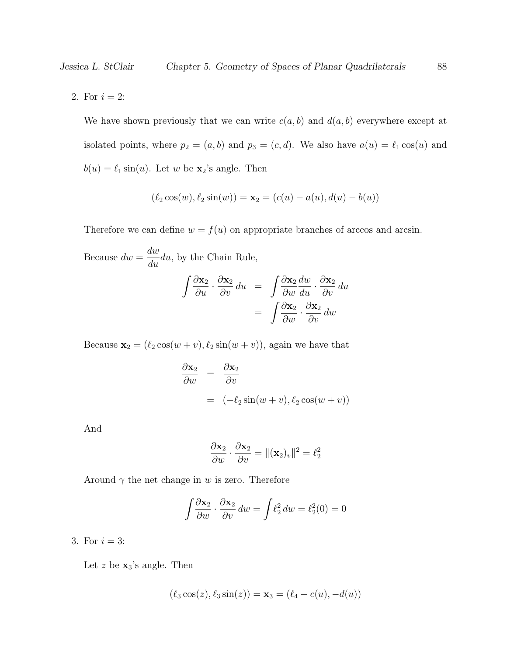2. For  $i = 2$ :

We have shown previously that we can write  $c(a, b)$  and  $d(a, b)$  everywhere except at isolated points, where  $p_2 = (a, b)$  and  $p_3 = (c, d)$ . We also have  $a(u) = \ell_1 \cos(u)$  and  $b(u) = \ell_1 \sin(u)$ . Let w be  $\mathbf{x}_2$ 's angle. Then

$$
(\ell_2 \cos(w), \ell_2 \sin(w)) = \mathbf{x}_2 = (c(u) - a(u), d(u) - b(u))
$$

Therefore we can define  $w = f(u)$  on appropriate branches of arccos and arcsin.

Because  $dw =$ dw  $\frac{d}{du}du$ , by the Chain Rule,

$$
\int \frac{\partial \mathbf{x}_2}{\partial u} \cdot \frac{\partial \mathbf{x}_2}{\partial v} du = \int \frac{\partial \mathbf{x}_2}{\partial w} \frac{dw}{du} \cdot \frac{\partial \mathbf{x}_2}{\partial v} du
$$

$$
= \int \frac{\partial \mathbf{x}_2}{\partial w} \cdot \frac{\partial \mathbf{x}_2}{\partial v} dw
$$

Because  $\mathbf{x}_2 = (\ell_2 \cos(w + v), \ell_2 \sin(w + v))$ , again we have that

$$
\frac{\partial \mathbf{x}_2}{\partial w} = \frac{\partial \mathbf{x}_2}{\partial v}
$$
  
=  $(-\ell_2 \sin(w+v), \ell_2 \cos(w+v))$ 

And

$$
\frac{\partial \mathbf{x}_2}{\partial w} \cdot \frac{\partial \mathbf{x}_2}{\partial v} = ||(\mathbf{x}_2)_v||^2 = \ell_2^2
$$

Around  $\gamma$  the net change in w is zero. Therefore

$$
\int \frac{\partial \mathbf{x}_2}{\partial w} \cdot \frac{\partial \mathbf{x}_2}{\partial v} dw = \int \ell_2^2 dw = \ell_2^2(0) = 0
$$

3. For  $i = 3$ :

Let z be  $\mathbf{x}_3$ 's angle. Then

$$
(\ell_3 \cos(z), \ell_3 \sin(z)) = \mathbf{x}_3 = (\ell_4 - c(u), -d(u))
$$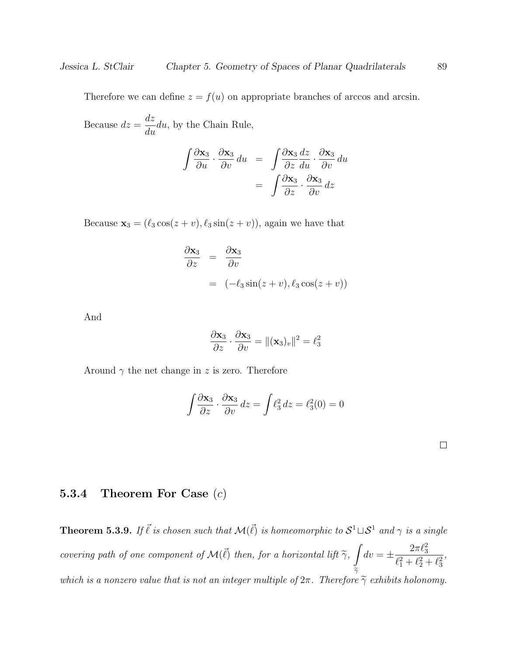### Therefore we can define  $z = f(u)$  on appropriate branches of arccos and arcsin.

Because  $dz =$ dz  $\frac{dS}{du}du$ , by the Chain Rule,

$$
\int \frac{\partial \mathbf{x}_3}{\partial u} \cdot \frac{\partial \mathbf{x}_3}{\partial v} du = \int \frac{\partial \mathbf{x}_3}{\partial z} \frac{dz}{du} \cdot \frac{\partial \mathbf{x}_3}{\partial v} du
$$

$$
= \int \frac{\partial \mathbf{x}_3}{\partial z} \cdot \frac{\partial \mathbf{x}_3}{\partial v} dz
$$

Because  $\mathbf{x}_3 = (\ell_3 \cos(z + v), \ell_3 \sin(z + v))$ , again we have that

$$
\frac{\partial \mathbf{x}_3}{\partial z} = \frac{\partial \mathbf{x}_3}{\partial v}
$$
  
=  $(-\ell_3 \sin(z+v), \ell_3 \cos(z+v))$ 

And

$$
\frac{\partial \mathbf{x}_3}{\partial z} \cdot \frac{\partial \mathbf{x}_3}{\partial v} = ||(\mathbf{x}_3)_v||^2 = \ell_3^2
$$

Around  $\gamma$  the net change in z is zero. Therefore

$$
\int \frac{\partial \mathbf{x}_3}{\partial z} \cdot \frac{\partial \mathbf{x}_3}{\partial v} dz = \int \ell_3^2 dz = \ell_3^2(0) = 0
$$

### 5.3.4 Theorem For Case  $(c)$

**Theorem 5.3.9.** If  $\vec{l}$  is chosen such that  $\mathcal{M}(\vec{l})$  is homeomorphic to  $\mathcal{S}^1 \sqcup \mathcal{S}^1$  and  $\gamma$  is a single covering path of one component of  $\mathcal{M}(\vec{\ell})$  then, for a horizontal lift  $\widetilde{\gamma}, \, \int \! dv = \pm$  $\widetilde{\gamma}$  $2\pi\ell_3^2$  $\ell_1^2 + \ell_2^2 + \ell_3^2$ , which is a nonzero value that is not an integer multiple of  $2\pi$ . Therefore  $\widetilde{\gamma}$  exhibits holonomy.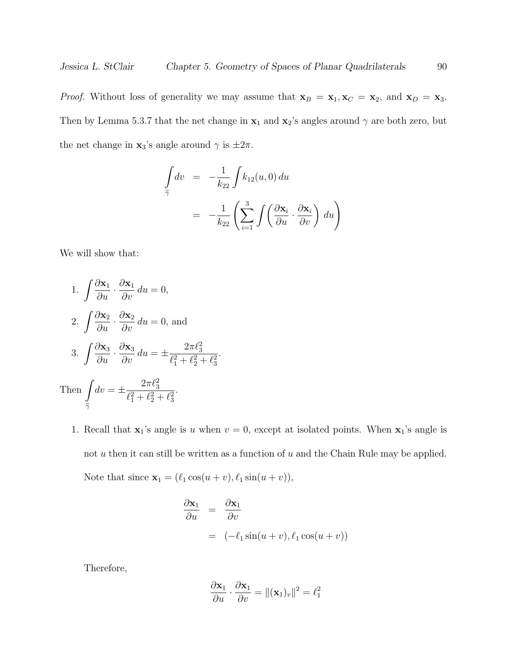*Proof.* Without loss of generality we may assume that  $x_B = x_1, x_C = x_2$ , and  $x_D = x_3$ . Then by Lemma 5.3.7 that the net change in  $\mathbf{x}_1$  and  $\mathbf{x}_2$ 's angles around  $\gamma$  are both zero, but the net change in  $\mathbf{x}_3$ 's angle around  $\gamma$  is  $\pm 2\pi$ .

$$
\int_{\tilde{\gamma}} dv = -\frac{1}{k_{22}} \int_{\tilde{\gamma}} k_{12}(u, 0) du
$$
\n
$$
= -\frac{1}{k_{22}} \left( \sum_{i=1}^{3} \int_{\tilde{\gamma}} \left( \frac{\partial \mathbf{x}_i}{\partial u} \cdot \frac{\partial \mathbf{x}_i}{\partial v} \right) du \right)
$$

We will show that:

1. 
$$
\int \frac{\partial \mathbf{x}_1}{\partial u} \cdot \frac{\partial \mathbf{x}_1}{\partial v} du = 0,
$$
  
\n2. 
$$
\int \frac{\partial \mathbf{x}_2}{\partial u} \cdot \frac{\partial \mathbf{x}_2}{\partial v} du = 0, \text{ and}
$$
  
\n3. 
$$
\int \frac{\partial \mathbf{x}_3}{\partial u} \cdot \frac{\partial \mathbf{x}_3}{\partial v} du = \pm \frac{2\pi \ell_3^2}{\ell_1^2 + \ell_2^2 + \ell_3^2}
$$
  
\nThen 
$$
\int_{\tilde{\gamma}} dv = \pm \frac{2\pi \ell_3^2}{\ell_1^2 + \ell_2^2 + \ell_3^2}.
$$

1. Recall that  $\mathbf{x}_1$ 's angle is u when  $v = 0$ , except at isolated points. When  $\mathbf{x}_1$ 's angle is not  $u$  then it can still be written as a function of  $u$  and the Chain Rule may be applied. Note that since  $\mathbf{x}_1 = (\ell_1 \cos(u + v), \ell_1 \sin(u + v)),$ 

.

$$
\frac{\partial \mathbf{x}_1}{\partial u} = \frac{\partial \mathbf{x}_1}{\partial v}
$$
  
=  $(-\ell_1 \sin(u+v), \ell_1 \cos(u+v))$ 

Therefore,

$$
\frac{\partial \mathbf{x}_1}{\partial u} \cdot \frac{\partial \mathbf{x}_1}{\partial v} = ||(\mathbf{x}_1)_v||^2 = \ell_1^2
$$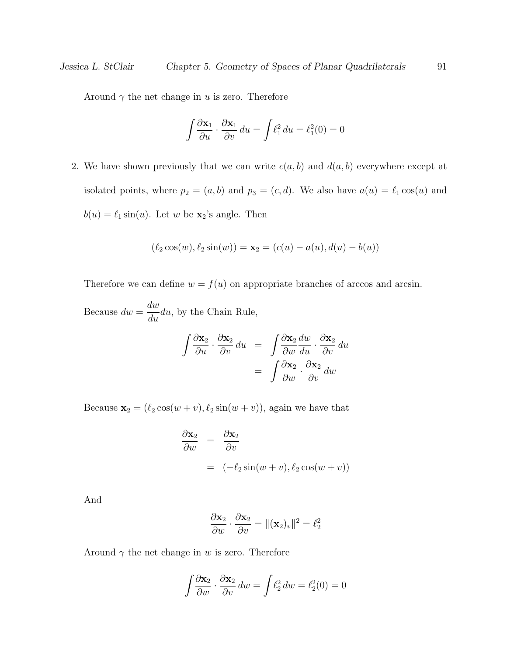Around  $\gamma$  the net change in u is zero. Therefore

$$
\int \frac{\partial \mathbf{x}_1}{\partial u} \cdot \frac{\partial \mathbf{x}_1}{\partial v} du = \int \ell_1^2 du = \ell_1^2(0) = 0
$$

2. We have shown previously that we can write  $c(a, b)$  and  $d(a, b)$  everywhere except at isolated points, where  $p_2 = (a, b)$  and  $p_3 = (c, d)$ . We also have  $a(u) = \ell_1 \cos(u)$  and  $b(u) = \ell_1 \sin(u)$ . Let w be  $\mathbf{x}_2$ 's angle. Then

$$
(\ell_2 \cos(w), \ell_2 \sin(w)) = \mathbf{x}_2 = (c(u) - a(u), d(u) - b(u))
$$

Therefore we can define  $w = f(u)$  on appropriate branches of arccos and arcsin.

Because  $dw =$ dw  $\frac{d}{du}du$ , by the Chain Rule,

$$
\int \frac{\partial \mathbf{x}_2}{\partial u} \cdot \frac{\partial \mathbf{x}_2}{\partial v} du = \int \frac{\partial \mathbf{x}_2}{\partial w} \frac{dw}{du} \cdot \frac{\partial \mathbf{x}_2}{\partial v} du
$$

$$
= \int \frac{\partial \mathbf{x}_2}{\partial w} \cdot \frac{\partial \mathbf{x}_2}{\partial v} dw
$$

Because  $\mathbf{x}_2 = (\ell_2 \cos(w + v), \ell_2 \sin(w + v))$ , again we have that

$$
\frac{\partial \mathbf{x}_2}{\partial w} = \frac{\partial \mathbf{x}_2}{\partial v}
$$
  
=  $(-\ell_2 \sin(w+v), \ell_2 \cos(w+v))$ 

And

$$
\frac{\partial \mathbf{x}_2}{\partial w} \cdot \frac{\partial \mathbf{x}_2}{\partial v} = ||(\mathbf{x}_2)_v||^2 = \ell_2^2
$$

Around  $\gamma$  the net change in w is zero. Therefore

$$
\int \frac{\partial \mathbf{x}_2}{\partial w} \cdot \frac{\partial \mathbf{x}_2}{\partial v} dw = \int \ell_2^2 dw = \ell_2^2(0) = 0
$$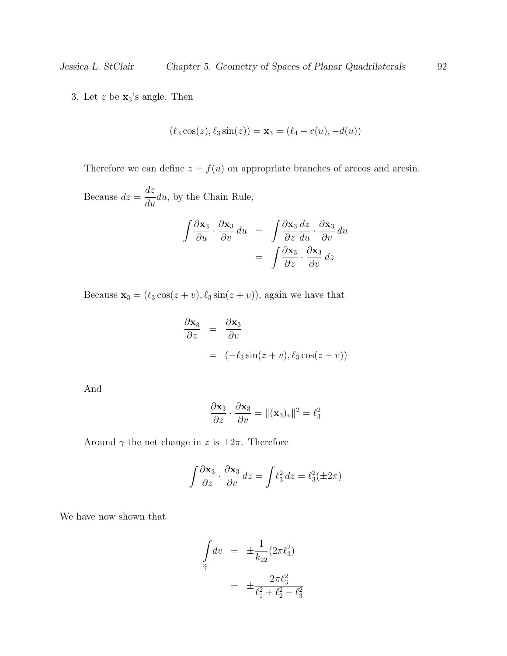3. Let  $z$  be  $\mathbf{x}_3$ 's angle. Then

$$
(\ell_3 \cos(z), \ell_3 \sin(z)) = \mathbf{x}_3 = (\ell_4 - c(u), -d(u))
$$

Therefore we can define  $z = f(u)$  on appropriate branches of arccos and arcsin.

Because  $dz =$ dz  $\frac{d\alpha}{du}du$ , by the Chain Rule,

$$
\int \frac{\partial \mathbf{x}_3}{\partial u} \cdot \frac{\partial \mathbf{x}_3}{\partial v} du = \int \frac{\partial \mathbf{x}_3}{\partial z} \frac{dz}{du} \cdot \frac{\partial \mathbf{x}_3}{\partial v} du
$$

$$
= \int \frac{\partial \mathbf{x}_3}{\partial z} \cdot \frac{\partial \mathbf{x}_3}{\partial v} dz
$$

Because  $\mathbf{x}_3 = (\ell_3 \cos(z + v), \ell_3 \sin(z + v))$ , again we have that

$$
\frac{\partial \mathbf{x}_3}{\partial z} = \frac{\partial \mathbf{x}_3}{\partial v}
$$
  
=  $(-\ell_3 \sin(z+v), \ell_3 \cos(z+v))$ 

And

$$
\frac{\partial \mathbf{x}_3}{\partial z} \cdot \frac{\partial \mathbf{x}_3}{\partial v} = ||(\mathbf{x}_3)_v||^2 = \ell_3^2
$$

Around  $\gamma$  the net change in z is  $\pm 2\pi$ . Therefore

$$
\int \frac{\partial \mathbf{x}_3}{\partial z} \cdot \frac{\partial \mathbf{x}_3}{\partial v} dz = \int \ell_3^2 dz = \ell_3^2(\pm 2\pi)
$$

We have now shown that

$$
\int_{\tilde{\gamma}} dv = \pm \frac{1}{k_{22}} (2\pi \ell_3^2)
$$

$$
= \pm \frac{2\pi \ell_3^2}{\ell_1^2 + \ell_2^2 + \ell_3^2}
$$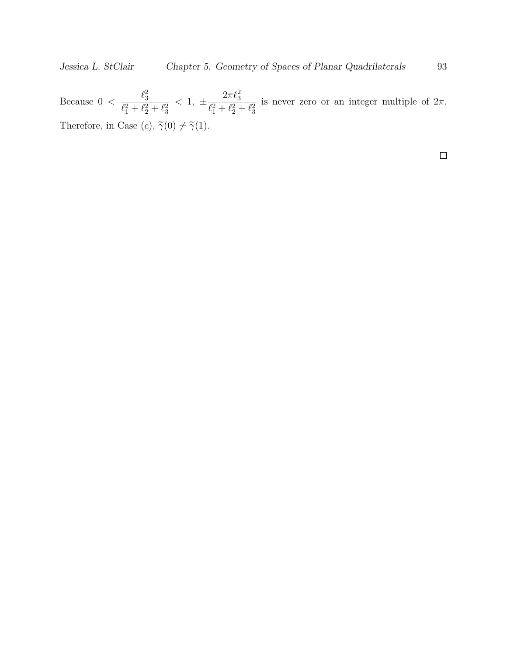Because 0 <  $\ell_3^2$  $\ell_1^2 + \ell_2^2 + \ell_3^2$  $< 1, \pm$  $2\pi\ell_3^2$  $\ell_1^2 + \ell_2^2 + \ell_3^2$ is never zero or an integer multiple of  $2\pi$ . Therefore, in Case  $(c), \tilde{\gamma}(0) \neq \tilde{\gamma}(1)$ .

 $\Box$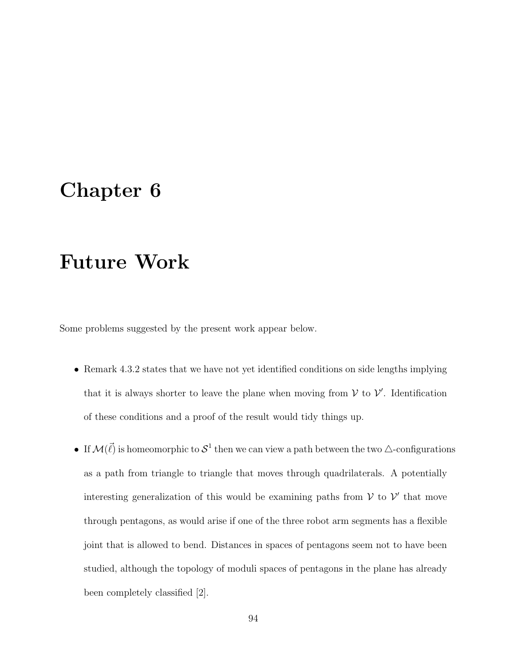# Chapter 6

# Future Work

Some problems suggested by the present work appear below.

- Remark 4.3.2 states that we have not yet identified conditions on side lengths implying that it is always shorter to leave the plane when moving from  $V$  to  $V'$ . Identification of these conditions and a proof of the result would tidy things up.
- If  $\mathcal{M}(\vec{\ell})$  is homeomorphic to  $\mathcal{S}^1$  then we can view a path between the two  $\triangle$ -configurations as a path from triangle to triangle that moves through quadrilaterals. A potentially interesting generalization of this would be examining paths from  $V$  to  $V'$  that move through pentagons, as would arise if one of the three robot arm segments has a flexible joint that is allowed to bend. Distances in spaces of pentagons seem not to have been studied, although the topology of moduli spaces of pentagons in the plane has already been completely classified [2].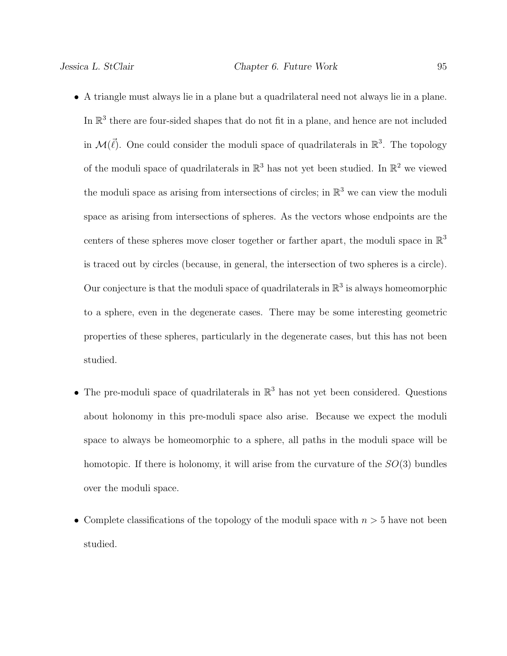- A triangle must always lie in a plane but a quadrilateral need not always lie in a plane. In  $\mathbb{R}^3$  there are four-sided shapes that do not fit in a plane, and hence are not included in  $\mathcal{M}(\vec{\ell})$ . One could consider the moduli space of quadrilaterals in  $\mathbb{R}^3$ . The topology of the moduli space of quadrilaterals in  $\mathbb{R}^3$  has not yet been studied. In  $\mathbb{R}^2$  we viewed the moduli space as arising from intersections of circles; in  $\mathbb{R}^3$  we can view the moduli space as arising from intersections of spheres. As the vectors whose endpoints are the centers of these spheres move closer together or farther apart, the moduli space in  $\mathbb{R}^3$ is traced out by circles (because, in general, the intersection of two spheres is a circle). Our conjecture is that the moduli space of quadrilaterals in  $\mathbb{R}^3$  is always homeomorphic to a sphere, even in the degenerate cases. There may be some interesting geometric properties of these spheres, particularly in the degenerate cases, but this has not been studied.
- The pre-moduli space of quadrilaterals in  $\mathbb{R}^3$  has not yet been considered. Questions about holonomy in this pre-moduli space also arise. Because we expect the moduli space to always be homeomorphic to a sphere, all paths in the moduli space will be homotopic. If there is holonomy, it will arise from the curvature of the  $SO(3)$  bundles over the moduli space.
- Complete classifications of the topology of the moduli space with  $n > 5$  have not been studied.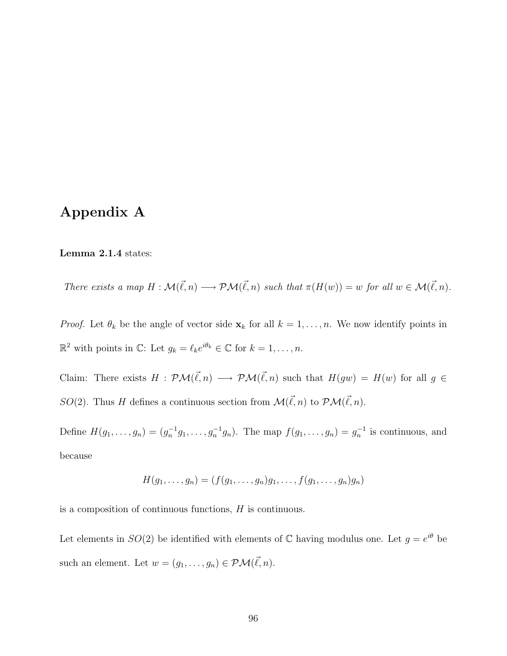# Appendix A

#### Lemma 2.1.4 states:

There exists a map  $H: \mathcal{M}(\vec{\ell}, n) \longrightarrow \mathcal{PM}(\vec{\ell}, n)$  such that  $\pi(H(w)) = w$  for all  $w \in \mathcal{M}(\vec{\ell}, n)$ .

*Proof.* Let  $\theta_k$  be the angle of vector side  $\mathbf{x}_k$  for all  $k = 1, \ldots, n$ . We now identify points in  $\mathbb{R}^2$  with points in  $\mathbb{C}$ : Let  $g_k = \ell_k e^{i\theta_k} \in \mathbb{C}$  for  $k = 1, \ldots, n$ .

Claim: There exists  $H: \mathcal{PM}(\vec{\ell}, n) \longrightarrow \mathcal{PM}(\vec{\ell}, n)$  such that  $H(gw) = H(w)$  for all  $g \in$ SO(2). Thus H defines a continuous section from  $\mathcal{M}(\vec{\ell}, n)$  to  $\mathcal{PM}(\vec{\ell}, n)$ .

Define  $H(g_1, ..., g_n) = (g_n^{-1}g_1, ..., g_n^{-1}g_n)$ . The map  $f(g_1, ..., g_n) = g_n^{-1}$  is continuous, and because

$$
H(g_1,\ldots,g_n)=(f(g_1,\ldots,g_n)g_1,\ldots,f(g_1,\ldots,g_n)g_n)
$$

is a composition of continuous functions,  $H$  is continuous.

Let elements in  $SO(2)$  be identified with elements of C having modulus one. Let  $g=e^{i\theta}$  be such an element. Let  $w = (g_1, \ldots, g_n) \in \mathcal{PM}(\vec{\ell}, n)$ .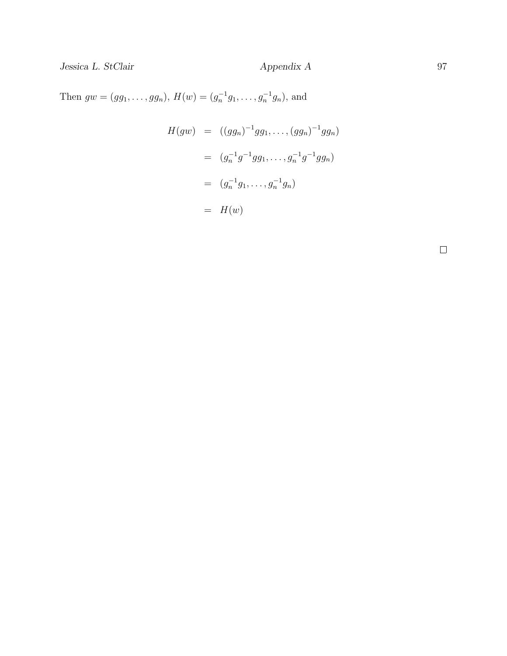Jessica L. StClair Appendix A 97

Then  $gw = (gg_1, \ldots, gg_n), H(w) = (g_n^{-1}g_1, \ldots, g_n^{-1}g_n),$  and

$$
H(gw) = ((gg_n)^{-1}gg_1, \dots, (gg_n)^{-1}gg_n)
$$
  
=  $(g_n^{-1}g^{-1}gg_1, \dots, g_n^{-1}g^{-1}gg_n)$   
=  $(g_n^{-1}g_1, \dots, g_n^{-1}g_n)$   
=  $H(w)$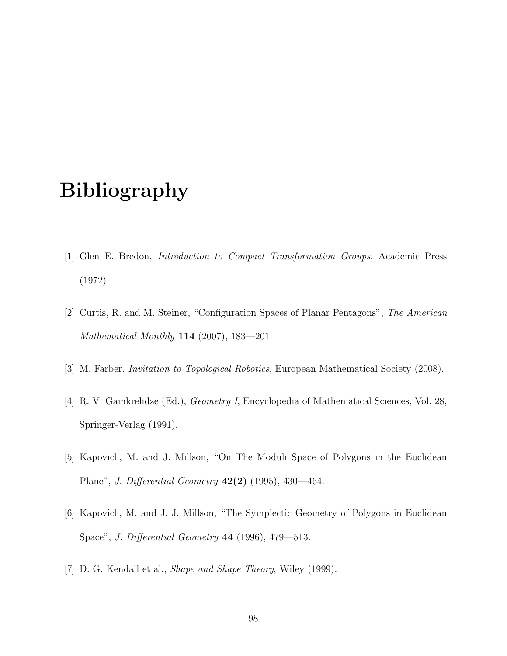# Bibliography

- [1] Glen E. Bredon, Introduction to Compact Transformation Groups, Academic Press (1972).
- [2] Curtis, R. and M. Steiner, "Configuration Spaces of Planar Pentagons", The American Mathematical Monthly 114 (2007), 183—201.
- [3] M. Farber, Invitation to Topological Robotics, European Mathematical Society (2008).
- [4] R. V. Gamkrelidze (Ed.), Geometry I, Encyclopedia of Mathematical Sciences, Vol. 28, Springer-Verlag (1991).
- [5] Kapovich, M. and J. Millson, "On The Moduli Space of Polygons in the Euclidean Plane", *J. Differential Geometry*  $42(2)$  (1995), 430–464.
- [6] Kapovich, M. and J. J. Millson, "The Symplectic Geometry of Polygons in Euclidean Space", J. Differential Geometry 44 (1996), 479—513.
- [7] D. G. Kendall et al., *Shape and Shape Theory*, Wiley (1999).